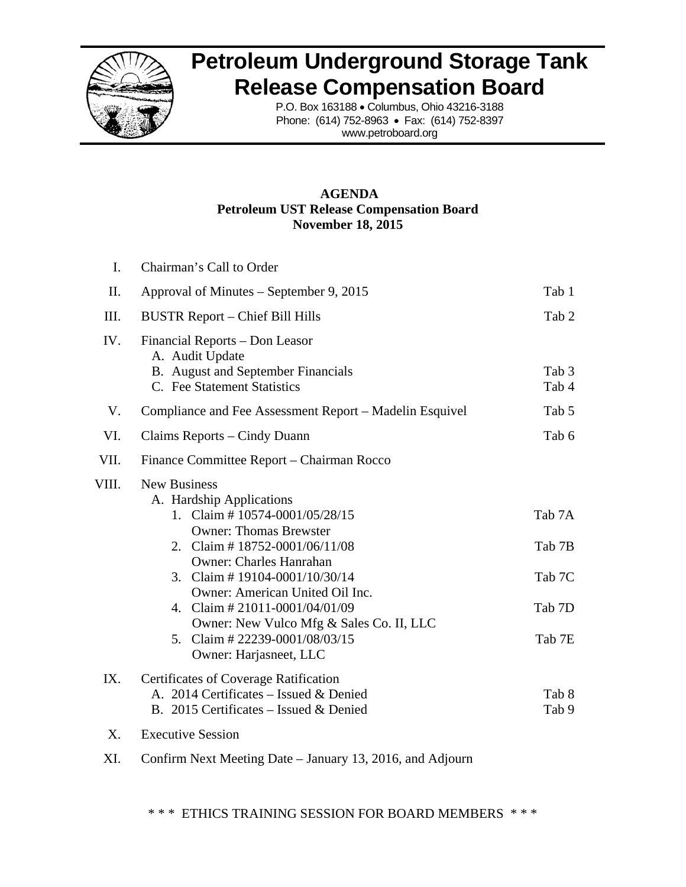

## **Petroleum Underground Storage Tank Release Compensation Board**

P.O. Box 163188 • Columbus, Ohio 43216-3188 Phone: (614) 752-8963 • Fax: (614) 752-8397 www.petroboard.org

## **AGENDA Petroleum UST Release Compensation Board November 18, 2015**

| I.    | Chairman's Call to Order                                                                                                                                                                                                                                                                                                                                                                                            |                                                |
|-------|---------------------------------------------------------------------------------------------------------------------------------------------------------------------------------------------------------------------------------------------------------------------------------------------------------------------------------------------------------------------------------------------------------------------|------------------------------------------------|
| II.   | Approval of Minutes – September 9, 2015                                                                                                                                                                                                                                                                                                                                                                             | Tab 1                                          |
| III.  | <b>BUSTR Report - Chief Bill Hills</b>                                                                                                                                                                                                                                                                                                                                                                              | Tab 2                                          |
| IV.   | Financial Reports – Don Leasor<br>A. Audit Update<br>B. August and September Financials<br>C. Fee Statement Statistics                                                                                                                                                                                                                                                                                              | Tab 3<br>Tab 4                                 |
| V.    | Compliance and Fee Assessment Report – Madelin Esquivel                                                                                                                                                                                                                                                                                                                                                             | Tab 5                                          |
| VI.   | Claims Reports – Cindy Duann                                                                                                                                                                                                                                                                                                                                                                                        | Tab 6                                          |
| VII.  | Finance Committee Report - Chairman Rocco                                                                                                                                                                                                                                                                                                                                                                           |                                                |
| VIII. | <b>New Business</b><br>A. Hardship Applications<br>1. Claim # $10574 - 0001/05/28/15$<br><b>Owner: Thomas Brewster</b><br>2. Claim # $18752 - 0001/06/11/08$<br><b>Owner: Charles Hanrahan</b><br>Claim #19104-0001/10/30/14<br>3.<br>Owner: American United Oil Inc.<br>4. Claim # $21011 - 0001/04/01/09$<br>Owner: New Vulco Mfg & Sales Co. II, LLC<br>5. Claim # 22239-0001/08/03/15<br>Owner: Harjasneet, LLC | Tab 7A<br>Tab 7B<br>Tab 7C<br>Tab 7D<br>Tab 7E |
| IX.   | <b>Certificates of Coverage Ratification</b><br>A. 2014 Certificates – Issued & Denied<br>B. 2015 Certificates – Issued & Denied                                                                                                                                                                                                                                                                                    | Tab 8<br>Tab 9                                 |
| X.    | <b>Executive Session</b>                                                                                                                                                                                                                                                                                                                                                                                            |                                                |
| XI.   | Confirm Next Meeting Date – January 13, 2016, and Adjourn                                                                                                                                                                                                                                                                                                                                                           |                                                |

\* \* \* ETHICS TRAINING SESSION FOR BOARD MEMBERS \* \* \*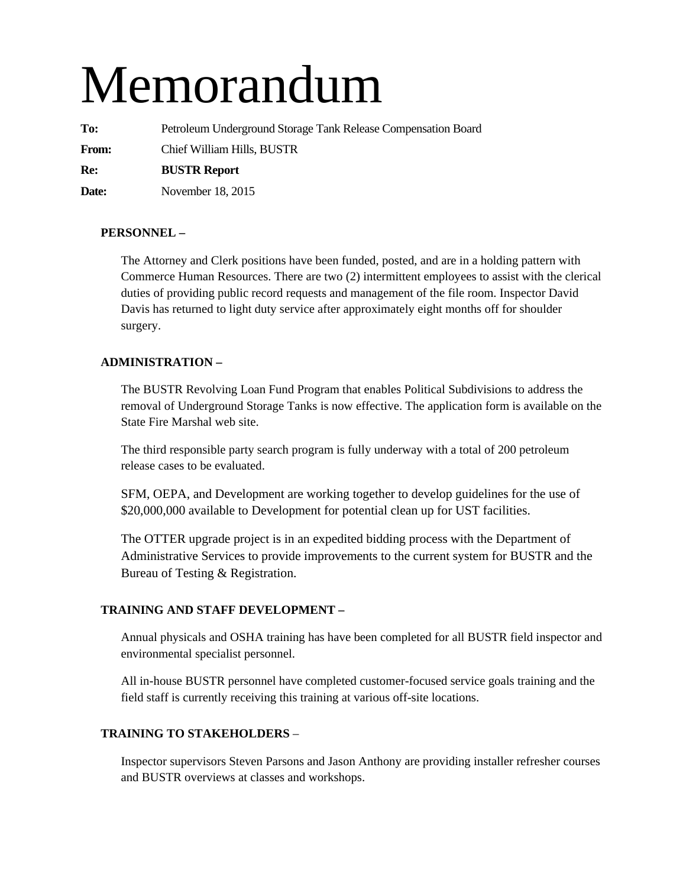# Memorandum

**To:** Petroleum Underground Storage Tank Release Compensation Board **From:** Chief William Hills, BUSTR **Re: BUSTR Report Date:** November 18, 2015

## **PERSONNEL –**

The Attorney and Clerk positions have been funded, posted, and are in a holding pattern with Commerce Human Resources. There are two (2) intermittent employees to assist with the clerical duties of providing public record requests and management of the file room. Inspector David Davis has returned to light duty service after approximately eight months off for shoulder surgery.

## **ADMINISTRATION –**

The BUSTR Revolving Loan Fund Program that enables Political Subdivisions to address the removal of Underground Storage Tanks is now effective. The application form is available on the State Fire Marshal web site.

The third responsible party search program is fully underway with a total of 200 petroleum release cases to be evaluated.

SFM, OEPA, and Development are working together to develop guidelines for the use of \$20,000,000 available to Development for potential clean up for UST facilities.

The OTTER upgrade project is in an expedited bidding process with the Department of Administrative Services to provide improvements to the current system for BUSTR and the Bureau of Testing & Registration.

## **TRAINING AND STAFF DEVELOPMENT –**

Annual physicals and OSHA training has have been completed for all BUSTR field inspector and environmental specialist personnel.

All in-house BUSTR personnel have completed customer-focused service goals training and the field staff is currently receiving this training at various off-site locations.

## **TRAINING TO STAKEHOLDERS** –

Inspector supervisors Steven Parsons and Jason Anthony are providing installer refresher courses and BUSTR overviews at classes and workshops.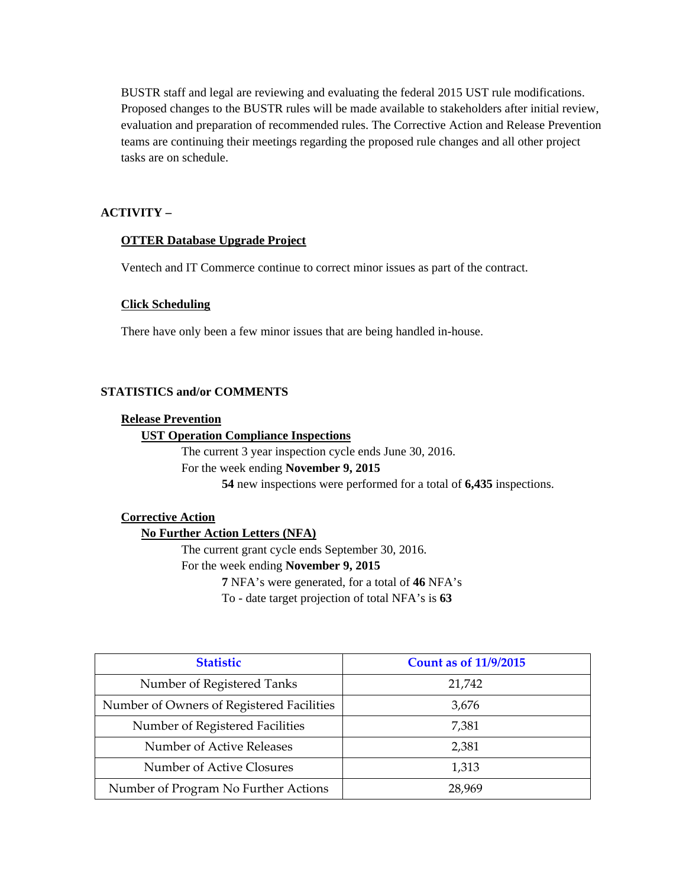BUSTR staff and legal are reviewing and evaluating the federal 2015 UST rule modifications. Proposed changes to the BUSTR rules will be made available to stakeholders after initial review, evaluation and preparation of recommended rules. The Corrective Action and Release Prevention teams are continuing their meetings regarding the proposed rule changes and all other project tasks are on schedule.

## **ACTIVITY –**

## **OTTER Database Upgrade Project**

Ventech and IT Commerce continue to correct minor issues as part of the contract.

#### **Click Scheduling**

There have only been a few minor issues that are being handled in-house.

## **STATISTICS and/or COMMENTS**

#### **Release Prevention**

#### **UST Operation Compliance Inspections**

The current 3 year inspection cycle ends June 30, 2016. For the week ending **November 9, 2015 54** new inspections were performed for a total of **6,435** inspections.

## **Corrective Action**

## **No Further Action Letters (NFA)**

The current grant cycle ends September 30, 2016.

For the week ending **November 9, 2015** 

**7** NFA's were generated, for a total of **46** NFA's

To - date target projection of total NFA's is **63** 

| <b>Statistic</b>                          | <b>Count as of 11/9/2015</b> |
|-------------------------------------------|------------------------------|
| Number of Registered Tanks                | 21,742                       |
| Number of Owners of Registered Facilities | 3,676                        |
| Number of Registered Facilities           | 7,381                        |
| Number of Active Releases                 | 2,381                        |
| Number of Active Closures                 | 1,313                        |
| Number of Program No Further Actions      | 28,969                       |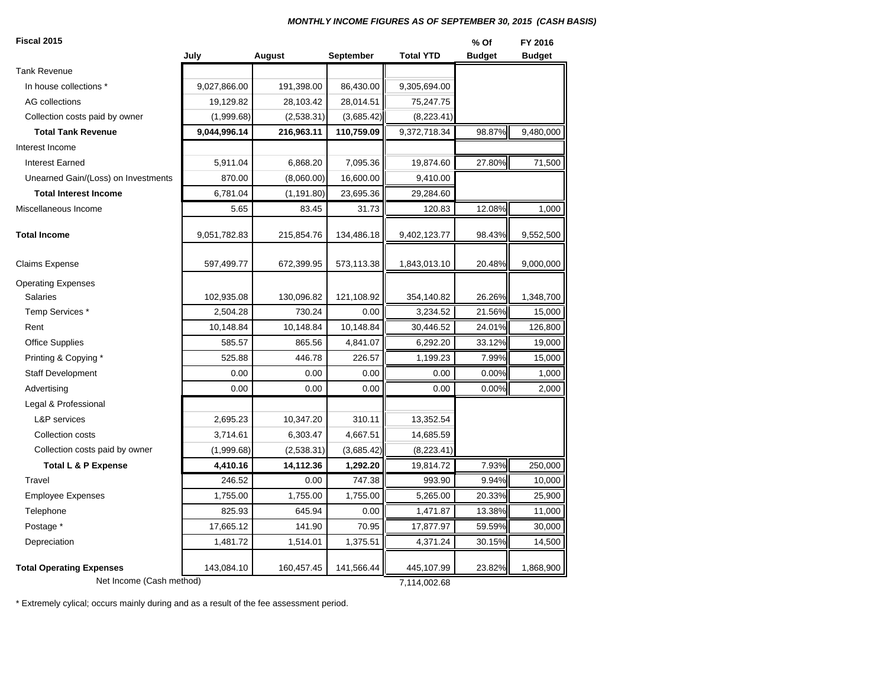#### *MONTHLY INCOME FIGURES AS OF SEPTEMBER 30, 2015 (CASH BASIS)*

| Fiscal 2015                         |              |             |            |                  | % Of          | FY 2016       |
|-------------------------------------|--------------|-------------|------------|------------------|---------------|---------------|
|                                     | July         | August      | September  | <b>Total YTD</b> | <b>Budget</b> | <b>Budget</b> |
| Tank Revenue                        |              |             |            |                  |               |               |
| In house collections *              | 9,027,866.00 | 191,398.00  | 86,430.00  | 9,305,694.00     |               |               |
| <b>AG</b> collections               | 19,129.82    | 28,103.42   | 28,014.51  | 75,247.75        |               |               |
| Collection costs paid by owner      | (1,999.68)   | (2,538.31)  | (3,685.42) | (8,223.41)       |               |               |
| <b>Total Tank Revenue</b>           | 9,044,996.14 | 216,963.11  | 110,759.09 | 9,372,718.34     | 98.87%        | 9,480,000     |
| Interest Income                     |              |             |            |                  |               |               |
| <b>Interest Earned</b>              | 5,911.04     | 6,868.20    | 7,095.36   | 19,874.60        | 27.80%        | 71,500        |
| Unearned Gain/(Loss) on Investments | 870.00       | (8,060.00)  | 16,600.00  | 9,410.00         |               |               |
| <b>Total Interest Income</b>        | 6,781.04     | (1, 191.80) | 23,695.36  | 29,284.60        |               |               |
| Miscellaneous Income                | 5.65         | 83.45       | 31.73      | 120.83           | 12.08%        | 1,000         |
| <b>Total Income</b>                 | 9,051,782.83 | 215,854.76  | 134,486.18 | 9,402,123.77     | 98.43%        | 9,552,500     |
| Claims Expense                      | 597,499.77   | 672,399.95  | 573,113.38 | 1,843,013.10     | 20.48%        | 9,000,000     |
| <b>Operating Expenses</b>           |              |             |            |                  |               |               |
| <b>Salaries</b>                     | 102,935.08   | 130,096.82  | 121,108.92 | 354,140.82       | 26.26%        | 1,348,700     |
| Temp Services *                     | 2,504.28     | 730.24      | 0.00       | 3,234.52         | 21.56%        | 15,000        |
| Rent                                | 10,148.84    | 10,148.84   | 10,148.84  | 30,446.52        | 24.01%        | 126,800       |
| <b>Office Supplies</b>              | 585.57       | 865.56      | 4,841.07   | 6,292.20         | 33.12%        | 19,000        |
| Printing & Copying *                | 525.88       | 446.78      | 226.57     | 1,199.23         | 7.99%         | 15,000        |
| <b>Staff Development</b>            | 0.00         | 0.00        | 0.00       | 0.00             | 0.00%         | 1,000         |
| Advertising                         | 0.00         | 0.00        | 0.00       | 0.00             | 0.00%         | 2,000         |
| Legal & Professional                |              |             |            |                  |               |               |
| L&P services                        | 2,695.23     | 10,347.20   | 310.11     | 13,352.54        |               |               |
| Collection costs                    | 3,714.61     | 6,303.47    | 4,667.51   | 14,685.59        |               |               |
| Collection costs paid by owner      | (1,999.68)   | (2,538.31)  | (3,685.42) | (8,223.41)       |               |               |
| Total L & P Expense                 | 4,410.16     | 14,112.36   | 1,292.20   | 19,814.72        | 7.93%         | 250,000       |
| Travel                              | 246.52       | 0.00        | 747.38     | 993.90           | 9.94%         | 10,000        |
| <b>Employee Expenses</b>            | 1,755.00     | 1,755.00    | 1,755.00   | 5,265.00         | 20.33%        | 25,900        |
| Telephone                           | 825.93       | 645.94      | 0.00       | 1,471.87         | 13.38%        | 11,000        |
| Postage *                           | 17,665.12    | 141.90      | 70.95      | 17,877.97        | 59.59%        | 30,000        |
| Depreciation                        | 1,481.72     | 1,514.01    | 1,375.51   | 4,371.24         | 30.15%        | 14,500        |
| <b>Total Operating Expenses</b>     | 143,084.10   | 160,457.45  | 141,566.44 | 445,107.99       | 23.82%        | 1,868,900     |
| Net Income (Cash method)            |              |             |            | 7,114,002.68     |               |               |

\* Extremely cylical; occurs mainly during and as a result of the fee assessment period.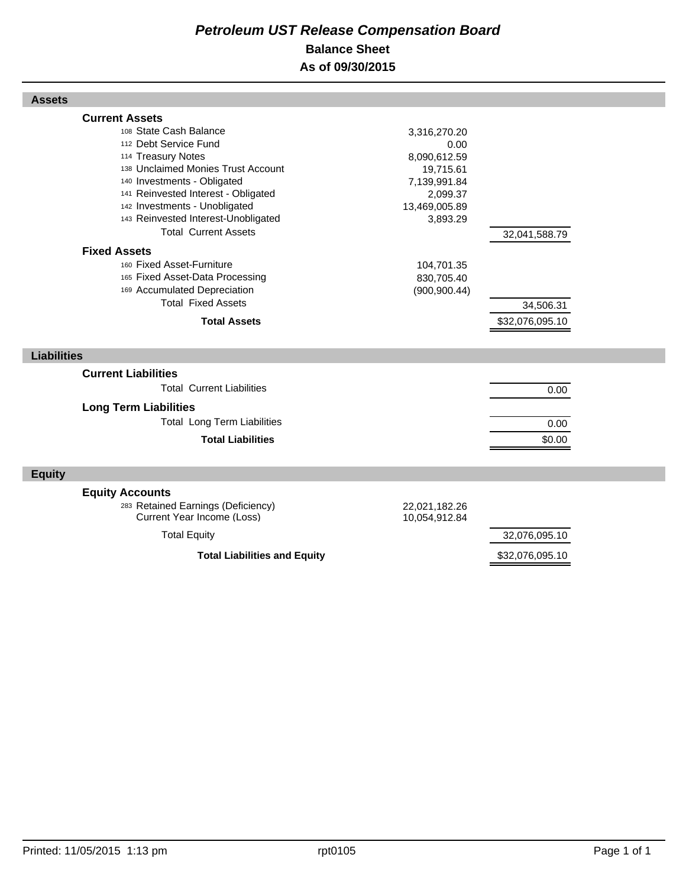## *Petroleum UST Release Compensation Board*  **Balance Sheet As of 09/30/2015**

| <b>Assets</b>                                                                                                                                                                                                                                                                                                     |                                                                                                            |                              |  |
|-------------------------------------------------------------------------------------------------------------------------------------------------------------------------------------------------------------------------------------------------------------------------------------------------------------------|------------------------------------------------------------------------------------------------------------|------------------------------|--|
| <b>Current Assets</b><br>108 State Cash Balance<br>112 Debt Service Fund<br>114 Treasury Notes<br>138 Unclaimed Monies Trust Account<br>140 Investments - Obligated<br>141 Reinvested Interest - Obligated<br>142 Investments - Unobligated<br>143 Reinvested Interest-Unobligated<br><b>Total Current Assets</b> | 3,316,270.20<br>0.00<br>8,090,612.59<br>19,715.61<br>7,139,991.84<br>2,099.37<br>13,469,005.89<br>3,893.29 | 32,041,588.79                |  |
| <b>Fixed Assets</b><br>160 Fixed Asset-Furniture<br>165 Fixed Asset-Data Processing<br>169 Accumulated Depreciation<br><b>Total Fixed Assets</b><br><b>Total Assets</b>                                                                                                                                           | 104,701.35<br>830,705.40<br>(900, 900.44)                                                                  | 34,506.31<br>\$32,076,095.10 |  |
| <b>Liabilities</b>                                                                                                                                                                                                                                                                                                |                                                                                                            |                              |  |
| <b>Current Liabilities</b><br><b>Total Current Liabilities</b><br><b>Long Term Liabilities</b><br><b>Total Long Term Liabilities</b><br><b>Total Liabilities</b>                                                                                                                                                  |                                                                                                            | 0.00<br>0.00<br>\$0.00       |  |
| <b>Equity</b>                                                                                                                                                                                                                                                                                                     |                                                                                                            |                              |  |
| <b>Equity Accounts</b><br>283 Retained Earnings (Deficiency)<br>Current Year Income (Loss)<br><b>Total Equity</b>                                                                                                                                                                                                 | 22,021,182.26<br>10,054,912.84                                                                             | 32,076,095.10                |  |
| <b>Total Liabilities and Equity</b>                                                                                                                                                                                                                                                                               |                                                                                                            | \$32,076,095.10              |  |

Г

Г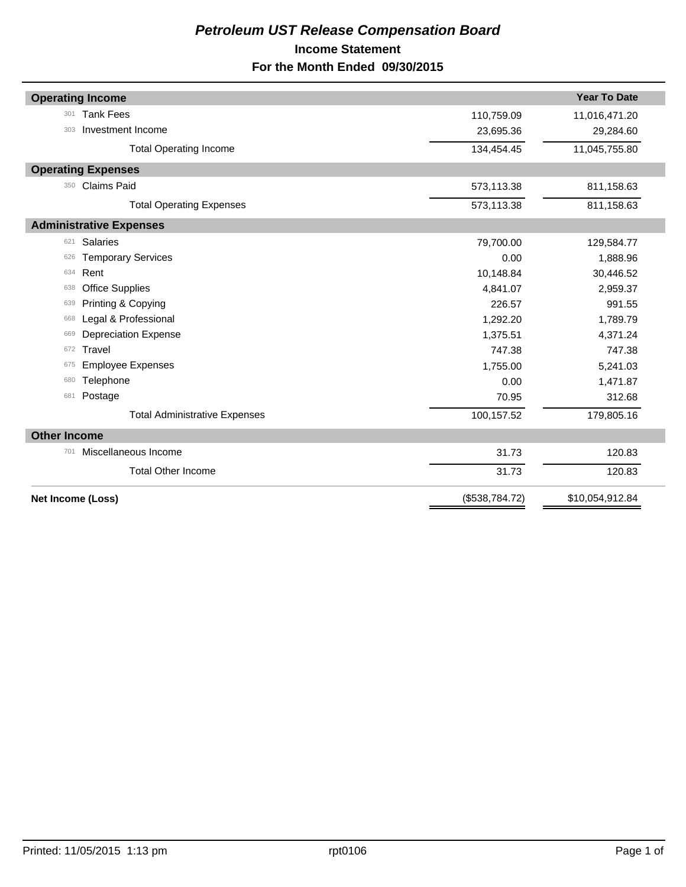## *Petroleum UST Release Compensation Board*  **Income Statement For the Month Ended 09/30/2015**

|                     | <b>Operating Income</b>              |                | <b>Year To Date</b> |
|---------------------|--------------------------------------|----------------|---------------------|
| 301                 | <b>Tank Fees</b>                     | 110,759.09     | 11,016,471.20       |
| 303                 | Investment Income                    | 23,695.36      | 29,284.60           |
|                     | <b>Total Operating Income</b>        | 134,454.45     | 11,045,755.80       |
|                     | <b>Operating Expenses</b>            |                |                     |
| 350                 | <b>Claims Paid</b>                   | 573,113.38     | 811,158.63          |
|                     | <b>Total Operating Expenses</b>      | 573,113.38     | 811,158.63          |
|                     | <b>Administrative Expenses</b>       |                |                     |
| 621                 | <b>Salaries</b>                      | 79,700.00      | 129,584.77          |
| 626                 | <b>Temporary Services</b>            | 0.00           | 1,888.96            |
| 634                 | Rent                                 | 10,148.84      | 30,446.52           |
| 638                 | <b>Office Supplies</b>               | 4,841.07       | 2,959.37            |
| 639                 | Printing & Copying                   | 226.57         | 991.55              |
| 668                 | Legal & Professional                 | 1,292.20       | 1,789.79            |
| 669                 | <b>Depreciation Expense</b>          | 1,375.51       | 4,371.24            |
| 672                 | Travel                               | 747.38         | 747.38              |
| 675                 | <b>Employee Expenses</b>             | 1,755.00       | 5,241.03            |
| 680                 | Telephone                            | 0.00           | 1,471.87            |
| 681                 | Postage                              | 70.95          | 312.68              |
|                     | <b>Total Administrative Expenses</b> | 100,157.52     | 179,805.16          |
| <b>Other Income</b> |                                      |                |                     |
| 701                 | Miscellaneous Income                 | 31.73          | 120.83              |
|                     | <b>Total Other Income</b>            | 31.73          | 120.83              |
| Net Income (Loss)   |                                      | (\$538,784.72) | \$10,054,912.84     |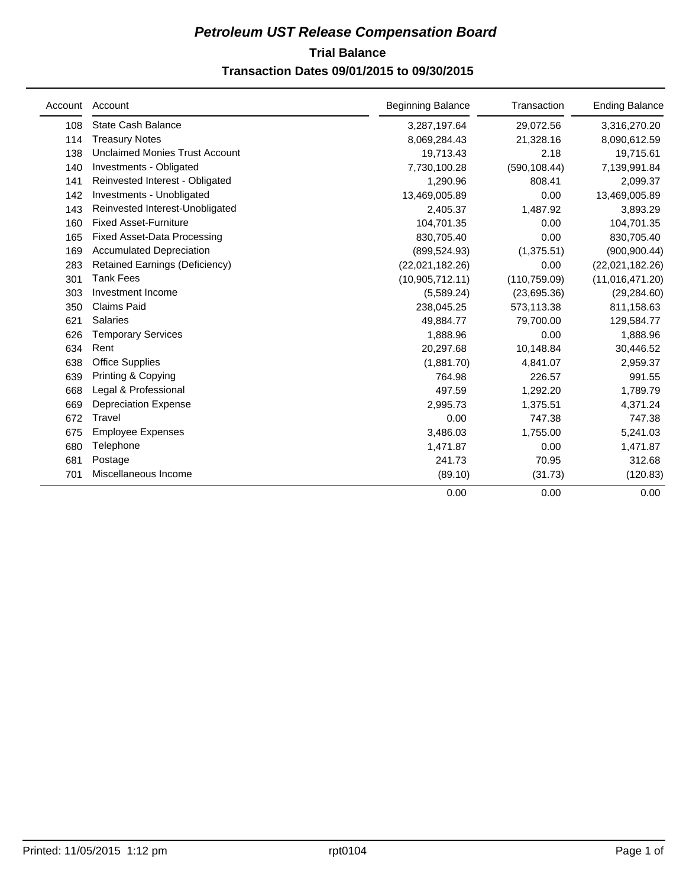## **Trial Balance** *Petroleum UST Release Compensation Board*

## **Transaction Dates 09/01/2015 to 09/30/2015**

| Account | Account                               | <b>Beginning Balance</b> | Transaction   | <b>Ending Balance</b> |
|---------|---------------------------------------|--------------------------|---------------|-----------------------|
| 108     | <b>State Cash Balance</b>             | 3,287,197.64             | 29,072.56     | 3,316,270.20          |
| 114     | <b>Treasury Notes</b>                 | 8,069,284.43             | 21,328.16     | 8,090,612.59          |
| 138     | <b>Unclaimed Monies Trust Account</b> | 19,713.43                | 2.18          | 19,715.61             |
| 140     | Investments - Obligated               | 7,730,100.28             | (590, 108.44) | 7,139,991.84          |
| 141     | Reinvested Interest - Obligated       | 1,290.96                 | 808.41        | 2,099.37              |
| 142     | Investments - Unobligated             | 13,469,005.89            | 0.00          | 13,469,005.89         |
| 143     | Reinvested Interest-Unobligated       | 2,405.37                 | 1,487.92      | 3,893.29              |
| 160     | <b>Fixed Asset-Furniture</b>          | 104,701.35               | 0.00          | 104,701.35            |
| 165     | <b>Fixed Asset-Data Processing</b>    | 830,705.40               | 0.00          | 830,705.40            |
| 169     | <b>Accumulated Depreciation</b>       | (899, 524.93)            | (1,375.51)    | (900, 900.44)         |
| 283     | <b>Retained Earnings (Deficiency)</b> | (22,021,182.26)          | 0.00          | (22,021,182.26)       |
| 301     | <b>Tank Fees</b>                      | (10,905,712.11)          | (110, 759.09) | (11,016,471.20)       |
| 303     | Investment Income                     | (5,589.24)               | (23,695.36)   | (29, 284.60)          |
| 350     | <b>Claims Paid</b>                    | 238,045.25               | 573,113.38    | 811,158.63            |
| 621     | <b>Salaries</b>                       | 49,884.77                | 79,700.00     | 129,584.77            |
| 626     | <b>Temporary Services</b>             | 1,888.96                 | 0.00          | 1,888.96              |
| 634     | Rent                                  | 20,297.68                | 10,148.84     | 30,446.52             |
| 638     | <b>Office Supplies</b>                | (1,881.70)               | 4,841.07      | 2,959.37              |
| 639     | Printing & Copying                    | 764.98                   | 226.57        | 991.55                |
| 668     | Legal & Professional                  | 497.59                   | 1,292.20      | 1,789.79              |
| 669     | <b>Depreciation Expense</b>           | 2,995.73                 | 1,375.51      | 4,371.24              |
| 672     | Travel                                | 0.00                     | 747.38        | 747.38                |
| 675     | <b>Employee Expenses</b>              | 3,486.03                 | 1,755.00      | 5,241.03              |
| 680     | Telephone                             | 1,471.87                 | 0.00          | 1,471.87              |
| 681     | Postage                               | 241.73                   | 70.95         | 312.68                |
| 701     | Miscellaneous Income                  | (89.10)                  | (31.73)       | (120.83)              |
|         |                                       | 0.00                     | 0.00          | 0.00                  |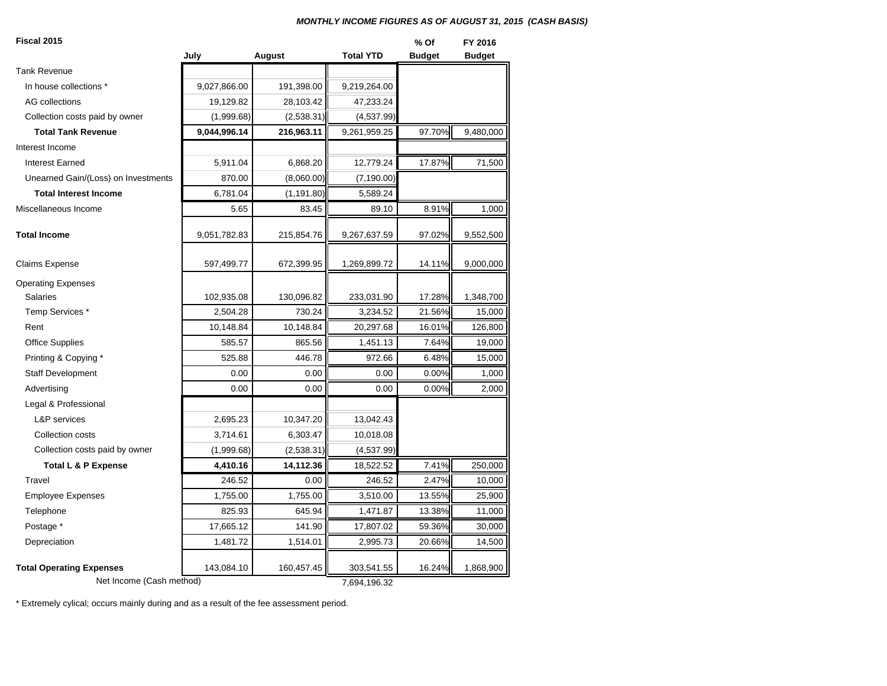#### *MONTHLY INCOME FIGURES AS OF AUGUST 31, 2015 (CASH BASIS)*

#### **Fiscal 2015**

| <b>Fiscal 2015</b>                  |              |             |                  | % Of          | FY 2016       |
|-------------------------------------|--------------|-------------|------------------|---------------|---------------|
|                                     | July         | August      | <b>Total YTD</b> | <b>Budget</b> | <b>Budget</b> |
| <b>Tank Revenue</b>                 |              |             |                  |               |               |
| In house collections *              | 9,027,866.00 | 191,398.00  | 9,219,264.00     |               |               |
| AG collections                      | 19,129.82    | 28,103.42   | 47,233.24        |               |               |
| Collection costs paid by owner      | (1,999.68)   | (2,538.31)  | (4,537.99)       |               |               |
| <b>Total Tank Revenue</b>           | 9,044,996.14 | 216,963.11  | 9,261,959.25     | 97.70%        | 9,480,000     |
| Interest Income                     |              |             |                  |               |               |
| <b>Interest Earned</b>              | 5,911.04     | 6,868.20    | 12,779.24        | 17.87%        | 71,500        |
| Unearned Gain/(Loss) on Investments | 870.00       | (8,060.00)  | (7, 190.00)      |               |               |
| <b>Total Interest Income</b>        | 6,781.04     | (1, 191.80) | 5,589.24         |               |               |
| Miscellaneous Income                | 5.65         | 83.45       | 89.10            | 8.91%         | 1,000         |
| <b>Total Income</b>                 | 9,051,782.83 | 215,854.76  | 9,267,637.59     | 97.02%        | 9,552,500     |
| <b>Claims Expense</b>               | 597,499.77   | 672,399.95  | 1,269,899.72     | 14.11%        | 9,000,000     |
| <b>Operating Expenses</b>           |              |             |                  |               |               |
| <b>Salaries</b>                     | 102,935.08   | 130,096.82  | 233,031.90       | 17.28%        | 1,348,700     |
| Temp Services *                     | 2,504.28     | 730.24      | 3,234.52         | 21.56%        | 15,000        |
| Rent                                | 10,148.84    | 10,148.84   | 20,297.68        | 16.01%        | 126,800       |
| <b>Office Supplies</b>              | 585.57       | 865.56      | 1,451.13         | 7.64%         | 19,000        |
| Printing & Copying *                | 525.88       | 446.78      | 972.66           | 6.48%         | 15,000        |
| <b>Staff Development</b>            | 0.00         | 0.00        | 0.00             | 0.00%         | 1,000         |
| Advertising                         | 0.00         | 0.00        | 0.00             | 0.00%         | 2,000         |
| Legal & Professional                |              |             |                  |               |               |
| L&P services                        | 2,695.23     | 10,347.20   | 13,042.43        |               |               |
| Collection costs                    | 3,714.61     | 6,303.47    | 10,018.08        |               |               |
| Collection costs paid by owner      | (1,999.68)   | (2,538.31)  | (4,537.99)       |               |               |
| Total L & P Expense                 | 4,410.16     | 14,112.36   | 18,522.52        | 7.41%         | 250,000       |
| Travel                              | 246.52       | 0.00        | 246.52           | 2.47%         | 10,000        |
| <b>Employee Expenses</b>            | 1,755.00     | 1,755.00    | 3,510.00         | 13.55%        | 25,900        |
| Telephone                           | 825.93       | 645.94      | 1,471.87         | 13.38%        | 11,000        |
| Postage *                           | 17,665.12    | 141.90      | 17,807.02        | 59.36%        | 30,000        |
| Depreciation                        | 1,481.72     | 1,514.01    | 2,995.73         | 20.66%        | 14,500        |
| <b>Total Operating Expenses</b>     | 143,084.10   | 160,457.45  | 303,541.55       | 16.24%        | 1,868,900     |
| Net Income (Cash method)            |              |             | 7,694,196.32     |               |               |

\* Extremely cylical; occurs mainly during and as a result of the fee assessment period.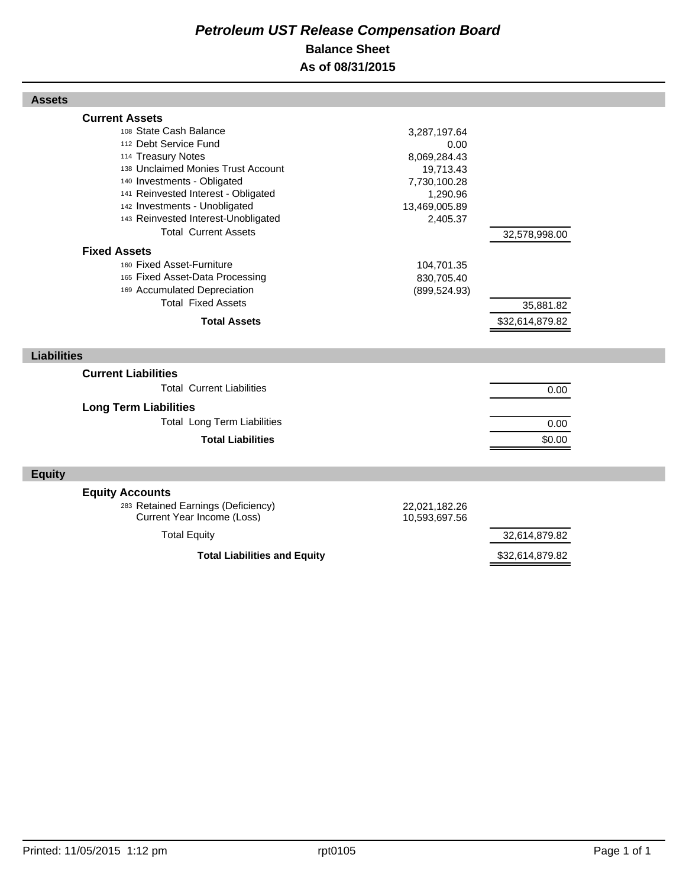## *Petroleum UST Release Compensation Board*  **Balance Sheet As of 08/31/2015**

| <b>Assets</b>                                                                                                                                                                                                                                                                                                                                                                   |                                                                                                                                                         |  |
|---------------------------------------------------------------------------------------------------------------------------------------------------------------------------------------------------------------------------------------------------------------------------------------------------------------------------------------------------------------------------------|---------------------------------------------------------------------------------------------------------------------------------------------------------|--|
| <b>Current Assets</b>                                                                                                                                                                                                                                                                                                                                                           |                                                                                                                                                         |  |
| 108 State Cash Balance<br>112 Debt Service Fund<br>114 Treasury Notes<br>138 Unclaimed Monies Trust Account<br>140 Investments - Obligated<br>141 Reinvested Interest - Obligated<br>142 Investments - Unobligated<br>143 Reinvested Interest-Unobligated<br><b>Total Current Assets</b><br><b>Fixed Assets</b><br>160 Fixed Asset-Furniture<br>165 Fixed Asset-Data Processing | 3,287,197.64<br>0.00<br>8,069,284.43<br>19,713.43<br>7,730,100.28<br>1,290.96<br>13,469,005.89<br>2,405.37<br>32,578,998.00<br>104,701.35<br>830,705.40 |  |
| 169 Accumulated Depreciation<br><b>Total Fixed Assets</b>                                                                                                                                                                                                                                                                                                                       | (899, 524.93)                                                                                                                                           |  |
|                                                                                                                                                                                                                                                                                                                                                                                 | 35,881.82                                                                                                                                               |  |
| <b>Total Assets</b>                                                                                                                                                                                                                                                                                                                                                             | \$32,614,879.82                                                                                                                                         |  |
| <b>Liabilities</b>                                                                                                                                                                                                                                                                                                                                                              |                                                                                                                                                         |  |
| <b>Current Liabilities</b><br><b>Total Current Liabilities</b>                                                                                                                                                                                                                                                                                                                  | 0.00                                                                                                                                                    |  |
| <b>Long Term Liabilities</b><br><b>Total Long Term Liabilities</b>                                                                                                                                                                                                                                                                                                              | 0.00                                                                                                                                                    |  |
| <b>Total Liabilities</b>                                                                                                                                                                                                                                                                                                                                                        | \$0.00                                                                                                                                                  |  |
| <b>Equity</b>                                                                                                                                                                                                                                                                                                                                                                   |                                                                                                                                                         |  |
| <b>Equity Accounts</b><br>283 Retained Earnings (Deficiency)<br>Current Year Income (Loss)                                                                                                                                                                                                                                                                                      | 22,021,182.26<br>10,593,697.56                                                                                                                          |  |
| <b>Total Equity</b>                                                                                                                                                                                                                                                                                                                                                             | 32,614,879.82                                                                                                                                           |  |
| <b>Total Liabilities and Equity</b>                                                                                                                                                                                                                                                                                                                                             | \$32,614,879.82                                                                                                                                         |  |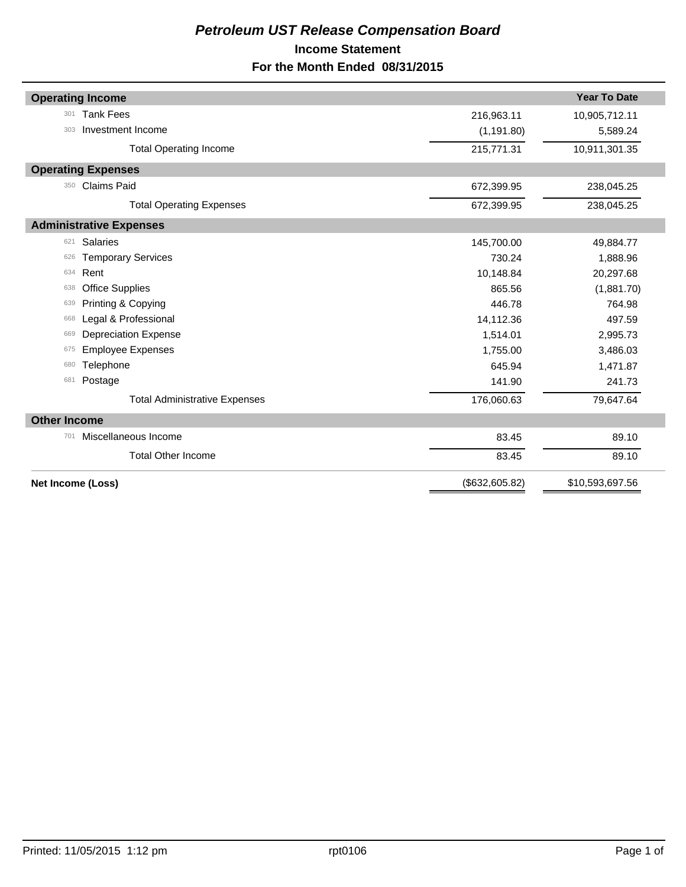## *Petroleum UST Release Compensation Board*  **Income Statement For the Month Ended 08/31/2015**

| <b>Operating Income</b>              |                | <b>Year To Date</b> |
|--------------------------------------|----------------|---------------------|
| <b>Tank Fees</b><br>301              | 216,963.11     | 10,905,712.11       |
| Investment Income<br>303             | (1, 191.80)    | 5,589.24            |
| <b>Total Operating Income</b>        | 215,771.31     | 10,911,301.35       |
| <b>Operating Expenses</b>            |                |                     |
| <b>Claims Paid</b><br>350            | 672,399.95     | 238,045.25          |
| <b>Total Operating Expenses</b>      | 672,399.95     | 238,045.25          |
| <b>Administrative Expenses</b>       |                |                     |
| <b>Salaries</b><br>621               | 145,700.00     | 49,884.77           |
| <b>Temporary Services</b><br>626     | 730.24         | 1,888.96            |
| Rent<br>634                          | 10,148.84      | 20,297.68           |
| <b>Office Supplies</b><br>638        | 865.56         | (1,881.70)          |
| Printing & Copying<br>639            | 446.78         | 764.98              |
| Legal & Professional<br>668          | 14,112.36      | 497.59              |
| <b>Depreciation Expense</b><br>669   | 1,514.01       | 2,995.73            |
| <b>Employee Expenses</b><br>675      | 1,755.00       | 3,486.03            |
| Telephone<br>680                     | 645.94         | 1,471.87            |
| Postage<br>681                       | 141.90         | 241.73              |
| <b>Total Administrative Expenses</b> | 176,060.63     | 79,647.64           |
| <b>Other Income</b>                  |                |                     |
| Miscellaneous Income<br>701          | 83.45          | 89.10               |
| <b>Total Other Income</b>            | 83.45          | 89.10               |
| Net Income (Loss)                    | (\$632,605.82) | \$10,593,697.56     |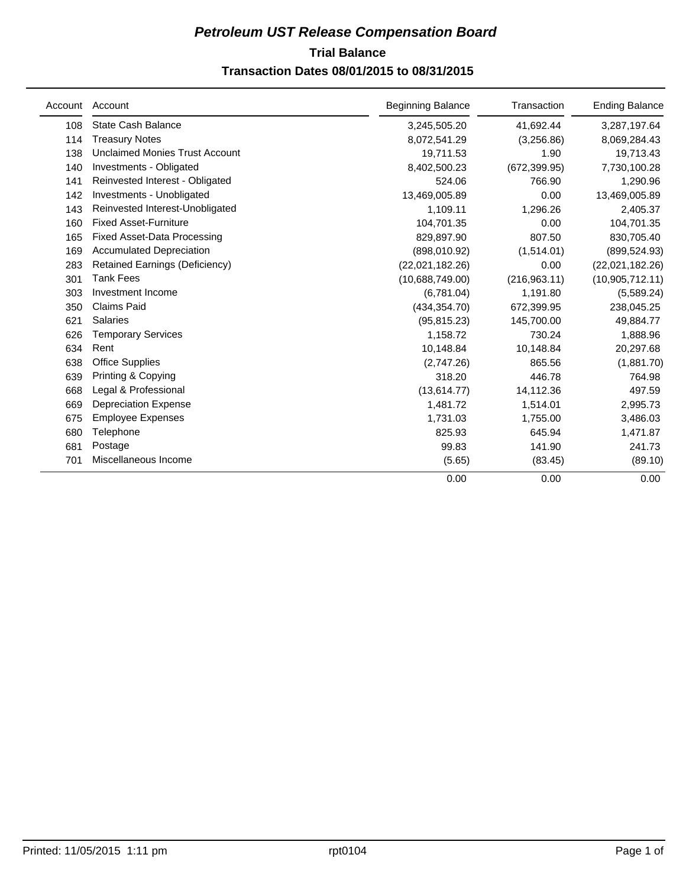## **Trial Balance** *Petroleum UST Release Compensation Board*

## **Transaction Dates 08/01/2015 to 08/31/2015**

| Account | Account                               | <b>Beginning Balance</b> | Transaction   | <b>Ending Balance</b> |
|---------|---------------------------------------|--------------------------|---------------|-----------------------|
| 108     | <b>State Cash Balance</b>             | 3,245,505.20             | 41,692.44     | 3,287,197.64          |
| 114     | <b>Treasury Notes</b>                 | 8,072,541.29             | (3,256.86)    | 8,069,284.43          |
| 138     | <b>Unclaimed Monies Trust Account</b> | 19,711.53                | 1.90          | 19,713.43             |
| 140     | Investments - Obligated               | 8,402,500.23             | (672, 399.95) | 7,730,100.28          |
| 141     | Reinvested Interest - Obligated       | 524.06                   | 766.90        | 1,290.96              |
| 142     | Investments - Unobligated             | 13,469,005.89            | 0.00          | 13,469,005.89         |
| 143     | Reinvested Interest-Unobligated       | 1,109.11                 | 1,296.26      | 2,405.37              |
| 160     | <b>Fixed Asset-Furniture</b>          | 104,701.35               | 0.00          | 104,701.35            |
| 165     | <b>Fixed Asset-Data Processing</b>    | 829,897.90               | 807.50        | 830,705.40            |
| 169     | <b>Accumulated Depreciation</b>       | (898,010.92)             | (1,514.01)    | (899, 524.93)         |
| 283     | Retained Earnings (Deficiency)        | (22,021,182.26)          | 0.00          | (22,021,182.26)       |
| 301     | <b>Tank Fees</b>                      | (10.688, 749.00)         | (216,963.11)  | (10, 905, 712.11)     |
| 303     | Investment Income                     | (6,781.04)               | 1,191.80      | (5,589.24)            |
| 350     | <b>Claims Paid</b>                    | (434, 354.70)            | 672,399.95    | 238,045.25            |
| 621     | <b>Salaries</b>                       | (95, 815.23)             | 145,700.00    | 49,884.77             |
| 626     | <b>Temporary Services</b>             | 1,158.72                 | 730.24        | 1,888.96              |
| 634     | Rent                                  | 10,148.84                | 10,148.84     | 20,297.68             |
| 638     | <b>Office Supplies</b>                | (2,747.26)               | 865.56        | (1,881.70)            |
| 639     | Printing & Copying                    | 318.20                   | 446.78        | 764.98                |
| 668     | Legal & Professional                  | (13,614.77)              | 14,112.36     | 497.59                |
| 669     | <b>Depreciation Expense</b>           | 1,481.72                 | 1,514.01      | 2,995.73              |
| 675     | <b>Employee Expenses</b>              | 1,731.03                 | 1,755.00      | 3,486.03              |
| 680     | Telephone                             | 825.93                   | 645.94        | 1,471.87              |
| 681     | Postage                               | 99.83                    | 141.90        | 241.73                |
| 701     | Miscellaneous Income                  | (5.65)                   | (83.45)       | (89.10)               |
|         |                                       | 0.00                     | 0.00          | 0.00                  |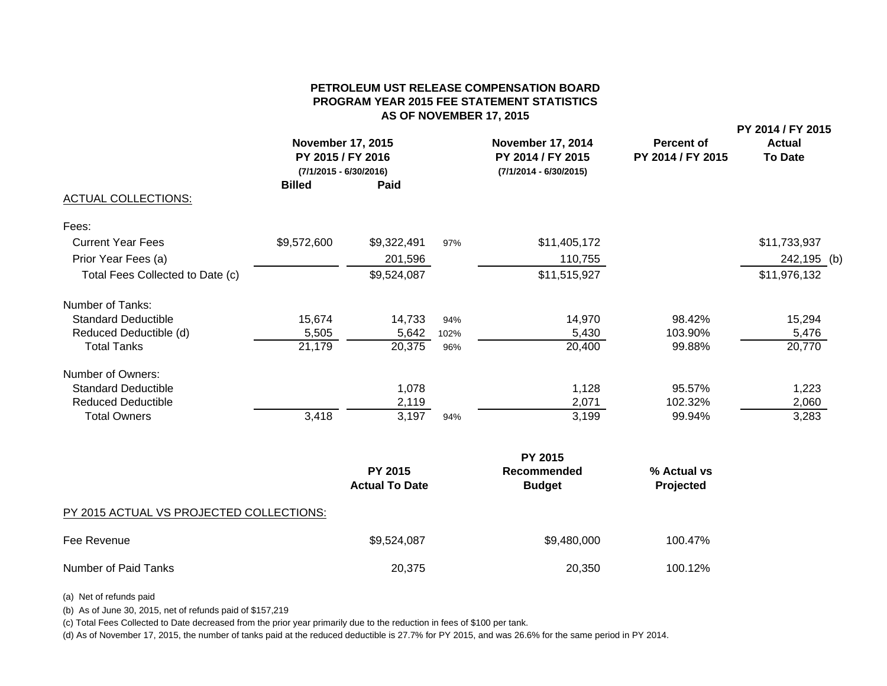#### **PETROLEUM UST RELEASE COMPENSATION BOARDPROGRAM YEAR 2015 FEE STATEMENT STATISTICS AS OF NOVEMBER 17, 2015**

| <b>ACTUAL COLLECTIONS:</b>       | <b>November 17, 2015</b><br>PY 2015 / FY 2016<br>$(7/1/2015 - 6/30/2016)$<br><b>Billed</b> | <b>Paid</b> |      | <b>November 17, 2014</b><br>PY 2014 / FY 2015<br>$(7/1/2014 - 6/30/2015)$ | <b>Percent of</b><br>PY 2014 / FY 2015 | PY 2014 / FY 2015<br><b>Actual</b><br><b>To Date</b> |
|----------------------------------|--------------------------------------------------------------------------------------------|-------------|------|---------------------------------------------------------------------------|----------------------------------------|------------------------------------------------------|
| Fees:                            |                                                                                            |             |      |                                                                           |                                        |                                                      |
| <b>Current Year Fees</b>         | \$9,572,600                                                                                | \$9,322,491 | 97%  | \$11,405,172                                                              |                                        | \$11,733,937                                         |
| Prior Year Fees (a)              |                                                                                            | 201,596     |      | 110,755                                                                   |                                        | 242,195 (b)                                          |
| Total Fees Collected to Date (c) |                                                                                            | \$9,524,087 |      | \$11,515,927                                                              |                                        | \$11,976,132                                         |
| Number of Tanks:                 |                                                                                            |             |      |                                                                           |                                        |                                                      |
| <b>Standard Deductible</b>       | 15,674                                                                                     | 14,733      | 94%  | 14,970                                                                    | 98.42%                                 | 15,294                                               |
| Reduced Deductible (d)           | 5,505                                                                                      | 5,642       | 102% | 5,430                                                                     | 103.90%                                | 5,476                                                |
| <b>Total Tanks</b>               | 21,179                                                                                     | 20,375      | 96%  | 20,400                                                                    | 99.88%                                 | 20,770                                               |
| Number of Owners:                |                                                                                            |             |      |                                                                           |                                        |                                                      |
| <b>Standard Deductible</b>       |                                                                                            | 1,078       |      | 1,128                                                                     | 95.57%                                 | 1,223                                                |
| <b>Reduced Deductible</b>        |                                                                                            | 2,119       |      | 2,071                                                                     | 102.32%                                | 2,060                                                |
| <b>Total Owners</b>              | 3,418                                                                                      | 3,197       | 94%  | 3,199                                                                     | 99.94%                                 | 3,283                                                |
|                                  |                                                                                            |             |      | PY 2015                                                                   |                                        |                                                      |

|                                          | <b>PY 2015</b>        | Recommended   | % Actual vs |  |
|------------------------------------------|-----------------------|---------------|-------------|--|
|                                          | <b>Actual To Date</b> | <b>Budget</b> | Projected   |  |
| PY 2015 ACTUAL VS PROJECTED COLLECTIONS: |                       |               |             |  |
| Fee Revenue                              | \$9,524,087           | \$9,480,000   | 100.47%     |  |
| Number of Paid Tanks                     | 20,375                | 20,350        | 100.12%     |  |

(a) Net of refunds paid

(b) As of June 30, 2015, net of refunds paid of \$157,219

(c) Total Fees Collected to Date decreased from the prior year primarily due to the reduction in fees of \$100 per tank.

(d) As of November 17, 2015, the number of tanks paid at the reduced deductible is 27.7% for PY 2015, and was 26.6% for the same period in PY 2014.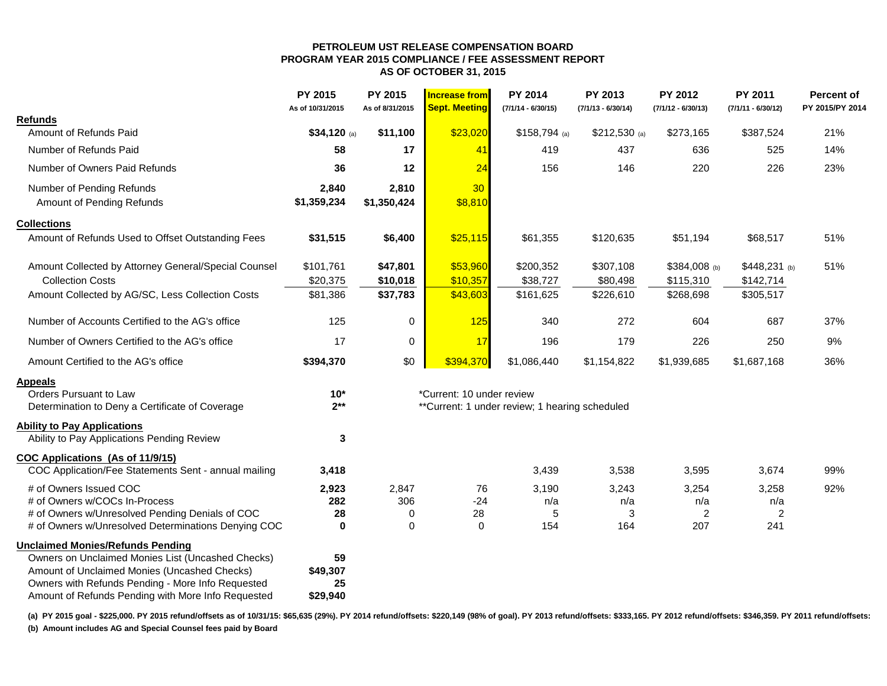#### **PETROLEUM UST RELEASE COMPENSATION BOARD PROGRAM YEAR 2015 COMPLIANCE / FEE ASSESSMENT REPORT AS OF OCTOBER 31, 2015**

|                                                                                                   | <b>PY 2015</b><br>As of 10/31/2015 | PY 2015<br>As of 8/31/2015 | <b>Increase from</b><br><b>Sept. Meeting</b> | <b>PY 2014</b><br>$(7/1/14 - 6/30/15)$         | <b>PY 2013</b><br>$(7/1/13 - 6/30/14)$ | <b>PY 2012</b><br>$(7/1/12 - 6/30/13)$ | <b>PY 2011</b><br>$(7/1/11 - 6/30/12)$ | <b>Percent of</b><br>PY 2015/PY 2014 |
|---------------------------------------------------------------------------------------------------|------------------------------------|----------------------------|----------------------------------------------|------------------------------------------------|----------------------------------------|----------------------------------------|----------------------------------------|--------------------------------------|
| <b>Refunds</b>                                                                                    |                                    |                            |                                              |                                                |                                        |                                        |                                        |                                      |
| Amount of Refunds Paid                                                                            | \$34,120 (a)                       | \$11,100                   | \$23,020                                     | $$158,794$ (a)                                 | $$212,530$ (a)                         | \$273,165                              | \$387,524                              | 21%                                  |
| Number of Refunds Paid                                                                            | 58                                 | 17                         | 41                                           | 419                                            | 437                                    | 636                                    | 525                                    | 14%                                  |
| Number of Owners Paid Refunds                                                                     | 36                                 | 12                         | 24                                           | 156                                            | 146                                    | 220                                    | 226                                    | 23%                                  |
| Number of Pending Refunds                                                                         | 2,840                              | 2,810                      | 30                                           |                                                |                                        |                                        |                                        |                                      |
| Amount of Pending Refunds                                                                         | \$1,359,234                        | \$1,350,424                | \$8,810                                      |                                                |                                        |                                        |                                        |                                      |
| <b>Collections</b>                                                                                |                                    |                            |                                              |                                                |                                        |                                        |                                        |                                      |
| Amount of Refunds Used to Offset Outstanding Fees                                                 | \$31,515                           | \$6,400                    | \$25,115                                     | \$61,355                                       | \$120,635                              | \$51,194                               | \$68,517                               | 51%                                  |
| Amount Collected by Attorney General/Special Counsel                                              | \$101,761                          | \$47,801                   | \$53,960                                     | \$200,352                                      | \$307,108                              | \$384,008 (b)                          | \$448,231 (b)                          | 51%                                  |
| <b>Collection Costs</b>                                                                           | \$20,375                           | \$10,018                   | \$10,357                                     | \$38,727                                       | \$80,498                               | \$115,310                              | \$142,714                              |                                      |
| Amount Collected by AG/SC, Less Collection Costs                                                  | \$81,386                           | \$37,783                   | \$43,603                                     | \$161,625                                      | \$226,610                              | \$268,698                              | \$305,517                              |                                      |
| Number of Accounts Certified to the AG's office                                                   | 125                                | 0                          | 125                                          | 340                                            | 272                                    | 604                                    | 687                                    | 37%                                  |
| Number of Owners Certified to the AG's office                                                     | 17                                 | 0                          | 17                                           | 196                                            | 179                                    | 226                                    | 250                                    | 9%                                   |
| Amount Certified to the AG's office                                                               | \$394,370                          | \$0                        | \$394,370                                    | \$1,086,440                                    | \$1,154,822                            | \$1,939,685                            | \$1,687,168                            | 36%                                  |
| <b>Appeals</b>                                                                                    |                                    |                            |                                              |                                                |                                        |                                        |                                        |                                      |
| Orders Pursuant to Law                                                                            | $10*$                              |                            | *Current: 10 under review                    |                                                |                                        |                                        |                                        |                                      |
| Determination to Deny a Certificate of Coverage                                                   | $2**$                              |                            |                                              | **Current: 1 under review; 1 hearing scheduled |                                        |                                        |                                        |                                      |
| <b>Ability to Pay Applications</b>                                                                |                                    |                            |                                              |                                                |                                        |                                        |                                        |                                      |
| Ability to Pay Applications Pending Review                                                        | 3                                  |                            |                                              |                                                |                                        |                                        |                                        |                                      |
| <b>COC Applications (As of 11/9/15)</b>                                                           |                                    |                            |                                              |                                                |                                        |                                        |                                        |                                      |
| COC Application/Fee Statements Sent - annual mailing                                              | 3,418                              |                            |                                              | 3,439                                          | 3,538                                  | 3,595                                  | 3,674                                  | 99%                                  |
| # of Owners Issued COC                                                                            | 2,923                              | 2,847                      | 76                                           | 3,190                                          | 3,243                                  | 3,254                                  | 3,258                                  | 92%                                  |
| # of Owners w/COCs In-Process                                                                     | 282                                | 306                        | $-24$                                        | n/a                                            | n/a                                    | n/a                                    | n/a                                    |                                      |
| # of Owners w/Unresolved Pending Denials of COC                                                   | 28                                 | 0                          | 28                                           | 5                                              | 3                                      | $\overline{c}$                         | 2                                      |                                      |
| # of Owners w/Unresolved Determinations Denying COC                                               | 0                                  | $\Omega$                   | 0                                            | 154                                            | 164                                    | 207                                    | 241                                    |                                      |
| <b>Unclaimed Monies/Refunds Pending</b>                                                           |                                    |                            |                                              |                                                |                                        |                                        |                                        |                                      |
| Owners on Unclaimed Monies List (Uncashed Checks)                                                 | 59                                 |                            |                                              |                                                |                                        |                                        |                                        |                                      |
| Amount of Unclaimed Monies (Uncashed Checks)<br>Owners with Refunds Pending - More Info Requested | \$49,307<br>25                     |                            |                                              |                                                |                                        |                                        |                                        |                                      |
| Amount of Refunds Pending with More Info Requested                                                | \$29,940                           |                            |                                              |                                                |                                        |                                        |                                        |                                      |

(a) PY 2015 goal - \$225,000. PY 2015 refund/offsets as of 10/31/15: \$65,635 (29%). PY 2014 refund/offsets: \$220,149 (98% of goal). PY 2013 refund/offsets: \$333,165. PY 2012 refund/offsets: \$346,359. PY 2011 refund/offsets: **(b) Amount includes AG and Special Counsel fees paid by Board**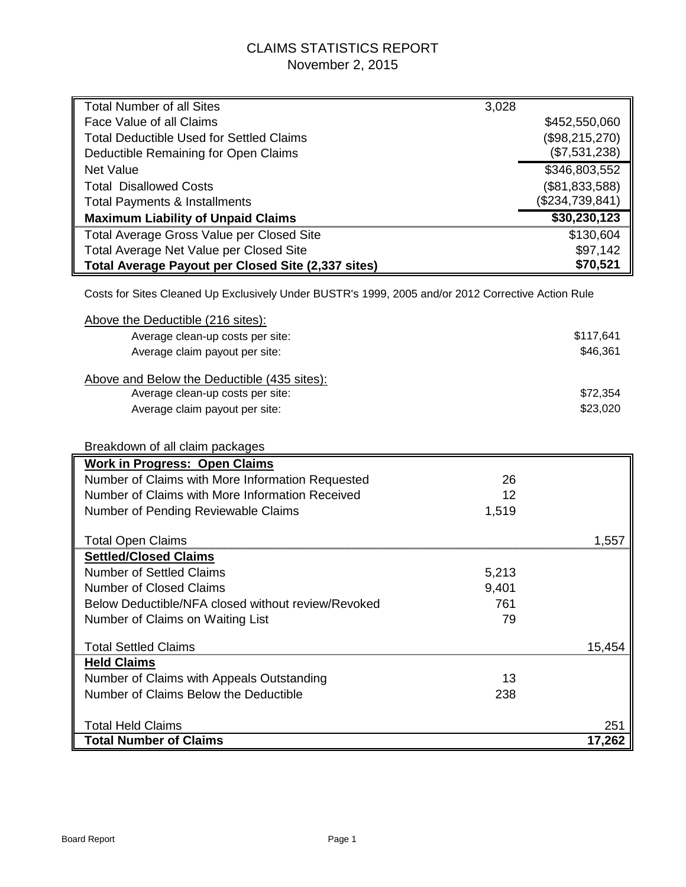## CLAIMS STATISTICS REPORT November 2, 2015

| <b>Total Number of all Sites</b>                                                                   | 3,028 |                 |
|----------------------------------------------------------------------------------------------------|-------|-----------------|
| Face Value of all Claims                                                                           |       | \$452,550,060   |
| <b>Total Deductible Used for Settled Claims</b>                                                    |       | (\$98,215,270)  |
| Deductible Remaining for Open Claims                                                               |       | (\$7,531,238)   |
| <b>Net Value</b>                                                                                   |       | \$346,803,552   |
| <b>Total Disallowed Costs</b>                                                                      |       | (\$81,833,588)  |
| <b>Total Payments &amp; Installments</b>                                                           |       | (\$234,739,841) |
| <b>Maximum Liability of Unpaid Claims</b>                                                          |       | \$30,230,123    |
| <b>Total Average Gross Value per Closed Site</b>                                                   |       | \$130,604       |
| Total Average Net Value per Closed Site                                                            |       | \$97,142        |
| Total Average Payout per Closed Site (2,337 sites)                                                 |       | \$70,521        |
|                                                                                                    |       |                 |
| Costs for Sites Cleaned Up Exclusively Under BUSTR's 1999, 2005 and/or 2012 Corrective Action Rule |       |                 |
| Above the Deductible (216 sites):                                                                  |       |                 |
| Average clean-up costs per site:                                                                   |       | \$117,641       |
| Average claim payout per site:                                                                     |       | \$46,361        |
|                                                                                                    |       |                 |
| Above and Below the Deductible (435 sites):                                                        |       |                 |
| Average clean-up costs per site:                                                                   |       | \$72,354        |
| Average claim payout per site:                                                                     |       | \$23,020        |
|                                                                                                    |       |                 |
| Breakdown of all claim packages                                                                    |       |                 |
| <b>Work in Progress: Open Claims</b>                                                               |       |                 |
| Number of Claims with More Information Requested                                                   | 26    |                 |
| Number of Claims with More Information Received                                                    | 12    |                 |
| Number of Pending Reviewable Claims                                                                | 1,519 |                 |
|                                                                                                    |       |                 |
| <b>Total Open Claims</b>                                                                           |       | 1,557           |
| <b>Settled/Closed Claims</b>                                                                       |       |                 |
| Number of Settled Claims                                                                           | 5,213 |                 |
| <b>Number of Closed Claims</b>                                                                     | 9,401 |                 |
| Below Deductible/NFA closed without review/Revoked                                                 | 761   |                 |
| Number of Claims on Waiting List                                                                   | 79    |                 |
| <b>Total Settled Claims</b>                                                                        |       | 15,454          |
| <b>Held Claims</b>                                                                                 |       |                 |
| Number of Claims with Appeals Outstanding                                                          | 13    |                 |
| Number of Claims Below the Deductible                                                              | 238   |                 |
|                                                                                                    |       |                 |
| <b>Total Held Claims</b>                                                                           |       | 251             |
| <b>Total Number of Claims</b>                                                                      |       | 17,262          |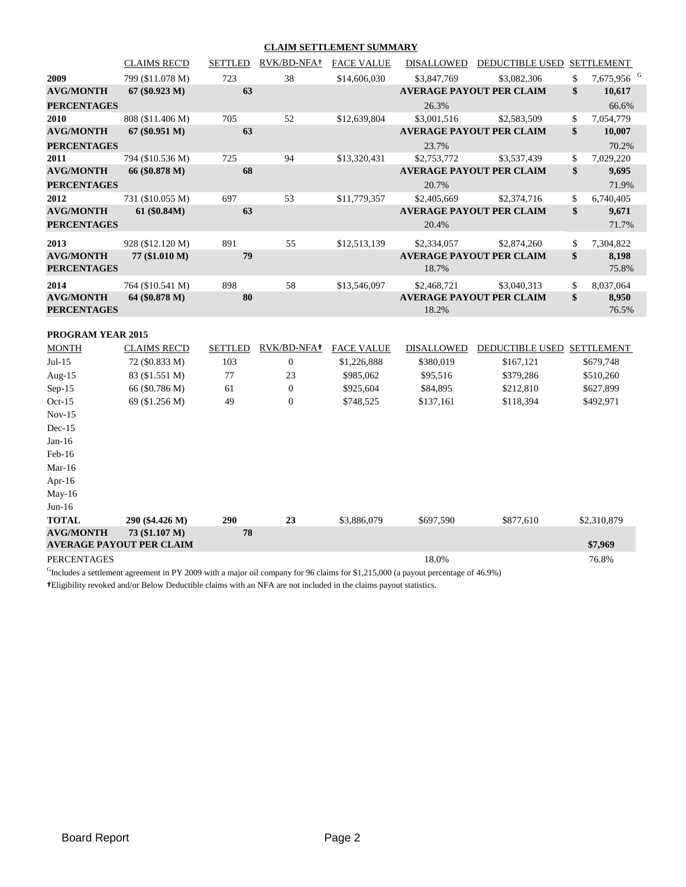#### **CLAIM SETTLEMENT SUMMARY**

|                                        | <b>CLAIMS REC'D</b> | <b>SETTLED</b> | RVK/BD-NFA+ | <b>FACE VALUE</b> | <b>DISALLOWED</b> | <b>DEDUCTIBLE USED</b>          | <b>SETTLEMENT</b>            |
|----------------------------------------|---------------------|----------------|-------------|-------------------|-------------------|---------------------------------|------------------------------|
| 2009                                   | 799 (\$11.078 M)    | 723            | 38          | \$14,606,030      | \$3,847,769       | \$3,082,306                     | \$<br>7,675,956 <sup>G</sup> |
| <b>AVG/MONTH</b>                       | 67 (\$0.923 M)      | 63             |             |                   |                   | <b>AVERAGE PAYOUT PER CLAIM</b> | \$<br>10,617                 |
| <b>PERCENTAGES</b>                     |                     |                |             |                   | 26.3%             |                                 | 66.6%                        |
| 2010                                   | 808 (\$11.406 M)    | 705            | 52          | \$12,639,804      | \$3,001,516       | \$2,583,509                     | \$<br>7,054,779              |
| <b>AVG/MONTH</b>                       | $67 (\$0.951 M)$    | 63             |             |                   |                   | <b>AVERAGE PAYOUT PER CLAIM</b> | \$<br>10,007                 |
| <b>PERCENTAGES</b>                     |                     |                |             |                   | 23.7%             |                                 | 70.2%                        |
| 2011                                   | 794 (\$10.536 M)    | 725            | 94          | \$13,320,431      | \$2,753,772       | \$3,537,439                     | \$<br>7,029,220              |
| <b>AVG/MONTH</b>                       | 66 (\$0.878 M)      | 68             |             |                   |                   | <b>AVERAGE PAYOUT PER CLAIM</b> | \$<br>9,695                  |
| <b>PERCENTAGES</b>                     |                     |                |             |                   | 20.7%             |                                 | 71.9%                        |
| 2012                                   | 731 (\$10.055 M)    | 697            | 53          | \$11,779,357      | \$2,405,669       | \$2,374,716                     | \$<br>6,740,405              |
| <b>AVG/MONTH</b>                       | 61 (\$0.84M)        | 63             |             |                   |                   | <b>AVERAGE PAYOUT PER CLAIM</b> | \$<br>9,671                  |
| <b>PERCENTAGES</b>                     |                     |                |             |                   | 20.4%             |                                 | 71.7%                        |
| 2013                                   | 928 (\$12.120 M)    | 891            | 55          | \$12,513,139      | \$2,334,057       | \$2,874,260                     | \$<br>7,304,822              |
| <b>AVG/MONTH</b><br><b>PERCENTAGES</b> | 77 (\$1.010 M)      | 79             |             |                   | 18.7%             | <b>AVERAGE PAYOUT PER CLAIM</b> | \$<br>8,198<br>75.8%         |
| 2014                                   | 764 (\$10.541 M)    | 898            | 58          | \$13,546,097      | \$2,468,721       | \$3,040,313                     | \$<br>8,037,064              |
| <b>AVG/MONTH</b><br><b>PERCENTAGES</b> | 64 (\$0.878 M)      | 80             |             |                   | 18.2%             | <b>AVERAGE PAYOUT PER CLAIM</b> | \$<br>8,950<br>76.5%         |
| <b>PROGRAM YEAR 2015</b>               |                     |                |             |                   |                   |                                 |                              |

| <b>MONTH</b>       | <b>CLAIMS REC'D</b>             | <b>SETTLED</b> | RVK/BD-NFA+    | <b>FACE VALUE</b> | <b>DISALLOWED</b> | <b>DEDUCTIBLE USED</b> | <b>SETTLEMENT</b> |
|--------------------|---------------------------------|----------------|----------------|-------------------|-------------------|------------------------|-------------------|
| $Jul-15$           | 72 (\$0.833 M)                  | 103            | $\overline{0}$ | \$1,226,888       | \$380,019         | \$167,121              | \$679,748         |
| Aug- $15$          | 83 (\$1.551 M)                  | 77             | 23             | \$985,062         | \$95,516          | \$379,286              | \$510,260         |
| $Sep-15$           | 66 (\$0.786 M)                  | 61             | $\overline{0}$ | \$925,604         | \$84,895          | \$212,810              | \$627,899         |
| $Oct-15$           | 69 (\$1.256 M)                  | 49             | $\mathbf{0}$   | \$748,525         | \$137,161         | \$118,394              | \$492,971         |
| $Nov-15$           |                                 |                |                |                   |                   |                        |                   |
| $Dec-15$           |                                 |                |                |                   |                   |                        |                   |
| Jan-16             |                                 |                |                |                   |                   |                        |                   |
| $Feb-16$           |                                 |                |                |                   |                   |                        |                   |
| Mar- $16$          |                                 |                |                |                   |                   |                        |                   |
| Apr-16             |                                 |                |                |                   |                   |                        |                   |
| $May-16$           |                                 |                |                |                   |                   |                        |                   |
| $Jun-16$           |                                 |                |                |                   |                   |                        |                   |
| <b>TOTAL</b>       | 290 (\$4.426 M)                 | <b>290</b>     | 23             | \$3,886,079       | \$697,590         | \$877,610              | \$2,310,879       |
| <b>AVG/MONTH</b>   | 73 (\$1.107 M)                  | 78             |                |                   |                   |                        |                   |
|                    | <b>AVERAGE PAYOUT PER CLAIM</b> |                |                |                   |                   |                        | \$7,969           |
| <b>PERCENTAGES</b> |                                 |                |                |                   | 18.0%             |                        | 76.8%             |

<sup>G</sup>Includes a settlement agreement in PY 2009 with a major oil company for 96 claims for \$1,215,000 (a payout percentage of 46.9%)

**†**Eligibility revoked and/or Below Deductible claims with an NFA are not included in the claims payout statistics.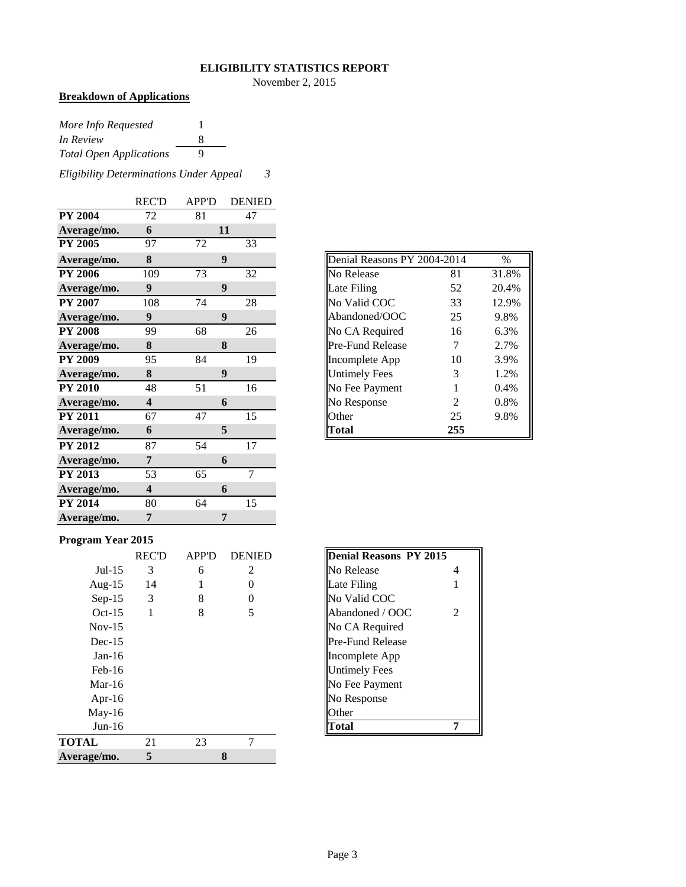#### **ELIGIBILITY STATISTICS REPORT**

November 2, 2015

## **Breakdown of Applications**

| More Info Requested            |   |
|--------------------------------|---|
| In Review                      | х |
| <b>Total Open Applications</b> | Q |

*Eligibility Determinations Under Appeal 3*

|                | <b>REC'D</b>            | <b>APP'D</b> | <b>DENIED</b> |
|----------------|-------------------------|--------------|---------------|
| <b>PY 2004</b> | 72                      | 81           | 47            |
| Average/mo.    | 6                       |              | 11            |
| <b>PY 2005</b> | 97                      | 72           | 33            |
| Average/mo.    | 8                       |              | 9             |
| <b>PY 2006</b> | 109                     | 73           | 32            |
| Average/mo.    | $\boldsymbol{9}$        |              | 9             |
| <b>PY 2007</b> | 108                     | 74           | 28            |
| Average/mo.    | $\boldsymbol{9}$        |              | 9             |
| <b>PY 2008</b> | 99                      | 68           | 26            |
| Average/mo.    | 8                       |              | 8             |
| <b>PY 2009</b> | 95                      | 84           | 19            |
| Average/mo.    | 8                       |              | 9             |
| <b>PY 2010</b> | 48                      | 51           | 16            |
| Average/mo.    | $\overline{\mathbf{4}}$ |              | 6             |
| <b>PY 2011</b> | 67                      | 47           | 15            |
| Average/mo.    | 6                       |              | 5             |
| <b>PY 2012</b> | 87                      | 54           | 17            |
| Average/mo.    | 7                       |              | 6             |
| <b>PY 2013</b> | 53                      | 65           | 7             |
| Average/mo.    | $\overline{\mathbf{4}}$ |              | 6             |
| <b>PY 2014</b> | 80                      | 64           | 15            |
| Average/mo.    | 7                       |              | 7             |

| Denial Reasons PY 2004-2014 |                | %     |
|-----------------------------|----------------|-------|
| No Release                  | 81             | 31.8% |
| Late Filing                 | 52             | 20.4% |
| No Valid COC                | 33             | 12.9% |
| Abandoned/OOC               | 25             | 9.8%  |
| No CA Required              | 16             | 6.3%  |
| <b>Pre-Fund Release</b>     | 7              | 2.7%  |
| Incomplete App              | 10             | 3.9%  |
| <b>Untimely Fees</b>        | 3              | 1.2%  |
| No Fee Payment              | 1              | 0.4%  |
| No Response                 | $\mathfrak{D}$ | 0.8%  |
| Other                       | 25             | 9.8%  |
| `otal                       | 255            |       |

#### **Program Year 2015**

| o            |              |              |               |                               |
|--------------|--------------|--------------|---------------|-------------------------------|
|              | <b>REC'D</b> | <b>APP'D</b> | <b>DENIED</b> | <b>Denial Reasons PY 2015</b> |
| $Jul-15$     | 3            | 6            | 2             | No Release<br>4               |
| Aug- $15$    | 14           |              | 0             | Late Filing                   |
| $Sep-15$     | 3            | 8            | 0             | No Valid COC                  |
| $Oct-15$     |              | 8            | 5             | Abandoned / OOC<br>2          |
| $Nov-15$     |              |              |               | No CA Required                |
| $Dec-15$     |              |              |               | Pre-Fund Release              |
| $Jan-16$     |              |              |               | Incomplete App                |
| $Feb-16$     |              |              |               | <b>Untimely Fees</b>          |
| Mar-16       |              |              |               | No Fee Payment                |
| Apr-16       |              |              |               | No Response                   |
| $May-16$     |              |              |               | Other                         |
| $Jun-16$     |              |              |               | Total                         |
| <b>TOTAL</b> | 21           | 23           | 7             |                               |
| Average/mo.  | 5            |              | 8             |                               |

| <b>Denial Reasons PY 2015</b> |   |
|-------------------------------|---|
| No Release                    | 4 |
| Late Filing                   |   |
| No Valid COC                  |   |
| Abandoned / OOC               | 2 |
| No CA Required                |   |
| Pre-Fund Release              |   |
| Incomplete App                |   |
| Untimely Fees                 |   |
| No Fee Payment                |   |
| No Response                   |   |
| <b>Other</b>                  |   |
|                               |   |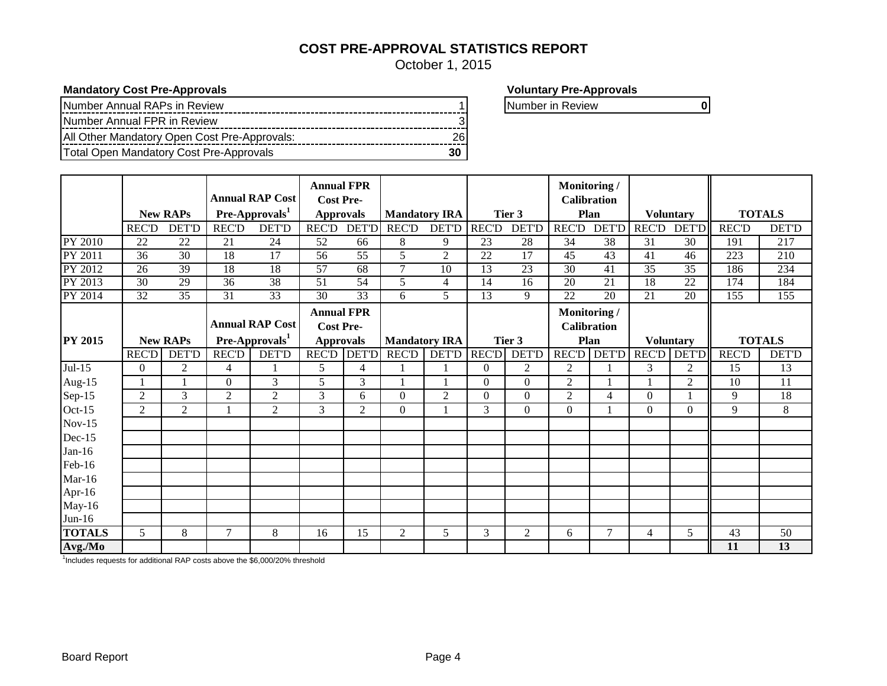## **COST PRE-APPROVAL STATISTICS REPORT**

October 1, 2015

**Mandatory Cost Pre-Approvals Voluntary Pre-Approvals** 

| Number Annual RAPs in Review                 |    |
|----------------------------------------------|----|
| Number Annual FPR in Review                  |    |
| All Other Mandatory Open Cost Pre-Approvals: |    |
| Total Open Mandatory Cost Pre-Approvals      | 30 |

**Number in Review 1 1 0 1 Number in Review 1 0 1 Number in Review 1 0 1 Number in Review 1 0 1 Number in Review 1 0 1 Number in Review 1 0 1 Number in Review 1 0 1 Number in Review 1 0 1 Number in Review 1 0 1 Number in Re** 

|                |                 |                 |                 |                            | <b>Annual FPR</b> |                 |                      |                          |                  |                 | Monitoring/        |                 |                 |                  |              |               |
|----------------|-----------------|-----------------|-----------------|----------------------------|-------------------|-----------------|----------------------|--------------------------|------------------|-----------------|--------------------|-----------------|-----------------|------------------|--------------|---------------|
|                |                 |                 |                 | <b>Annual RAP Cost</b>     | <b>Cost Pre-</b>  |                 |                      |                          |                  |                 | <b>Calibration</b> |                 |                 |                  |              |               |
|                |                 | <b>New RAPs</b> |                 | Pre-Approvals <sup>1</sup> | <b>Approvals</b>  |                 | <b>Mandatory IRA</b> |                          |                  | Tier 3          | Plan               |                 |                 | <b>Voluntary</b> |              | <b>TOTALS</b> |
|                | <b>REC'D</b>    | <b>DET'D</b>    | <b>REC'D</b>    | <b>DET'D</b>               | <b>REC'D</b>      | <b>DET'D</b>    | <b>REC'D</b>         | <b>DET'D</b>             | <b>REC'D</b>     | DET'D           | <b>REC'D</b>       | <b>DET'D</b>    | <b>REC'D</b>    | <b>DET'D</b>     | <b>REC'D</b> | <b>DET'D</b>  |
| PY 2010        | 22              | 22              | 21              | 24                         | 52                | 66              | 8                    | 9                        | 23               | 28              | 34                 | 38              | 31              | 30               | 191          | 217           |
| PY 2011        | 36              | 30              | 18              | 17                         | 56                | 55              | 5                    | $\overline{2}$           | 22               | 17              | 45                 | 43              | 41              | 46               | 223          | 210           |
| PY 2012        | $\overline{26}$ | $\overline{39}$ | 18              | 18                         | $\overline{57}$   | $\overline{68}$ | $\tau$               | $\overline{10}$          | $\overline{13}$  | $\overline{23}$ | $\overline{30}$    | 41              | $\overline{35}$ | 35               | 186          | 234           |
| PY 2013        | 30              | 29              | 36              | 38                         | 51                | $\overline{54}$ | 5                    | $\overline{\mathcal{A}}$ | $\overline{14}$  | 16              | 20                 | $\overline{21}$ | 18              | $\overline{22}$  | 174          | 184           |
| PY 2014        | $\overline{32}$ | $\overline{35}$ | $\overline{31}$ | $\overline{33}$            | 30                | $\overline{33}$ | 6                    | 5                        | $\overline{13}$  | 9               | 22                 | 20              | 21              | 20               | 155          | 155           |
|                |                 |                 |                 |                            | <b>Annual FPR</b> |                 |                      |                          |                  |                 | Monitoring/        |                 |                 |                  |              |               |
|                |                 |                 |                 | <b>Annual RAP Cost</b>     | <b>Cost Pre-</b>  |                 |                      |                          |                  |                 | <b>Calibration</b> |                 |                 |                  |              |               |
| <b>PY 2015</b> |                 | <b>New RAPs</b> |                 | Pre-Approvals <sup>1</sup> | <b>Approvals</b>  |                 | <b>Mandatory IRA</b> |                          |                  | Tier 3          | Plan               |                 |                 | <b>Voluntary</b> |              | <b>TOTALS</b> |
|                | <b>REC'D</b>    | <b>DET'D</b>    | <b>REC'D</b>    | <b>DET'D</b>               | <b>REC'D</b>      | <b>DET'D</b>    | <b>REC'D</b>         | <b>DET'D</b>             | <b>REC'D</b>     | <b>DET'D</b>    | <b>REC'D</b>       | <b>DET'D</b>    | <b>REC'D</b>    | <b>DET'D</b>     | <b>REC'D</b> | <b>DET'D</b>  |
| $Jul-15$       | $\overline{0}$  | $\mathfrak{2}$  | $\overline{4}$  |                            | 5                 | 4               |                      |                          | $\mathbf{0}$     | 2               | 2                  |                 | 3               | 2                | 15           | 13            |
| Aug-15         |                 |                 | $\mathbf{0}$    | 3                          | 5                 | 3               |                      |                          | $\mathbf{0}$     | $\mathbf{0}$    | $\overline{2}$     |                 |                 | 2                | 10           | 11            |
| Sep-15         | $\overline{2}$  | 3               | $\overline{2}$  | $\mathfrak{2}$             | 3                 | 6               | $\boldsymbol{0}$     | $\overline{2}$           | $\boldsymbol{0}$ | $\mathbf{0}$    | $\overline{2}$     | 4               | $\Omega$        |                  | 9            | 18            |
| Oct-15         | $\overline{c}$  | $\overline{2}$  |                 | 2                          | 3                 | $\overline{2}$  | $\Omega$             |                          | 3                | $\Omega$        | $\Omega$           |                 | $\Omega$        | $\Omega$         | 9            | 8             |
| $Nov-15$       |                 |                 |                 |                            |                   |                 |                      |                          |                  |                 |                    |                 |                 |                  |              |               |
| Dec-15         |                 |                 |                 |                            |                   |                 |                      |                          |                  |                 |                    |                 |                 |                  |              |               |
| $Jan-16$       |                 |                 |                 |                            |                   |                 |                      |                          |                  |                 |                    |                 |                 |                  |              |               |
| Feb-16         |                 |                 |                 |                            |                   |                 |                      |                          |                  |                 |                    |                 |                 |                  |              |               |
| $Mar-16$       |                 |                 |                 |                            |                   |                 |                      |                          |                  |                 |                    |                 |                 |                  |              |               |
| Apr-16         |                 |                 |                 |                            |                   |                 |                      |                          |                  |                 |                    |                 |                 |                  |              |               |
| May-16         |                 |                 |                 |                            |                   |                 |                      |                          |                  |                 |                    |                 |                 |                  |              |               |
| $Jun-16$       |                 |                 |                 |                            |                   |                 |                      |                          |                  |                 |                    |                 |                 |                  |              |               |
| <b>TOTALS</b>  | 5               | 8               | 7               | 8                          | 16                | 15              | 2                    | 5                        | 3                | 2               | 6                  | 7               | 4               | 5                | 43           | 50            |
| Avg./Mo        |                 |                 |                 |                            |                   |                 |                      |                          |                  |                 |                    |                 |                 |                  | 11           | 13            |

<sup>1</sup>Includes requests for additional RAP costs above the \$6,000/20% threshold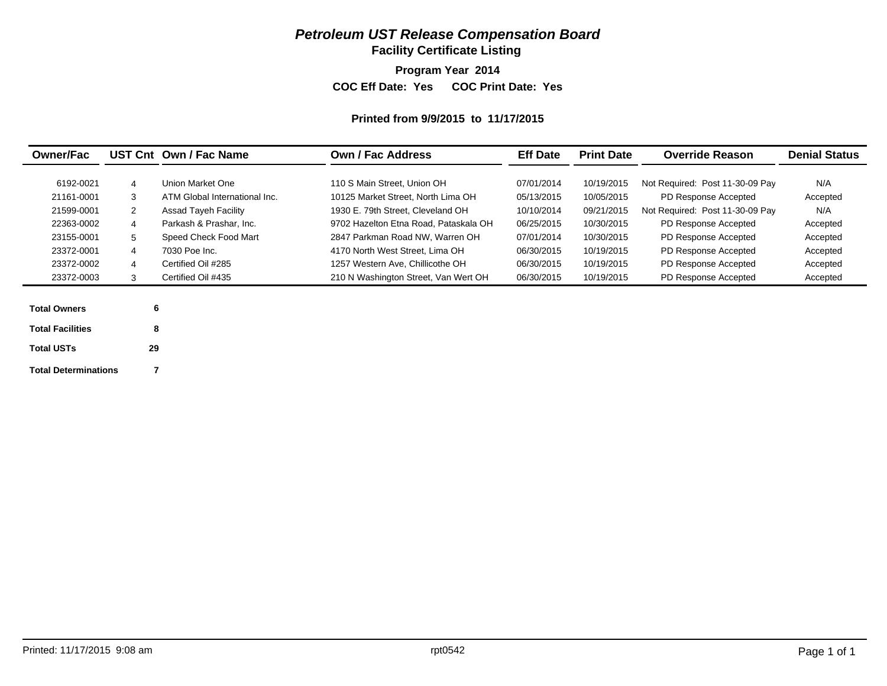## *Petroleum UST Release Compensation Board*

**Facility Certificate Listing**

**Program Year 2014**

**COC Eff Date: Yes COC Print Date: Yes** 

#### **Printed from 9/9/2015 to 11/17/2015**

| <b>Owner/Fac</b>        |    | UST Cnt Own / Fac Name        | <b>Own / Fac Address</b>              |            | <b>Print Date</b> | <b>Override Reason</b>          | <b>Denial Status</b> |
|-------------------------|----|-------------------------------|---------------------------------------|------------|-------------------|---------------------------------|----------------------|
| 6192-0021               | 4  | Union Market One              | 110 S Main Street, Union OH           | 07/01/2014 | 10/19/2015        | Not Required: Post 11-30-09 Pay | N/A                  |
| 21161-0001              | 3  | ATM Global International Inc. | 10125 Market Street, North Lima OH    | 05/13/2015 | 10/05/2015        | PD Response Accepted            | Accepted             |
| 21599-0001              | 2  | <b>Assad Tayeh Facility</b>   | 1930 E. 79th Street. Cleveland OH     | 10/10/2014 | 09/21/2015        | Not Required: Post 11-30-09 Pay | N/A                  |
| 22363-0002              | 4  | Parkash & Prashar, Inc.       | 9702 Hazelton Etna Road, Pataskala OH | 06/25/2015 | 10/30/2015        | PD Response Accepted            | Accepted             |
| 23155-0001              | 5  | Speed Check Food Mart         | 2847 Parkman Road NW, Warren OH       | 07/01/2014 | 10/30/2015        | PD Response Accepted            | Accepted             |
| 23372-0001              | 4  | 7030 Poe Inc.                 | 4170 North West Street, Lima OH       | 06/30/2015 | 10/19/2015        | PD Response Accepted            | Accepted             |
| 23372-0002              | 4  | Certified Oil #285            | 1257 Western Ave, Chillicothe OH      | 06/30/2015 | 10/19/2015        | PD Response Accepted            | Accepted             |
| 23372-0003              | 3  | Certified Oil #435            | 210 N Washington Street, Van Wert OH  | 06/30/2015 | 10/19/2015        | PD Response Accepted            | Accepted             |
|                         |    |                               |                                       |            |                   |                                 |                      |
| <b>Total Owners</b>     | 6  |                               |                                       |            |                   |                                 |                      |
| <b>Total Facilities</b> | 8  |                               |                                       |            |                   |                                 |                      |
| <b>Total USTs</b>       | 29 |                               |                                       |            |                   |                                 |                      |
|                         |    |                               |                                       |            |                   |                                 |                      |

**Total Determinations**

**7**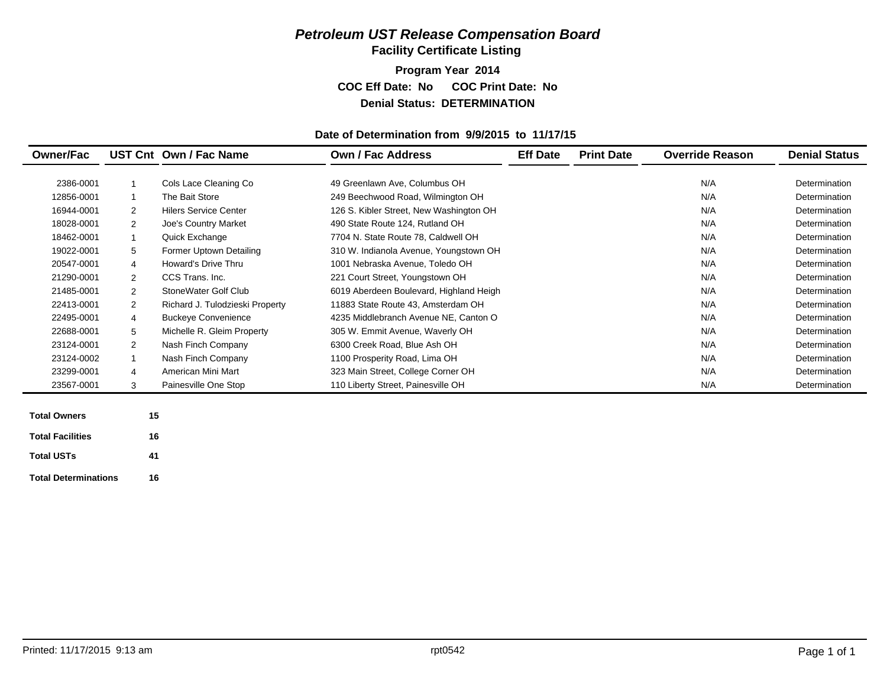## *Petroleum UST Release Compensation Board*  **Facility Certificate Listing**

**Program Year 2014 COC Eff Date: No COC Print Date: No Denial Status: DETERMINATION**

#### **Date of Determination from 9/9/2015 to 11/17/15**

| <b>Owner/Fac</b>        |    | UST Cnt Own / Fac Name          | <b>Own / Fac Address</b>                | <b>Eff Date</b> | <b>Print Date</b> | <b>Override Reason</b> | <b>Denial Status</b> |
|-------------------------|----|---------------------------------|-----------------------------------------|-----------------|-------------------|------------------------|----------------------|
|                         |    |                                 |                                         |                 |                   |                        |                      |
| 2386-0001               |    | Cols Lace Cleaning Co           | 49 Greenlawn Ave, Columbus OH           |                 |                   | N/A                    | Determination        |
| 12856-0001              |    | The Bait Store                  | 249 Beechwood Road, Wilmington OH       |                 |                   | N/A                    | Determination        |
| 16944-0001              | 2  | <b>Hilers Service Center</b>    | 126 S. Kibler Street, New Washington OH |                 |                   | N/A                    | Determination        |
| 18028-0001              | 2  | Joe's Country Market            | 490 State Route 124, Rutland OH         |                 |                   | N/A                    | Determination        |
| 18462-0001              |    | Quick Exchange                  | 7704 N. State Route 78, Caldwell OH     |                 |                   | N/A                    | Determination        |
| 19022-0001              | 5  | Former Uptown Detailing         | 310 W. Indianola Avenue, Youngstown OH  |                 |                   | N/A                    | Determination        |
| 20547-0001              | 4  | <b>Howard's Drive Thru</b>      | 1001 Nebraska Avenue, Toledo OH         |                 |                   | N/A                    | Determination        |
| 21290-0001              | 2  | CCS Trans. Inc.                 | 221 Court Street, Youngstown OH         |                 |                   | N/A                    | Determination        |
| 21485-0001              | 2  | StoneWater Golf Club            | 6019 Aberdeen Boulevard, Highland Heigh |                 |                   | N/A                    | Determination        |
| 22413-0001              | 2  | Richard J. Tulodzieski Property | 11883 State Route 43, Amsterdam OH      |                 |                   | N/A                    | Determination        |
| 22495-0001              | 4  | <b>Buckeye Convenience</b>      | 4235 Middlebranch Avenue NE, Canton O   |                 |                   | N/A                    | Determination        |
| 22688-0001              | 5  | Michelle R. Gleim Property      | 305 W. Emmit Avenue, Waverly OH         |                 |                   | N/A                    | Determination        |
| 23124-0001              | 2  | Nash Finch Company              | 6300 Creek Road, Blue Ash OH            |                 |                   | N/A                    | Determination        |
| 23124-0002              |    | Nash Finch Company              | 1100 Prosperity Road, Lima OH           |                 |                   | N/A                    | Determination        |
| 23299-0001              | 4  | American Mini Mart              | 323 Main Street, College Corner OH      |                 |                   | N/A                    | Determination        |
| 23567-0001              | 3  | Painesville One Stop            | 110 Liberty Street, Painesville OH      |                 |                   | N/A                    | Determination        |
|                         |    |                                 |                                         |                 |                   |                        |                      |
| <b>Total Owners</b>     | 15 |                                 |                                         |                 |                   |                        |                      |
| <b>Total Facilities</b> | 16 |                                 |                                         |                 |                   |                        |                      |

**Total Determinations16**

**41**

**Total USTs**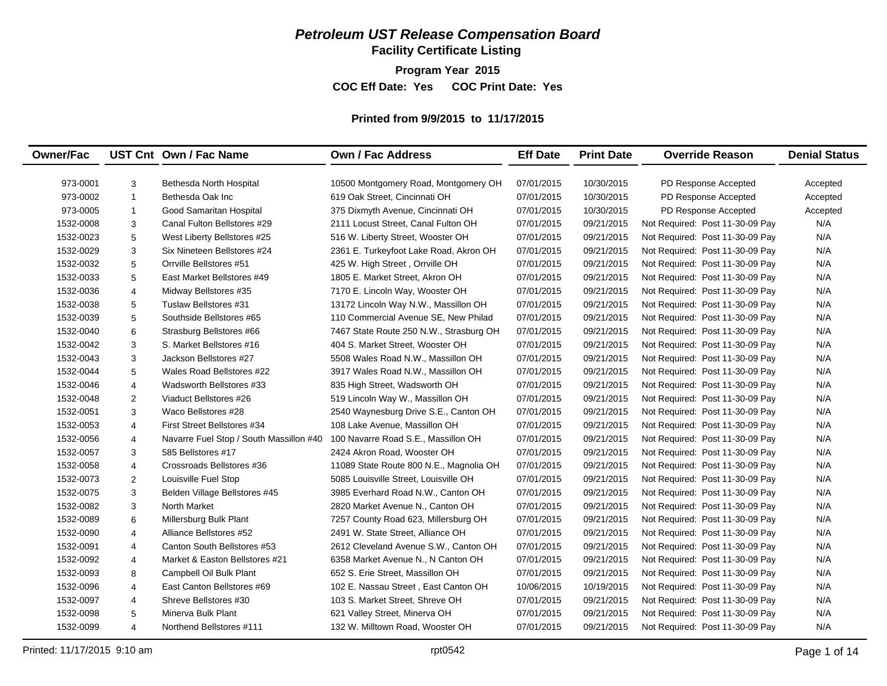## *Petroleum UST Release Compensation Board*

**Facility Certificate Listing**

**Program Year 2015**

**COC Eff Date: Yes COC Print Date: Yes** 

#### **Printed from 9/9/2015 to 11/17/2015**

| <b>Owner/Fac</b> |                | UST Cnt Own / Fac Name                  | <b>Own / Fac Address</b>                | <b>Eff Date</b> | <b>Print Date</b> | <b>Override Reason</b>          | <b>Denial Status</b> |
|------------------|----------------|-----------------------------------------|-----------------------------------------|-----------------|-------------------|---------------------------------|----------------------|
|                  |                |                                         |                                         |                 |                   |                                 |                      |
| 973-0001         | 3              | Bethesda North Hospital                 | 10500 Montgomery Road, Montgomery OH    | 07/01/2015      | 10/30/2015        | PD Response Accepted            | Accepted             |
| 973-0002         | $\mathbf{1}$   | Bethesda Oak Inc                        | 619 Oak Street, Cincinnati OH           | 07/01/2015      | 10/30/2015        | PD Response Accepted            | Accepted             |
| 973-0005         | $\mathbf{1}$   | Good Samaritan Hospital                 | 375 Dixmyth Avenue, Cincinnati OH       | 07/01/2015      | 10/30/2015        | PD Response Accepted            | Accepted             |
| 1532-0008        | 3              | Canal Fulton Bellstores #29             | 2111 Locust Street, Canal Fulton OH     | 07/01/2015      | 09/21/2015        | Not Required: Post 11-30-09 Pay | N/A                  |
| 1532-0023        | 5              | West Liberty Bellstores #25             | 516 W. Liberty Street, Wooster OH       | 07/01/2015      | 09/21/2015        | Not Required: Post 11-30-09 Pay | N/A                  |
| 1532-0029        | 3              | Six Nineteen Bellstores #24             | 2361 E. Turkeyfoot Lake Road, Akron OH  | 07/01/2015      | 09/21/2015        | Not Required: Post 11-30-09 Pay | N/A                  |
| 1532-0032        | 5              | Orrville Bellstores #51                 | 425 W. High Street, Orrville OH         | 07/01/2015      | 09/21/2015        | Not Required: Post 11-30-09 Pay | N/A                  |
| 1532-0033        | 5              | East Market Bellstores #49              | 1805 E. Market Street, Akron OH         | 07/01/2015      | 09/21/2015        | Not Required: Post 11-30-09 Pay | N/A                  |
| 1532-0036        | $\overline{4}$ | Midway Bellstores #35                   | 7170 E. Lincoln Way, Wooster OH         | 07/01/2015      | 09/21/2015        | Not Required: Post 11-30-09 Pay | N/A                  |
| 1532-0038        | 5              | Tuslaw Bellstores #31                   | 13172 Lincoln Way N.W., Massillon OH    | 07/01/2015      | 09/21/2015        | Not Required: Post 11-30-09 Pay | N/A                  |
| 1532-0039        | 5              | Southside Bellstores #65                | 110 Commercial Avenue SE, New Philad    | 07/01/2015      | 09/21/2015        | Not Required: Post 11-30-09 Pay | N/A                  |
| 1532-0040        | 6              | Strasburg Bellstores #66                | 7467 State Route 250 N.W., Strasburg OH | 07/01/2015      | 09/21/2015        | Not Required: Post 11-30-09 Pay | N/A                  |
| 1532-0042        | 3              | S. Market Bellstores #16                | 404 S. Market Street, Wooster OH        | 07/01/2015      | 09/21/2015        | Not Required: Post 11-30-09 Pay | N/A                  |
| 1532-0043        | 3              | Jackson Bellstores #27                  | 5508 Wales Road N.W., Massillon OH      | 07/01/2015      | 09/21/2015        | Not Required: Post 11-30-09 Pay | N/A                  |
| 1532-0044        | 5              | Wales Road Bellstores #22               | 3917 Wales Road N.W., Massillon OH      | 07/01/2015      | 09/21/2015        | Not Required: Post 11-30-09 Pay | N/A                  |
| 1532-0046        | $\overline{4}$ | Wadsworth Bellstores #33                | 835 High Street, Wadsworth OH           | 07/01/2015      | 09/21/2015        | Not Required: Post 11-30-09 Pay | N/A                  |
| 1532-0048        | $\overline{2}$ | Viaduct Bellstores #26                  | 519 Lincoln Way W., Massillon OH        | 07/01/2015      | 09/21/2015        | Not Required: Post 11-30-09 Pay | N/A                  |
| 1532-0051        | 3              | Waco Bellstores #28                     | 2540 Waynesburg Drive S.E., Canton OH   | 07/01/2015      | 09/21/2015        | Not Required: Post 11-30-09 Pay | N/A                  |
| 1532-0053        | $\overline{4}$ | First Street Bellstores #34             | 108 Lake Avenue, Massillon OH           | 07/01/2015      | 09/21/2015        | Not Required: Post 11-30-09 Pay | N/A                  |
| 1532-0056        | $\overline{4}$ | Navarre Fuel Stop / South Massillon #40 | 100 Navarre Road S.E., Massillon OH     | 07/01/2015      | 09/21/2015        | Not Required: Post 11-30-09 Pay | N/A                  |
| 1532-0057        | 3              | 585 Bellstores #17                      | 2424 Akron Road, Wooster OH             | 07/01/2015      | 09/21/2015        | Not Required: Post 11-30-09 Pay | N/A                  |
| 1532-0058        | $\overline{4}$ | Crossroads Bellstores #36               | 11089 State Route 800 N.E., Magnolia OH | 07/01/2015      | 09/21/2015        | Not Required: Post 11-30-09 Pay | N/A                  |
| 1532-0073        | 2              | Louisville Fuel Stop                    | 5085 Louisville Street, Louisville OH   | 07/01/2015      | 09/21/2015        | Not Required: Post 11-30-09 Pay | N/A                  |
| 1532-0075        | 3              | Belden Village Bellstores #45           | 3985 Everhard Road N.W., Canton OH      | 07/01/2015      | 09/21/2015        | Not Required: Post 11-30-09 Pay | N/A                  |
| 1532-0082        | 3              | North Market                            | 2820 Market Avenue N., Canton OH        | 07/01/2015      | 09/21/2015        | Not Required: Post 11-30-09 Pay | N/A                  |
| 1532-0089        | 6              | Millersburg Bulk Plant                  | 7257 County Road 623, Millersburg OH    | 07/01/2015      | 09/21/2015        | Not Required: Post 11-30-09 Pay | N/A                  |
| 1532-0090        | $\overline{4}$ | Alliance Bellstores #52                 | 2491 W. State Street, Alliance OH       | 07/01/2015      | 09/21/2015        | Not Required: Post 11-30-09 Pay | N/A                  |
| 1532-0091        | 4              | Canton South Bellstores #53             | 2612 Cleveland Avenue S.W., Canton OH   | 07/01/2015      | 09/21/2015        | Not Required: Post 11-30-09 Pay | N/A                  |
| 1532-0092        | $\overline{4}$ | Market & Easton Bellstores #21          | 6358 Market Avenue N., N Canton OH      | 07/01/2015      | 09/21/2015        | Not Required: Post 11-30-09 Pay | N/A                  |
| 1532-0093        | 8              | Campbell Oil Bulk Plant                 | 652 S. Erie Street, Massillon OH        | 07/01/2015      | 09/21/2015        | Not Required: Post 11-30-09 Pay | N/A                  |
| 1532-0096        | $\overline{4}$ | East Canton Bellstores #69              | 102 E. Nassau Street, East Canton OH    | 10/06/2015      | 10/19/2015        | Not Required: Post 11-30-09 Pay | N/A                  |
| 1532-0097        | 4              | Shreve Bellstores #30                   | 103 S. Market Street, Shreve OH         | 07/01/2015      | 09/21/2015        | Not Required: Post 11-30-09 Pay | N/A                  |
| 1532-0098        | 5              | Minerva Bulk Plant                      | 621 Valley Street, Minerva OH           | 07/01/2015      | 09/21/2015        | Not Required: Post 11-30-09 Pay | N/A                  |
| 1532-0099        | $\overline{4}$ | Northend Bellstores #111                | 132 W. Milltown Road, Wooster OH        | 07/01/2015      | 09/21/2015        | Not Required: Post 11-30-09 Pay | N/A                  |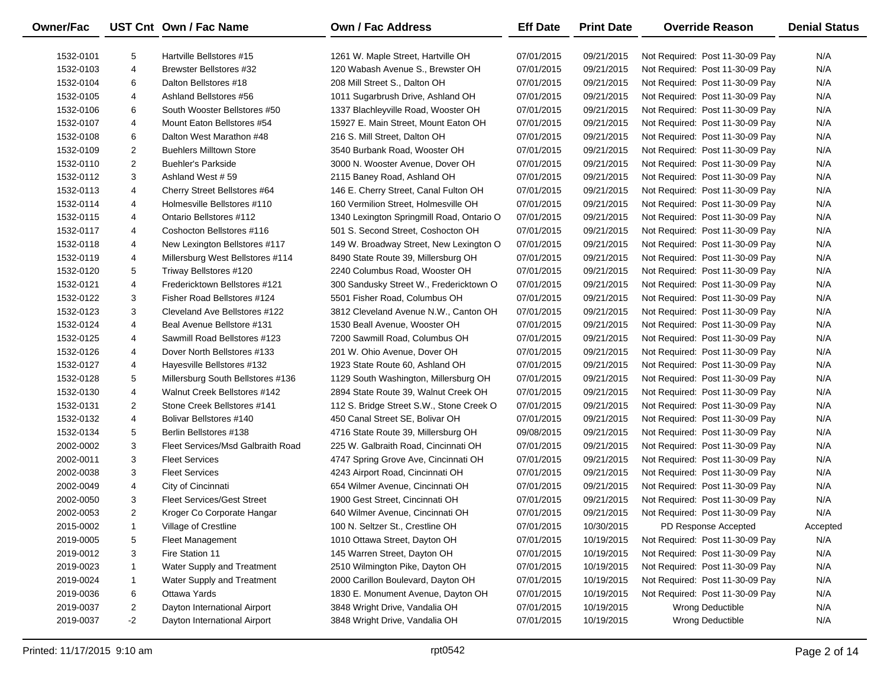| 5<br>N/A<br>1532-0101<br>Hartville Bellstores #15<br>1261 W. Maple Street, Hartville OH<br>07/01/2015<br>09/21/2015<br>Not Required: Post 11-30-09 Pay<br>4<br>Brewster Bellstores #32<br>07/01/2015<br>09/21/2015<br>N/A<br>1532-0103<br>120 Wabash Avenue S., Brewster OH<br>Not Required: Post 11-30-09 Pay<br>6<br>07/01/2015<br>09/21/2015<br>N/A<br>1532-0104<br>Dalton Bellstores #18<br>208 Mill Street S., Dalton OH<br>Not Required: Post 11-30-09 Pay<br>4<br>07/01/2015<br>09/21/2015<br>N/A<br>1532-0105<br>Ashland Bellstores #56<br>1011 Sugarbrush Drive, Ashland OH<br>Not Required: Post 11-30-09 Pay<br>6<br>South Wooster Bellstores #50<br>07/01/2015<br>09/21/2015<br>N/A<br>1532-0106<br>1337 Blachleyville Road, Wooster OH<br>Not Required: Post 11-30-09 Pay<br>4<br>Mount Eaton Bellstores #54<br>07/01/2015<br>09/21/2015<br>N/A<br>1532-0107<br>15927 E. Main Street, Mount Eaton OH<br>Not Required: Post 11-30-09 Pay<br>6<br>07/01/2015<br>09/21/2015<br>N/A<br>1532-0108<br>Dalton West Marathon #48<br>216 S. Mill Street, Dalton OH<br>Not Required: Post 11-30-09 Pay<br>2<br>07/01/2015<br>09/21/2015<br>N/A<br>1532-0109<br><b>Buehlers Milltown Store</b><br>3540 Burbank Road, Wooster OH<br>Not Required: Post 11-30-09 Pay<br>$\overline{2}$<br>07/01/2015<br>09/21/2015<br>N/A<br>1532-0110<br><b>Buehler's Parkside</b><br>3000 N. Wooster Avenue, Dover OH<br>Not Required: Post 11-30-09 Pay<br>3<br>07/01/2015<br>09/21/2015<br>N/A<br>1532-0112<br>Ashland West #59<br>2115 Baney Road, Ashland OH<br>Not Required: Post 11-30-09 Pay<br>4<br>Cherry Street Bellstores #64<br>07/01/2015<br>09/21/2015<br>N/A<br>1532-0113<br>146 E. Cherry Street, Canal Fulton OH<br>Not Required: Post 11-30-09 Pay<br>4<br>Holmesville Bellstores #110<br>07/01/2015<br>09/21/2015<br>N/A<br>1532-0114<br>160 Vermilion Street, Holmesville OH<br>Not Required: Post 11-30-09 Pay<br>4<br>Ontario Bellstores #112<br>07/01/2015<br>09/21/2015<br>N/A<br>1532-0115<br>1340 Lexington Springmill Road, Ontario O<br>Not Required: Post 11-30-09 Pay<br>4<br>Coshocton Bellstores #116<br>09/21/2015<br>N/A<br>1532-0117<br>501 S. Second Street, Coshocton OH<br>07/01/2015<br>Not Required: Post 11-30-09 Pay<br>4<br>07/01/2015<br>09/21/2015<br>N/A<br>1532-0118<br>New Lexington Bellstores #117<br>149 W. Broadway Street, New Lexington O<br>Not Required: Post 11-30-09 Pay<br>4<br>09/21/2015<br>N/A<br>1532-0119<br>Millersburg West Bellstores #114<br>8490 State Route 39, Millersburg OH<br>07/01/2015<br>Not Required: Post 11-30-09 Pay<br>5<br>07/01/2015<br>09/21/2015<br>N/A<br>1532-0120<br>Triway Bellstores #120<br>2240 Columbus Road, Wooster OH<br>Not Required: Post 11-30-09 Pay<br>4<br>07/01/2015<br>09/21/2015<br>N/A<br>1532-0121<br>Fredericktown Bellstores #121<br>300 Sandusky Street W., Fredericktown O<br>Not Required: Post 11-30-09 Pay<br>3<br>Fisher Road Bellstores #124<br>07/01/2015<br>09/21/2015<br>N/A<br>1532-0122<br>5501 Fisher Road, Columbus OH<br>Not Required: Post 11-30-09 Pay<br>3<br>Cleveland Ave Bellstores #122<br>07/01/2015<br>09/21/2015<br>N/A<br>1532-0123<br>3812 Cleveland Avenue N.W., Canton OH<br>Not Required: Post 11-30-09 Pay<br>4<br>Beal Avenue Bellstore #131<br>07/01/2015<br>09/21/2015<br>N/A<br>1532-0124<br>1530 Beall Avenue, Wooster OH<br>Not Required: Post 11-30-09 Pay<br>4<br>Sawmill Road Bellstores #123<br>07/01/2015<br>09/21/2015<br>N/A<br>1532-0125<br>7200 Sawmill Road, Columbus OH<br>Not Required: Post 11-30-09 Pay<br>4<br>Dover North Bellstores #133<br>07/01/2015<br>09/21/2015<br>N/A<br>1532-0126<br>201 W. Ohio Avenue, Dover OH<br>Not Required: Post 11-30-09 Pay<br>4<br>07/01/2015<br>09/21/2015<br>N/A<br>1532-0127<br>Hayesville Bellstores #132<br>1923 State Route 60, Ashland OH<br>Not Required: Post 11-30-09 Pay<br>5<br>07/01/2015<br>09/21/2015<br>N/A<br>1532-0128<br>Millersburg South Bellstores #136<br>1129 South Washington, Millersburg OH<br>Not Required: Post 11-30-09 Pay<br>4<br>Walnut Creek Bellstores #142<br>07/01/2015<br>09/21/2015<br>N/A<br>1532-0130<br>2894 State Route 39, Walnut Creek OH<br>Not Required: Post 11-30-09 Pay<br>2<br>Stone Creek Bellstores #141<br>09/21/2015<br>N/A<br>1532-0131<br>112 S. Bridge Street S.W., Stone Creek O<br>07/01/2015<br>Not Required: Post 11-30-09 Pay<br>4<br>09/21/2015<br>N/A<br>1532-0132<br>Bolivar Bellstores #140<br>450 Canal Street SE, Bolivar OH<br>07/01/2015<br>Not Required: Post 11-30-09 Pay<br>5<br>09/08/2015<br>09/21/2015<br>N/A<br>1532-0134<br>Berlin Bellstores #138<br>4716 State Route 39, Millersburg OH<br>Not Required: Post 11-30-09 Pay<br>3<br>07/01/2015<br>09/21/2015<br>N/A<br>2002-0002<br>Fleet Services/Msd Galbraith Road<br>225 W. Galbraith Road, Cincinnati OH<br>Not Required: Post 11-30-09 Pay<br>3<br>07/01/2015<br>09/21/2015<br>N/A<br>2002-0011<br><b>Fleet Services</b><br>4747 Spring Grove Ave, Cincinnati OH<br>Not Required: Post 11-30-09 Pay<br>3<br>07/01/2015<br>N/A<br>2002-0038<br><b>Fleet Services</b><br>4243 Airport Road, Cincinnati OH<br>09/21/2015<br>Not Required: Post 11-30-09 Pay<br>4<br>City of Cincinnati<br>07/01/2015<br>N/A<br>2002-0049<br>654 Wilmer Avenue, Cincinnati OH<br>09/21/2015<br>Not Required: Post 11-30-09 Pay<br>3<br>N/A<br>2002-0050<br><b>Fleet Services/Gest Street</b><br>1900 Gest Street, Cincinnati OH<br>07/01/2015<br>09/21/2015<br>Not Required: Post 11-30-09 Pay<br>$\overline{2}$<br>Kroger Co Corporate Hangar<br>N/A<br>2002-0053<br>640 Wilmer Avenue, Cincinnati OH<br>07/01/2015<br>09/21/2015<br>Not Required: Post 11-30-09 Pay<br>2015-0002<br>1<br>Village of Crestline<br>100 N. Seltzer St., Crestline OH<br>07/01/2015<br>10/30/2015<br>PD Response Accepted<br>Accepted<br>2019-0005<br>5<br>1010 Ottawa Street, Dayton OH<br>07/01/2015<br>10/19/2015<br>Not Required: Post 11-30-09 Pay<br>N/A<br><b>Fleet Management</b><br>2019-0012<br>3<br>Fire Station 11<br>145 Warren Street, Dayton OH<br>07/01/2015<br>10/19/2015<br>Not Required: Post 11-30-09 Pay<br>N/A<br>2019-0023<br>Water Supply and Treatment<br>2510 Wilmington Pike, Dayton OH<br>07/01/2015<br>10/19/2015<br>Not Required: Post 11-30-09 Pay<br>N/A<br>1<br>2019-0024<br>Water Supply and Treatment<br>2000 Carillon Boulevard, Dayton OH<br>07/01/2015<br>10/19/2015<br>Not Required: Post 11-30-09 Pay<br>N/A<br>1<br>2019-0036<br>6<br>Ottawa Yards<br>1830 E. Monument Avenue, Dayton OH<br>07/01/2015<br>10/19/2015<br>Not Required: Post 11-30-09 Pay<br>N/A<br>2019-0037<br>2<br>Dayton International Airport<br>3848 Wright Drive, Vandalia OH<br>07/01/2015<br>10/19/2015<br>Wrong Deductible<br>N/A<br>2019-0037<br>-2<br>Dayton International Airport<br>3848 Wright Drive, Vandalia OH<br>07/01/2015<br>10/19/2015<br>Wrong Deductible<br>N/A | Owner/Fac | UST Cnt Own / Fac Name | <b>Own / Fac Address</b> | <b>Eff Date</b> | <b>Print Date</b> | <b>Override Reason</b> | <b>Denial Status</b> |
|---------------------------------------------------------------------------------------------------------------------------------------------------------------------------------------------------------------------------------------------------------------------------------------------------------------------------------------------------------------------------------------------------------------------------------------------------------------------------------------------------------------------------------------------------------------------------------------------------------------------------------------------------------------------------------------------------------------------------------------------------------------------------------------------------------------------------------------------------------------------------------------------------------------------------------------------------------------------------------------------------------------------------------------------------------------------------------------------------------------------------------------------------------------------------------------------------------------------------------------------------------------------------------------------------------------------------------------------------------------------------------------------------------------------------------------------------------------------------------------------------------------------------------------------------------------------------------------------------------------------------------------------------------------------------------------------------------------------------------------------------------------------------------------------------------------------------------------------------------------------------------------------------------------------------------------------------------------------------------------------------------------------------------------------------------------------------------------------------------------------------------------------------------------------------------------------------------------------------------------------------------------------------------------------------------------------------------------------------------------------------------------------------------------------------------------------------------------------------------------------------------------------------------------------------------------------------------------------------------------------------------------------------------------------------------------------------------------------------------------------------------------------------------------------------------------------------------------------------------------------------------------------------------------------------------------------------------------------------------------------------------------------------------------------------------------------------------------------------------------------------------------------------------------------------------------------------------------------------------------------------------------------------------------------------------------------------------------------------------------------------------------------------------------------------------------------------------------------------------------------------------------------------------------------------------------------------------------------------------------------------------------------------------------------------------------------------------------------------------------------------------------------------------------------------------------------------------------------------------------------------------------------------------------------------------------------------------------------------------------------------------------------------------------------------------------------------------------------------------------------------------------------------------------------------------------------------------------------------------------------------------------------------------------------------------------------------------------------------------------------------------------------------------------------------------------------------------------------------------------------------------------------------------------------------------------------------------------------------------------------------------------------------------------------------------------------------------------------------------------------------------------------------------------------------------------------------------------------------------------------------------------------------------------------------------------------------------------------------------------------------------------------------------------------------------------------------------------------------------------------------------------------------------------------------------------------------------------------------------------------------------------------------------------------------------------------------------------------------------------------------------------------------------------------------------------------------------------------------------------------------------------------------------------------------------------------------------------------------------------------------------------------------------------------------------------------------------------------------------------------------------------------------------------------------------------------------------------------------------------------------------------------------------------------------------------------------------------------------------------------------------------------------------------------------------------------------------------------------------------------------------------------------------------------------------------------------------------------------------------------------------------------------------------------------------------------------------------------------------------------------------------------------------------------------------------------------------------------------------------------------------------------------------------------------------------------------------------------------------------------------------------------------------------------------------------------------------------------------------------------------------------------------------------------------------------------------------------------------------------------------------------|-----------|------------------------|--------------------------|-----------------|-------------------|------------------------|----------------------|
|                                                                                                                                                                                                                                                                                                                                                                                                                                                                                                                                                                                                                                                                                                                                                                                                                                                                                                                                                                                                                                                                                                                                                                                                                                                                                                                                                                                                                                                                                                                                                                                                                                                                                                                                                                                                                                                                                                                                                                                                                                                                                                                                                                                                                                                                                                                                                                                                                                                                                                                                                                                                                                                                                                                                                                                                                                                                                                                                                                                                                                                                                                                                                                                                                                                                                                                                                                                                                                                                                                                                                                                                                                                                                                                                                                                                                                                                                                                                                                                                                                                                                                                                                                                                                                                                                                                                                                                                                                                                                                                                                                                                                                                                                                                                                                                                                                                                                                                                                                                                                                                                                                                                                                                                                                                                                                                                                                                                                                                                                                                                                                                                                                                                                                                                                                                                                                                                                                                                                                                                                                                                                                                                                                                                                                                                                                                                                                                                                                                                                                                                                                                                                                                                                                                                                                                                                                                                                       |           |                        |                          |                 |                   |                        |                      |
|                                                                                                                                                                                                                                                                                                                                                                                                                                                                                                                                                                                                                                                                                                                                                                                                                                                                                                                                                                                                                                                                                                                                                                                                                                                                                                                                                                                                                                                                                                                                                                                                                                                                                                                                                                                                                                                                                                                                                                                                                                                                                                                                                                                                                                                                                                                                                                                                                                                                                                                                                                                                                                                                                                                                                                                                                                                                                                                                                                                                                                                                                                                                                                                                                                                                                                                                                                                                                                                                                                                                                                                                                                                                                                                                                                                                                                                                                                                                                                                                                                                                                                                                                                                                                                                                                                                                                                                                                                                                                                                                                                                                                                                                                                                                                                                                                                                                                                                                                                                                                                                                                                                                                                                                                                                                                                                                                                                                                                                                                                                                                                                                                                                                                                                                                                                                                                                                                                                                                                                                                                                                                                                                                                                                                                                                                                                                                                                                                                                                                                                                                                                                                                                                                                                                                                                                                                                                                       |           |                        |                          |                 |                   |                        |                      |
|                                                                                                                                                                                                                                                                                                                                                                                                                                                                                                                                                                                                                                                                                                                                                                                                                                                                                                                                                                                                                                                                                                                                                                                                                                                                                                                                                                                                                                                                                                                                                                                                                                                                                                                                                                                                                                                                                                                                                                                                                                                                                                                                                                                                                                                                                                                                                                                                                                                                                                                                                                                                                                                                                                                                                                                                                                                                                                                                                                                                                                                                                                                                                                                                                                                                                                                                                                                                                                                                                                                                                                                                                                                                                                                                                                                                                                                                                                                                                                                                                                                                                                                                                                                                                                                                                                                                                                                                                                                                                                                                                                                                                                                                                                                                                                                                                                                                                                                                                                                                                                                                                                                                                                                                                                                                                                                                                                                                                                                                                                                                                                                                                                                                                                                                                                                                                                                                                                                                                                                                                                                                                                                                                                                                                                                                                                                                                                                                                                                                                                                                                                                                                                                                                                                                                                                                                                                                                       |           |                        |                          |                 |                   |                        |                      |
|                                                                                                                                                                                                                                                                                                                                                                                                                                                                                                                                                                                                                                                                                                                                                                                                                                                                                                                                                                                                                                                                                                                                                                                                                                                                                                                                                                                                                                                                                                                                                                                                                                                                                                                                                                                                                                                                                                                                                                                                                                                                                                                                                                                                                                                                                                                                                                                                                                                                                                                                                                                                                                                                                                                                                                                                                                                                                                                                                                                                                                                                                                                                                                                                                                                                                                                                                                                                                                                                                                                                                                                                                                                                                                                                                                                                                                                                                                                                                                                                                                                                                                                                                                                                                                                                                                                                                                                                                                                                                                                                                                                                                                                                                                                                                                                                                                                                                                                                                                                                                                                                                                                                                                                                                                                                                                                                                                                                                                                                                                                                                                                                                                                                                                                                                                                                                                                                                                                                                                                                                                                                                                                                                                                                                                                                                                                                                                                                                                                                                                                                                                                                                                                                                                                                                                                                                                                                                       |           |                        |                          |                 |                   |                        |                      |
|                                                                                                                                                                                                                                                                                                                                                                                                                                                                                                                                                                                                                                                                                                                                                                                                                                                                                                                                                                                                                                                                                                                                                                                                                                                                                                                                                                                                                                                                                                                                                                                                                                                                                                                                                                                                                                                                                                                                                                                                                                                                                                                                                                                                                                                                                                                                                                                                                                                                                                                                                                                                                                                                                                                                                                                                                                                                                                                                                                                                                                                                                                                                                                                                                                                                                                                                                                                                                                                                                                                                                                                                                                                                                                                                                                                                                                                                                                                                                                                                                                                                                                                                                                                                                                                                                                                                                                                                                                                                                                                                                                                                                                                                                                                                                                                                                                                                                                                                                                                                                                                                                                                                                                                                                                                                                                                                                                                                                                                                                                                                                                                                                                                                                                                                                                                                                                                                                                                                                                                                                                                                                                                                                                                                                                                                                                                                                                                                                                                                                                                                                                                                                                                                                                                                                                                                                                                                                       |           |                        |                          |                 |                   |                        |                      |
|                                                                                                                                                                                                                                                                                                                                                                                                                                                                                                                                                                                                                                                                                                                                                                                                                                                                                                                                                                                                                                                                                                                                                                                                                                                                                                                                                                                                                                                                                                                                                                                                                                                                                                                                                                                                                                                                                                                                                                                                                                                                                                                                                                                                                                                                                                                                                                                                                                                                                                                                                                                                                                                                                                                                                                                                                                                                                                                                                                                                                                                                                                                                                                                                                                                                                                                                                                                                                                                                                                                                                                                                                                                                                                                                                                                                                                                                                                                                                                                                                                                                                                                                                                                                                                                                                                                                                                                                                                                                                                                                                                                                                                                                                                                                                                                                                                                                                                                                                                                                                                                                                                                                                                                                                                                                                                                                                                                                                                                                                                                                                                                                                                                                                                                                                                                                                                                                                                                                                                                                                                                                                                                                                                                                                                                                                                                                                                                                                                                                                                                                                                                                                                                                                                                                                                                                                                                                                       |           |                        |                          |                 |                   |                        |                      |
|                                                                                                                                                                                                                                                                                                                                                                                                                                                                                                                                                                                                                                                                                                                                                                                                                                                                                                                                                                                                                                                                                                                                                                                                                                                                                                                                                                                                                                                                                                                                                                                                                                                                                                                                                                                                                                                                                                                                                                                                                                                                                                                                                                                                                                                                                                                                                                                                                                                                                                                                                                                                                                                                                                                                                                                                                                                                                                                                                                                                                                                                                                                                                                                                                                                                                                                                                                                                                                                                                                                                                                                                                                                                                                                                                                                                                                                                                                                                                                                                                                                                                                                                                                                                                                                                                                                                                                                                                                                                                                                                                                                                                                                                                                                                                                                                                                                                                                                                                                                                                                                                                                                                                                                                                                                                                                                                                                                                                                                                                                                                                                                                                                                                                                                                                                                                                                                                                                                                                                                                                                                                                                                                                                                                                                                                                                                                                                                                                                                                                                                                                                                                                                                                                                                                                                                                                                                                                       |           |                        |                          |                 |                   |                        |                      |
|                                                                                                                                                                                                                                                                                                                                                                                                                                                                                                                                                                                                                                                                                                                                                                                                                                                                                                                                                                                                                                                                                                                                                                                                                                                                                                                                                                                                                                                                                                                                                                                                                                                                                                                                                                                                                                                                                                                                                                                                                                                                                                                                                                                                                                                                                                                                                                                                                                                                                                                                                                                                                                                                                                                                                                                                                                                                                                                                                                                                                                                                                                                                                                                                                                                                                                                                                                                                                                                                                                                                                                                                                                                                                                                                                                                                                                                                                                                                                                                                                                                                                                                                                                                                                                                                                                                                                                                                                                                                                                                                                                                                                                                                                                                                                                                                                                                                                                                                                                                                                                                                                                                                                                                                                                                                                                                                                                                                                                                                                                                                                                                                                                                                                                                                                                                                                                                                                                                                                                                                                                                                                                                                                                                                                                                                                                                                                                                                                                                                                                                                                                                                                                                                                                                                                                                                                                                                                       |           |                        |                          |                 |                   |                        |                      |
|                                                                                                                                                                                                                                                                                                                                                                                                                                                                                                                                                                                                                                                                                                                                                                                                                                                                                                                                                                                                                                                                                                                                                                                                                                                                                                                                                                                                                                                                                                                                                                                                                                                                                                                                                                                                                                                                                                                                                                                                                                                                                                                                                                                                                                                                                                                                                                                                                                                                                                                                                                                                                                                                                                                                                                                                                                                                                                                                                                                                                                                                                                                                                                                                                                                                                                                                                                                                                                                                                                                                                                                                                                                                                                                                                                                                                                                                                                                                                                                                                                                                                                                                                                                                                                                                                                                                                                                                                                                                                                                                                                                                                                                                                                                                                                                                                                                                                                                                                                                                                                                                                                                                                                                                                                                                                                                                                                                                                                                                                                                                                                                                                                                                                                                                                                                                                                                                                                                                                                                                                                                                                                                                                                                                                                                                                                                                                                                                                                                                                                                                                                                                                                                                                                                                                                                                                                                                                       |           |                        |                          |                 |                   |                        |                      |
|                                                                                                                                                                                                                                                                                                                                                                                                                                                                                                                                                                                                                                                                                                                                                                                                                                                                                                                                                                                                                                                                                                                                                                                                                                                                                                                                                                                                                                                                                                                                                                                                                                                                                                                                                                                                                                                                                                                                                                                                                                                                                                                                                                                                                                                                                                                                                                                                                                                                                                                                                                                                                                                                                                                                                                                                                                                                                                                                                                                                                                                                                                                                                                                                                                                                                                                                                                                                                                                                                                                                                                                                                                                                                                                                                                                                                                                                                                                                                                                                                                                                                                                                                                                                                                                                                                                                                                                                                                                                                                                                                                                                                                                                                                                                                                                                                                                                                                                                                                                                                                                                                                                                                                                                                                                                                                                                                                                                                                                                                                                                                                                                                                                                                                                                                                                                                                                                                                                                                                                                                                                                                                                                                                                                                                                                                                                                                                                                                                                                                                                                                                                                                                                                                                                                                                                                                                                                                       |           |                        |                          |                 |                   |                        |                      |
|                                                                                                                                                                                                                                                                                                                                                                                                                                                                                                                                                                                                                                                                                                                                                                                                                                                                                                                                                                                                                                                                                                                                                                                                                                                                                                                                                                                                                                                                                                                                                                                                                                                                                                                                                                                                                                                                                                                                                                                                                                                                                                                                                                                                                                                                                                                                                                                                                                                                                                                                                                                                                                                                                                                                                                                                                                                                                                                                                                                                                                                                                                                                                                                                                                                                                                                                                                                                                                                                                                                                                                                                                                                                                                                                                                                                                                                                                                                                                                                                                                                                                                                                                                                                                                                                                                                                                                                                                                                                                                                                                                                                                                                                                                                                                                                                                                                                                                                                                                                                                                                                                                                                                                                                                                                                                                                                                                                                                                                                                                                                                                                                                                                                                                                                                                                                                                                                                                                                                                                                                                                                                                                                                                                                                                                                                                                                                                                                                                                                                                                                                                                                                                                                                                                                                                                                                                                                                       |           |                        |                          |                 |                   |                        |                      |
|                                                                                                                                                                                                                                                                                                                                                                                                                                                                                                                                                                                                                                                                                                                                                                                                                                                                                                                                                                                                                                                                                                                                                                                                                                                                                                                                                                                                                                                                                                                                                                                                                                                                                                                                                                                                                                                                                                                                                                                                                                                                                                                                                                                                                                                                                                                                                                                                                                                                                                                                                                                                                                                                                                                                                                                                                                                                                                                                                                                                                                                                                                                                                                                                                                                                                                                                                                                                                                                                                                                                                                                                                                                                                                                                                                                                                                                                                                                                                                                                                                                                                                                                                                                                                                                                                                                                                                                                                                                                                                                                                                                                                                                                                                                                                                                                                                                                                                                                                                                                                                                                                                                                                                                                                                                                                                                                                                                                                                                                                                                                                                                                                                                                                                                                                                                                                                                                                                                                                                                                                                                                                                                                                                                                                                                                                                                                                                                                                                                                                                                                                                                                                                                                                                                                                                                                                                                                                       |           |                        |                          |                 |                   |                        |                      |
|                                                                                                                                                                                                                                                                                                                                                                                                                                                                                                                                                                                                                                                                                                                                                                                                                                                                                                                                                                                                                                                                                                                                                                                                                                                                                                                                                                                                                                                                                                                                                                                                                                                                                                                                                                                                                                                                                                                                                                                                                                                                                                                                                                                                                                                                                                                                                                                                                                                                                                                                                                                                                                                                                                                                                                                                                                                                                                                                                                                                                                                                                                                                                                                                                                                                                                                                                                                                                                                                                                                                                                                                                                                                                                                                                                                                                                                                                                                                                                                                                                                                                                                                                                                                                                                                                                                                                                                                                                                                                                                                                                                                                                                                                                                                                                                                                                                                                                                                                                                                                                                                                                                                                                                                                                                                                                                                                                                                                                                                                                                                                                                                                                                                                                                                                                                                                                                                                                                                                                                                                                                                                                                                                                                                                                                                                                                                                                                                                                                                                                                                                                                                                                                                                                                                                                                                                                                                                       |           |                        |                          |                 |                   |                        |                      |
|                                                                                                                                                                                                                                                                                                                                                                                                                                                                                                                                                                                                                                                                                                                                                                                                                                                                                                                                                                                                                                                                                                                                                                                                                                                                                                                                                                                                                                                                                                                                                                                                                                                                                                                                                                                                                                                                                                                                                                                                                                                                                                                                                                                                                                                                                                                                                                                                                                                                                                                                                                                                                                                                                                                                                                                                                                                                                                                                                                                                                                                                                                                                                                                                                                                                                                                                                                                                                                                                                                                                                                                                                                                                                                                                                                                                                                                                                                                                                                                                                                                                                                                                                                                                                                                                                                                                                                                                                                                                                                                                                                                                                                                                                                                                                                                                                                                                                                                                                                                                                                                                                                                                                                                                                                                                                                                                                                                                                                                                                                                                                                                                                                                                                                                                                                                                                                                                                                                                                                                                                                                                                                                                                                                                                                                                                                                                                                                                                                                                                                                                                                                                                                                                                                                                                                                                                                                                                       |           |                        |                          |                 |                   |                        |                      |
|                                                                                                                                                                                                                                                                                                                                                                                                                                                                                                                                                                                                                                                                                                                                                                                                                                                                                                                                                                                                                                                                                                                                                                                                                                                                                                                                                                                                                                                                                                                                                                                                                                                                                                                                                                                                                                                                                                                                                                                                                                                                                                                                                                                                                                                                                                                                                                                                                                                                                                                                                                                                                                                                                                                                                                                                                                                                                                                                                                                                                                                                                                                                                                                                                                                                                                                                                                                                                                                                                                                                                                                                                                                                                                                                                                                                                                                                                                                                                                                                                                                                                                                                                                                                                                                                                                                                                                                                                                                                                                                                                                                                                                                                                                                                                                                                                                                                                                                                                                                                                                                                                                                                                                                                                                                                                                                                                                                                                                                                                                                                                                                                                                                                                                                                                                                                                                                                                                                                                                                                                                                                                                                                                                                                                                                                                                                                                                                                                                                                                                                                                                                                                                                                                                                                                                                                                                                                                       |           |                        |                          |                 |                   |                        |                      |
|                                                                                                                                                                                                                                                                                                                                                                                                                                                                                                                                                                                                                                                                                                                                                                                                                                                                                                                                                                                                                                                                                                                                                                                                                                                                                                                                                                                                                                                                                                                                                                                                                                                                                                                                                                                                                                                                                                                                                                                                                                                                                                                                                                                                                                                                                                                                                                                                                                                                                                                                                                                                                                                                                                                                                                                                                                                                                                                                                                                                                                                                                                                                                                                                                                                                                                                                                                                                                                                                                                                                                                                                                                                                                                                                                                                                                                                                                                                                                                                                                                                                                                                                                                                                                                                                                                                                                                                                                                                                                                                                                                                                                                                                                                                                                                                                                                                                                                                                                                                                                                                                                                                                                                                                                                                                                                                                                                                                                                                                                                                                                                                                                                                                                                                                                                                                                                                                                                                                                                                                                                                                                                                                                                                                                                                                                                                                                                                                                                                                                                                                                                                                                                                                                                                                                                                                                                                                                       |           |                        |                          |                 |                   |                        |                      |
|                                                                                                                                                                                                                                                                                                                                                                                                                                                                                                                                                                                                                                                                                                                                                                                                                                                                                                                                                                                                                                                                                                                                                                                                                                                                                                                                                                                                                                                                                                                                                                                                                                                                                                                                                                                                                                                                                                                                                                                                                                                                                                                                                                                                                                                                                                                                                                                                                                                                                                                                                                                                                                                                                                                                                                                                                                                                                                                                                                                                                                                                                                                                                                                                                                                                                                                                                                                                                                                                                                                                                                                                                                                                                                                                                                                                                                                                                                                                                                                                                                                                                                                                                                                                                                                                                                                                                                                                                                                                                                                                                                                                                                                                                                                                                                                                                                                                                                                                                                                                                                                                                                                                                                                                                                                                                                                                                                                                                                                                                                                                                                                                                                                                                                                                                                                                                                                                                                                                                                                                                                                                                                                                                                                                                                                                                                                                                                                                                                                                                                                                                                                                                                                                                                                                                                                                                                                                                       |           |                        |                          |                 |                   |                        |                      |
|                                                                                                                                                                                                                                                                                                                                                                                                                                                                                                                                                                                                                                                                                                                                                                                                                                                                                                                                                                                                                                                                                                                                                                                                                                                                                                                                                                                                                                                                                                                                                                                                                                                                                                                                                                                                                                                                                                                                                                                                                                                                                                                                                                                                                                                                                                                                                                                                                                                                                                                                                                                                                                                                                                                                                                                                                                                                                                                                                                                                                                                                                                                                                                                                                                                                                                                                                                                                                                                                                                                                                                                                                                                                                                                                                                                                                                                                                                                                                                                                                                                                                                                                                                                                                                                                                                                                                                                                                                                                                                                                                                                                                                                                                                                                                                                                                                                                                                                                                                                                                                                                                                                                                                                                                                                                                                                                                                                                                                                                                                                                                                                                                                                                                                                                                                                                                                                                                                                                                                                                                                                                                                                                                                                                                                                                                                                                                                                                                                                                                                                                                                                                                                                                                                                                                                                                                                                                                       |           |                        |                          |                 |                   |                        |                      |
|                                                                                                                                                                                                                                                                                                                                                                                                                                                                                                                                                                                                                                                                                                                                                                                                                                                                                                                                                                                                                                                                                                                                                                                                                                                                                                                                                                                                                                                                                                                                                                                                                                                                                                                                                                                                                                                                                                                                                                                                                                                                                                                                                                                                                                                                                                                                                                                                                                                                                                                                                                                                                                                                                                                                                                                                                                                                                                                                                                                                                                                                                                                                                                                                                                                                                                                                                                                                                                                                                                                                                                                                                                                                                                                                                                                                                                                                                                                                                                                                                                                                                                                                                                                                                                                                                                                                                                                                                                                                                                                                                                                                                                                                                                                                                                                                                                                                                                                                                                                                                                                                                                                                                                                                                                                                                                                                                                                                                                                                                                                                                                                                                                                                                                                                                                                                                                                                                                                                                                                                                                                                                                                                                                                                                                                                                                                                                                                                                                                                                                                                                                                                                                                                                                                                                                                                                                                                                       |           |                        |                          |                 |                   |                        |                      |
|                                                                                                                                                                                                                                                                                                                                                                                                                                                                                                                                                                                                                                                                                                                                                                                                                                                                                                                                                                                                                                                                                                                                                                                                                                                                                                                                                                                                                                                                                                                                                                                                                                                                                                                                                                                                                                                                                                                                                                                                                                                                                                                                                                                                                                                                                                                                                                                                                                                                                                                                                                                                                                                                                                                                                                                                                                                                                                                                                                                                                                                                                                                                                                                                                                                                                                                                                                                                                                                                                                                                                                                                                                                                                                                                                                                                                                                                                                                                                                                                                                                                                                                                                                                                                                                                                                                                                                                                                                                                                                                                                                                                                                                                                                                                                                                                                                                                                                                                                                                                                                                                                                                                                                                                                                                                                                                                                                                                                                                                                                                                                                                                                                                                                                                                                                                                                                                                                                                                                                                                                                                                                                                                                                                                                                                                                                                                                                                                                                                                                                                                                                                                                                                                                                                                                                                                                                                                                       |           |                        |                          |                 |                   |                        |                      |
|                                                                                                                                                                                                                                                                                                                                                                                                                                                                                                                                                                                                                                                                                                                                                                                                                                                                                                                                                                                                                                                                                                                                                                                                                                                                                                                                                                                                                                                                                                                                                                                                                                                                                                                                                                                                                                                                                                                                                                                                                                                                                                                                                                                                                                                                                                                                                                                                                                                                                                                                                                                                                                                                                                                                                                                                                                                                                                                                                                                                                                                                                                                                                                                                                                                                                                                                                                                                                                                                                                                                                                                                                                                                                                                                                                                                                                                                                                                                                                                                                                                                                                                                                                                                                                                                                                                                                                                                                                                                                                                                                                                                                                                                                                                                                                                                                                                                                                                                                                                                                                                                                                                                                                                                                                                                                                                                                                                                                                                                                                                                                                                                                                                                                                                                                                                                                                                                                                                                                                                                                                                                                                                                                                                                                                                                                                                                                                                                                                                                                                                                                                                                                                                                                                                                                                                                                                                                                       |           |                        |                          |                 |                   |                        |                      |
|                                                                                                                                                                                                                                                                                                                                                                                                                                                                                                                                                                                                                                                                                                                                                                                                                                                                                                                                                                                                                                                                                                                                                                                                                                                                                                                                                                                                                                                                                                                                                                                                                                                                                                                                                                                                                                                                                                                                                                                                                                                                                                                                                                                                                                                                                                                                                                                                                                                                                                                                                                                                                                                                                                                                                                                                                                                                                                                                                                                                                                                                                                                                                                                                                                                                                                                                                                                                                                                                                                                                                                                                                                                                                                                                                                                                                                                                                                                                                                                                                                                                                                                                                                                                                                                                                                                                                                                                                                                                                                                                                                                                                                                                                                                                                                                                                                                                                                                                                                                                                                                                                                                                                                                                                                                                                                                                                                                                                                                                                                                                                                                                                                                                                                                                                                                                                                                                                                                                                                                                                                                                                                                                                                                                                                                                                                                                                                                                                                                                                                                                                                                                                                                                                                                                                                                                                                                                                       |           |                        |                          |                 |                   |                        |                      |
|                                                                                                                                                                                                                                                                                                                                                                                                                                                                                                                                                                                                                                                                                                                                                                                                                                                                                                                                                                                                                                                                                                                                                                                                                                                                                                                                                                                                                                                                                                                                                                                                                                                                                                                                                                                                                                                                                                                                                                                                                                                                                                                                                                                                                                                                                                                                                                                                                                                                                                                                                                                                                                                                                                                                                                                                                                                                                                                                                                                                                                                                                                                                                                                                                                                                                                                                                                                                                                                                                                                                                                                                                                                                                                                                                                                                                                                                                                                                                                                                                                                                                                                                                                                                                                                                                                                                                                                                                                                                                                                                                                                                                                                                                                                                                                                                                                                                                                                                                                                                                                                                                                                                                                                                                                                                                                                                                                                                                                                                                                                                                                                                                                                                                                                                                                                                                                                                                                                                                                                                                                                                                                                                                                                                                                                                                                                                                                                                                                                                                                                                                                                                                                                                                                                                                                                                                                                                                       |           |                        |                          |                 |                   |                        |                      |
|                                                                                                                                                                                                                                                                                                                                                                                                                                                                                                                                                                                                                                                                                                                                                                                                                                                                                                                                                                                                                                                                                                                                                                                                                                                                                                                                                                                                                                                                                                                                                                                                                                                                                                                                                                                                                                                                                                                                                                                                                                                                                                                                                                                                                                                                                                                                                                                                                                                                                                                                                                                                                                                                                                                                                                                                                                                                                                                                                                                                                                                                                                                                                                                                                                                                                                                                                                                                                                                                                                                                                                                                                                                                                                                                                                                                                                                                                                                                                                                                                                                                                                                                                                                                                                                                                                                                                                                                                                                                                                                                                                                                                                                                                                                                                                                                                                                                                                                                                                                                                                                                                                                                                                                                                                                                                                                                                                                                                                                                                                                                                                                                                                                                                                                                                                                                                                                                                                                                                                                                                                                                                                                                                                                                                                                                                                                                                                                                                                                                                                                                                                                                                                                                                                                                                                                                                                                                                       |           |                        |                          |                 |                   |                        |                      |
|                                                                                                                                                                                                                                                                                                                                                                                                                                                                                                                                                                                                                                                                                                                                                                                                                                                                                                                                                                                                                                                                                                                                                                                                                                                                                                                                                                                                                                                                                                                                                                                                                                                                                                                                                                                                                                                                                                                                                                                                                                                                                                                                                                                                                                                                                                                                                                                                                                                                                                                                                                                                                                                                                                                                                                                                                                                                                                                                                                                                                                                                                                                                                                                                                                                                                                                                                                                                                                                                                                                                                                                                                                                                                                                                                                                                                                                                                                                                                                                                                                                                                                                                                                                                                                                                                                                                                                                                                                                                                                                                                                                                                                                                                                                                                                                                                                                                                                                                                                                                                                                                                                                                                                                                                                                                                                                                                                                                                                                                                                                                                                                                                                                                                                                                                                                                                                                                                                                                                                                                                                                                                                                                                                                                                                                                                                                                                                                                                                                                                                                                                                                                                                                                                                                                                                                                                                                                                       |           |                        |                          |                 |                   |                        |                      |
|                                                                                                                                                                                                                                                                                                                                                                                                                                                                                                                                                                                                                                                                                                                                                                                                                                                                                                                                                                                                                                                                                                                                                                                                                                                                                                                                                                                                                                                                                                                                                                                                                                                                                                                                                                                                                                                                                                                                                                                                                                                                                                                                                                                                                                                                                                                                                                                                                                                                                                                                                                                                                                                                                                                                                                                                                                                                                                                                                                                                                                                                                                                                                                                                                                                                                                                                                                                                                                                                                                                                                                                                                                                                                                                                                                                                                                                                                                                                                                                                                                                                                                                                                                                                                                                                                                                                                                                                                                                                                                                                                                                                                                                                                                                                                                                                                                                                                                                                                                                                                                                                                                                                                                                                                                                                                                                                                                                                                                                                                                                                                                                                                                                                                                                                                                                                                                                                                                                                                                                                                                                                                                                                                                                                                                                                                                                                                                                                                                                                                                                                                                                                                                                                                                                                                                                                                                                                                       |           |                        |                          |                 |                   |                        |                      |
|                                                                                                                                                                                                                                                                                                                                                                                                                                                                                                                                                                                                                                                                                                                                                                                                                                                                                                                                                                                                                                                                                                                                                                                                                                                                                                                                                                                                                                                                                                                                                                                                                                                                                                                                                                                                                                                                                                                                                                                                                                                                                                                                                                                                                                                                                                                                                                                                                                                                                                                                                                                                                                                                                                                                                                                                                                                                                                                                                                                                                                                                                                                                                                                                                                                                                                                                                                                                                                                                                                                                                                                                                                                                                                                                                                                                                                                                                                                                                                                                                                                                                                                                                                                                                                                                                                                                                                                                                                                                                                                                                                                                                                                                                                                                                                                                                                                                                                                                                                                                                                                                                                                                                                                                                                                                                                                                                                                                                                                                                                                                                                                                                                                                                                                                                                                                                                                                                                                                                                                                                                                                                                                                                                                                                                                                                                                                                                                                                                                                                                                                                                                                                                                                                                                                                                                                                                                                                       |           |                        |                          |                 |                   |                        |                      |
|                                                                                                                                                                                                                                                                                                                                                                                                                                                                                                                                                                                                                                                                                                                                                                                                                                                                                                                                                                                                                                                                                                                                                                                                                                                                                                                                                                                                                                                                                                                                                                                                                                                                                                                                                                                                                                                                                                                                                                                                                                                                                                                                                                                                                                                                                                                                                                                                                                                                                                                                                                                                                                                                                                                                                                                                                                                                                                                                                                                                                                                                                                                                                                                                                                                                                                                                                                                                                                                                                                                                                                                                                                                                                                                                                                                                                                                                                                                                                                                                                                                                                                                                                                                                                                                                                                                                                                                                                                                                                                                                                                                                                                                                                                                                                                                                                                                                                                                                                                                                                                                                                                                                                                                                                                                                                                                                                                                                                                                                                                                                                                                                                                                                                                                                                                                                                                                                                                                                                                                                                                                                                                                                                                                                                                                                                                                                                                                                                                                                                                                                                                                                                                                                                                                                                                                                                                                                                       |           |                        |                          |                 |                   |                        |                      |
|                                                                                                                                                                                                                                                                                                                                                                                                                                                                                                                                                                                                                                                                                                                                                                                                                                                                                                                                                                                                                                                                                                                                                                                                                                                                                                                                                                                                                                                                                                                                                                                                                                                                                                                                                                                                                                                                                                                                                                                                                                                                                                                                                                                                                                                                                                                                                                                                                                                                                                                                                                                                                                                                                                                                                                                                                                                                                                                                                                                                                                                                                                                                                                                                                                                                                                                                                                                                                                                                                                                                                                                                                                                                                                                                                                                                                                                                                                                                                                                                                                                                                                                                                                                                                                                                                                                                                                                                                                                                                                                                                                                                                                                                                                                                                                                                                                                                                                                                                                                                                                                                                                                                                                                                                                                                                                                                                                                                                                                                                                                                                                                                                                                                                                                                                                                                                                                                                                                                                                                                                                                                                                                                                                                                                                                                                                                                                                                                                                                                                                                                                                                                                                                                                                                                                                                                                                                                                       |           |                        |                          |                 |                   |                        |                      |
|                                                                                                                                                                                                                                                                                                                                                                                                                                                                                                                                                                                                                                                                                                                                                                                                                                                                                                                                                                                                                                                                                                                                                                                                                                                                                                                                                                                                                                                                                                                                                                                                                                                                                                                                                                                                                                                                                                                                                                                                                                                                                                                                                                                                                                                                                                                                                                                                                                                                                                                                                                                                                                                                                                                                                                                                                                                                                                                                                                                                                                                                                                                                                                                                                                                                                                                                                                                                                                                                                                                                                                                                                                                                                                                                                                                                                                                                                                                                                                                                                                                                                                                                                                                                                                                                                                                                                                                                                                                                                                                                                                                                                                                                                                                                                                                                                                                                                                                                                                                                                                                                                                                                                                                                                                                                                                                                                                                                                                                                                                                                                                                                                                                                                                                                                                                                                                                                                                                                                                                                                                                                                                                                                                                                                                                                                                                                                                                                                                                                                                                                                                                                                                                                                                                                                                                                                                                                                       |           |                        |                          |                 |                   |                        |                      |
|                                                                                                                                                                                                                                                                                                                                                                                                                                                                                                                                                                                                                                                                                                                                                                                                                                                                                                                                                                                                                                                                                                                                                                                                                                                                                                                                                                                                                                                                                                                                                                                                                                                                                                                                                                                                                                                                                                                                                                                                                                                                                                                                                                                                                                                                                                                                                                                                                                                                                                                                                                                                                                                                                                                                                                                                                                                                                                                                                                                                                                                                                                                                                                                                                                                                                                                                                                                                                                                                                                                                                                                                                                                                                                                                                                                                                                                                                                                                                                                                                                                                                                                                                                                                                                                                                                                                                                                                                                                                                                                                                                                                                                                                                                                                                                                                                                                                                                                                                                                                                                                                                                                                                                                                                                                                                                                                                                                                                                                                                                                                                                                                                                                                                                                                                                                                                                                                                                                                                                                                                                                                                                                                                                                                                                                                                                                                                                                                                                                                                                                                                                                                                                                                                                                                                                                                                                                                                       |           |                        |                          |                 |                   |                        |                      |
|                                                                                                                                                                                                                                                                                                                                                                                                                                                                                                                                                                                                                                                                                                                                                                                                                                                                                                                                                                                                                                                                                                                                                                                                                                                                                                                                                                                                                                                                                                                                                                                                                                                                                                                                                                                                                                                                                                                                                                                                                                                                                                                                                                                                                                                                                                                                                                                                                                                                                                                                                                                                                                                                                                                                                                                                                                                                                                                                                                                                                                                                                                                                                                                                                                                                                                                                                                                                                                                                                                                                                                                                                                                                                                                                                                                                                                                                                                                                                                                                                                                                                                                                                                                                                                                                                                                                                                                                                                                                                                                                                                                                                                                                                                                                                                                                                                                                                                                                                                                                                                                                                                                                                                                                                                                                                                                                                                                                                                                                                                                                                                                                                                                                                                                                                                                                                                                                                                                                                                                                                                                                                                                                                                                                                                                                                                                                                                                                                                                                                                                                                                                                                                                                                                                                                                                                                                                                                       |           |                        |                          |                 |                   |                        |                      |
|                                                                                                                                                                                                                                                                                                                                                                                                                                                                                                                                                                                                                                                                                                                                                                                                                                                                                                                                                                                                                                                                                                                                                                                                                                                                                                                                                                                                                                                                                                                                                                                                                                                                                                                                                                                                                                                                                                                                                                                                                                                                                                                                                                                                                                                                                                                                                                                                                                                                                                                                                                                                                                                                                                                                                                                                                                                                                                                                                                                                                                                                                                                                                                                                                                                                                                                                                                                                                                                                                                                                                                                                                                                                                                                                                                                                                                                                                                                                                                                                                                                                                                                                                                                                                                                                                                                                                                                                                                                                                                                                                                                                                                                                                                                                                                                                                                                                                                                                                                                                                                                                                                                                                                                                                                                                                                                                                                                                                                                                                                                                                                                                                                                                                                                                                                                                                                                                                                                                                                                                                                                                                                                                                                                                                                                                                                                                                                                                                                                                                                                                                                                                                                                                                                                                                                                                                                                                                       |           |                        |                          |                 |                   |                        |                      |
|                                                                                                                                                                                                                                                                                                                                                                                                                                                                                                                                                                                                                                                                                                                                                                                                                                                                                                                                                                                                                                                                                                                                                                                                                                                                                                                                                                                                                                                                                                                                                                                                                                                                                                                                                                                                                                                                                                                                                                                                                                                                                                                                                                                                                                                                                                                                                                                                                                                                                                                                                                                                                                                                                                                                                                                                                                                                                                                                                                                                                                                                                                                                                                                                                                                                                                                                                                                                                                                                                                                                                                                                                                                                                                                                                                                                                                                                                                                                                                                                                                                                                                                                                                                                                                                                                                                                                                                                                                                                                                                                                                                                                                                                                                                                                                                                                                                                                                                                                                                                                                                                                                                                                                                                                                                                                                                                                                                                                                                                                                                                                                                                                                                                                                                                                                                                                                                                                                                                                                                                                                                                                                                                                                                                                                                                                                                                                                                                                                                                                                                                                                                                                                                                                                                                                                                                                                                                                       |           |                        |                          |                 |                   |                        |                      |
|                                                                                                                                                                                                                                                                                                                                                                                                                                                                                                                                                                                                                                                                                                                                                                                                                                                                                                                                                                                                                                                                                                                                                                                                                                                                                                                                                                                                                                                                                                                                                                                                                                                                                                                                                                                                                                                                                                                                                                                                                                                                                                                                                                                                                                                                                                                                                                                                                                                                                                                                                                                                                                                                                                                                                                                                                                                                                                                                                                                                                                                                                                                                                                                                                                                                                                                                                                                                                                                                                                                                                                                                                                                                                                                                                                                                                                                                                                                                                                                                                                                                                                                                                                                                                                                                                                                                                                                                                                                                                                                                                                                                                                                                                                                                                                                                                                                                                                                                                                                                                                                                                                                                                                                                                                                                                                                                                                                                                                                                                                                                                                                                                                                                                                                                                                                                                                                                                                                                                                                                                                                                                                                                                                                                                                                                                                                                                                                                                                                                                                                                                                                                                                                                                                                                                                                                                                                                                       |           |                        |                          |                 |                   |                        |                      |
|                                                                                                                                                                                                                                                                                                                                                                                                                                                                                                                                                                                                                                                                                                                                                                                                                                                                                                                                                                                                                                                                                                                                                                                                                                                                                                                                                                                                                                                                                                                                                                                                                                                                                                                                                                                                                                                                                                                                                                                                                                                                                                                                                                                                                                                                                                                                                                                                                                                                                                                                                                                                                                                                                                                                                                                                                                                                                                                                                                                                                                                                                                                                                                                                                                                                                                                                                                                                                                                                                                                                                                                                                                                                                                                                                                                                                                                                                                                                                                                                                                                                                                                                                                                                                                                                                                                                                                                                                                                                                                                                                                                                                                                                                                                                                                                                                                                                                                                                                                                                                                                                                                                                                                                                                                                                                                                                                                                                                                                                                                                                                                                                                                                                                                                                                                                                                                                                                                                                                                                                                                                                                                                                                                                                                                                                                                                                                                                                                                                                                                                                                                                                                                                                                                                                                                                                                                                                                       |           |                        |                          |                 |                   |                        |                      |
|                                                                                                                                                                                                                                                                                                                                                                                                                                                                                                                                                                                                                                                                                                                                                                                                                                                                                                                                                                                                                                                                                                                                                                                                                                                                                                                                                                                                                                                                                                                                                                                                                                                                                                                                                                                                                                                                                                                                                                                                                                                                                                                                                                                                                                                                                                                                                                                                                                                                                                                                                                                                                                                                                                                                                                                                                                                                                                                                                                                                                                                                                                                                                                                                                                                                                                                                                                                                                                                                                                                                                                                                                                                                                                                                                                                                                                                                                                                                                                                                                                                                                                                                                                                                                                                                                                                                                                                                                                                                                                                                                                                                                                                                                                                                                                                                                                                                                                                                                                                                                                                                                                                                                                                                                                                                                                                                                                                                                                                                                                                                                                                                                                                                                                                                                                                                                                                                                                                                                                                                                                                                                                                                                                                                                                                                                                                                                                                                                                                                                                                                                                                                                                                                                                                                                                                                                                                                                       |           |                        |                          |                 |                   |                        |                      |
|                                                                                                                                                                                                                                                                                                                                                                                                                                                                                                                                                                                                                                                                                                                                                                                                                                                                                                                                                                                                                                                                                                                                                                                                                                                                                                                                                                                                                                                                                                                                                                                                                                                                                                                                                                                                                                                                                                                                                                                                                                                                                                                                                                                                                                                                                                                                                                                                                                                                                                                                                                                                                                                                                                                                                                                                                                                                                                                                                                                                                                                                                                                                                                                                                                                                                                                                                                                                                                                                                                                                                                                                                                                                                                                                                                                                                                                                                                                                                                                                                                                                                                                                                                                                                                                                                                                                                                                                                                                                                                                                                                                                                                                                                                                                                                                                                                                                                                                                                                                                                                                                                                                                                                                                                                                                                                                                                                                                                                                                                                                                                                                                                                                                                                                                                                                                                                                                                                                                                                                                                                                                                                                                                                                                                                                                                                                                                                                                                                                                                                                                                                                                                                                                                                                                                                                                                                                                                       |           |                        |                          |                 |                   |                        |                      |
|                                                                                                                                                                                                                                                                                                                                                                                                                                                                                                                                                                                                                                                                                                                                                                                                                                                                                                                                                                                                                                                                                                                                                                                                                                                                                                                                                                                                                                                                                                                                                                                                                                                                                                                                                                                                                                                                                                                                                                                                                                                                                                                                                                                                                                                                                                                                                                                                                                                                                                                                                                                                                                                                                                                                                                                                                                                                                                                                                                                                                                                                                                                                                                                                                                                                                                                                                                                                                                                                                                                                                                                                                                                                                                                                                                                                                                                                                                                                                                                                                                                                                                                                                                                                                                                                                                                                                                                                                                                                                                                                                                                                                                                                                                                                                                                                                                                                                                                                                                                                                                                                                                                                                                                                                                                                                                                                                                                                                                                                                                                                                                                                                                                                                                                                                                                                                                                                                                                                                                                                                                                                                                                                                                                                                                                                                                                                                                                                                                                                                                                                                                                                                                                                                                                                                                                                                                                                                       |           |                        |                          |                 |                   |                        |                      |
|                                                                                                                                                                                                                                                                                                                                                                                                                                                                                                                                                                                                                                                                                                                                                                                                                                                                                                                                                                                                                                                                                                                                                                                                                                                                                                                                                                                                                                                                                                                                                                                                                                                                                                                                                                                                                                                                                                                                                                                                                                                                                                                                                                                                                                                                                                                                                                                                                                                                                                                                                                                                                                                                                                                                                                                                                                                                                                                                                                                                                                                                                                                                                                                                                                                                                                                                                                                                                                                                                                                                                                                                                                                                                                                                                                                                                                                                                                                                                                                                                                                                                                                                                                                                                                                                                                                                                                                                                                                                                                                                                                                                                                                                                                                                                                                                                                                                                                                                                                                                                                                                                                                                                                                                                                                                                                                                                                                                                                                                                                                                                                                                                                                                                                                                                                                                                                                                                                                                                                                                                                                                                                                                                                                                                                                                                                                                                                                                                                                                                                                                                                                                                                                                                                                                                                                                                                                                                       |           |                        |                          |                 |                   |                        |                      |
|                                                                                                                                                                                                                                                                                                                                                                                                                                                                                                                                                                                                                                                                                                                                                                                                                                                                                                                                                                                                                                                                                                                                                                                                                                                                                                                                                                                                                                                                                                                                                                                                                                                                                                                                                                                                                                                                                                                                                                                                                                                                                                                                                                                                                                                                                                                                                                                                                                                                                                                                                                                                                                                                                                                                                                                                                                                                                                                                                                                                                                                                                                                                                                                                                                                                                                                                                                                                                                                                                                                                                                                                                                                                                                                                                                                                                                                                                                                                                                                                                                                                                                                                                                                                                                                                                                                                                                                                                                                                                                                                                                                                                                                                                                                                                                                                                                                                                                                                                                                                                                                                                                                                                                                                                                                                                                                                                                                                                                                                                                                                                                                                                                                                                                                                                                                                                                                                                                                                                                                                                                                                                                                                                                                                                                                                                                                                                                                                                                                                                                                                                                                                                                                                                                                                                                                                                                                                                       |           |                        |                          |                 |                   |                        |                      |
|                                                                                                                                                                                                                                                                                                                                                                                                                                                                                                                                                                                                                                                                                                                                                                                                                                                                                                                                                                                                                                                                                                                                                                                                                                                                                                                                                                                                                                                                                                                                                                                                                                                                                                                                                                                                                                                                                                                                                                                                                                                                                                                                                                                                                                                                                                                                                                                                                                                                                                                                                                                                                                                                                                                                                                                                                                                                                                                                                                                                                                                                                                                                                                                                                                                                                                                                                                                                                                                                                                                                                                                                                                                                                                                                                                                                                                                                                                                                                                                                                                                                                                                                                                                                                                                                                                                                                                                                                                                                                                                                                                                                                                                                                                                                                                                                                                                                                                                                                                                                                                                                                                                                                                                                                                                                                                                                                                                                                                                                                                                                                                                                                                                                                                                                                                                                                                                                                                                                                                                                                                                                                                                                                                                                                                                                                                                                                                                                                                                                                                                                                                                                                                                                                                                                                                                                                                                                                       |           |                        |                          |                 |                   |                        |                      |
|                                                                                                                                                                                                                                                                                                                                                                                                                                                                                                                                                                                                                                                                                                                                                                                                                                                                                                                                                                                                                                                                                                                                                                                                                                                                                                                                                                                                                                                                                                                                                                                                                                                                                                                                                                                                                                                                                                                                                                                                                                                                                                                                                                                                                                                                                                                                                                                                                                                                                                                                                                                                                                                                                                                                                                                                                                                                                                                                                                                                                                                                                                                                                                                                                                                                                                                                                                                                                                                                                                                                                                                                                                                                                                                                                                                                                                                                                                                                                                                                                                                                                                                                                                                                                                                                                                                                                                                                                                                                                                                                                                                                                                                                                                                                                                                                                                                                                                                                                                                                                                                                                                                                                                                                                                                                                                                                                                                                                                                                                                                                                                                                                                                                                                                                                                                                                                                                                                                                                                                                                                                                                                                                                                                                                                                                                                                                                                                                                                                                                                                                                                                                                                                                                                                                                                                                                                                                                       |           |                        |                          |                 |                   |                        |                      |

—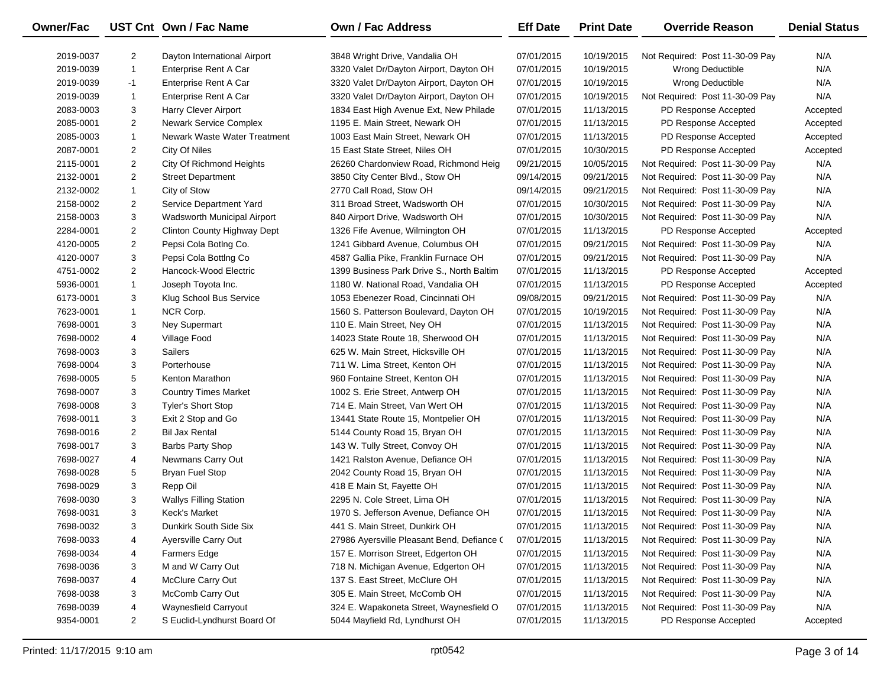| Owner/Fac |                | UST Cnt Own / Fac Name        | Own / Fac Address                          | <b>Eff Date</b> | <b>Print Date</b> | <b>Override Reason</b>          | <b>Denial Status</b> |
|-----------|----------------|-------------------------------|--------------------------------------------|-----------------|-------------------|---------------------------------|----------------------|
| 2019-0037 | $\overline{2}$ | Dayton International Airport  | 3848 Wright Drive, Vandalia OH             | 07/01/2015      | 10/19/2015        | Not Required: Post 11-30-09 Pay | N/A                  |
| 2019-0039 | $\mathbf{1}$   | <b>Enterprise Rent A Car</b>  | 3320 Valet Dr/Dayton Airport, Dayton OH    | 07/01/2015      | 10/19/2015        | Wrong Deductible                | N/A                  |
| 2019-0039 | $-1$           | <b>Enterprise Rent A Car</b>  | 3320 Valet Dr/Dayton Airport, Dayton OH    | 07/01/2015      | 10/19/2015        | Wrong Deductible                | N/A                  |
| 2019-0039 | $\mathbf{1}$   | Enterprise Rent A Car         | 3320 Valet Dr/Dayton Airport, Dayton OH    | 07/01/2015      | 10/19/2015        | Not Required: Post 11-30-09 Pay | N/A                  |
| 2083-0003 | 3              | Harry Clever Airport          | 1834 East High Avenue Ext, New Philade     | 07/01/2015      | 11/13/2015        | PD Response Accepted            | Accepted             |
| 2085-0001 | $\overline{2}$ | <b>Newark Service Complex</b> | 1195 E. Main Street, Newark OH             | 07/01/2015      | 11/13/2015        | PD Response Accepted            | Accepted             |
| 2085-0003 | $\mathbf{1}$   | Newark Waste Water Treatment  | 1003 East Main Street, Newark OH           | 07/01/2015      | 11/13/2015        | PD Response Accepted            | Accepted             |
| 2087-0001 | $\overline{2}$ | City Of Niles                 | 15 East State Street, Niles OH             | 07/01/2015      | 10/30/2015        | PD Response Accepted            | Accepted             |
| 2115-0001 | $\overline{2}$ | City Of Richmond Heights      | 26260 Chardonview Road, Richmond Heig      | 09/21/2015      | 10/05/2015        | Not Required: Post 11-30-09 Pay | N/A                  |
| 2132-0001 | $\overline{2}$ | <b>Street Department</b>      | 3850 City Center Blvd., Stow OH            | 09/14/2015      | 09/21/2015        | Not Required: Post 11-30-09 Pay | N/A                  |
| 2132-0002 | $\mathbf{1}$   | City of Stow                  | 2770 Call Road, Stow OH                    | 09/14/2015      | 09/21/2015        | Not Required: Post 11-30-09 Pay | N/A                  |
| 2158-0002 | $\overline{2}$ | Service Department Yard       | 311 Broad Street, Wadsworth OH             | 07/01/2015      | 10/30/2015        | Not Required: Post 11-30-09 Pay | N/A                  |
| 2158-0003 | 3              | Wadsworth Municipal Airport   | 840 Airport Drive, Wadsworth OH            | 07/01/2015      | 10/30/2015        | Not Required: Post 11-30-09 Pay | N/A                  |
| 2284-0001 | $\overline{2}$ | Clinton County Highway Dept   | 1326 Fife Avenue, Wilmington OH            | 07/01/2015      | 11/13/2015        | PD Response Accepted            | Accepted             |
| 4120-0005 | $\overline{2}$ | Pepsi Cola Botlng Co.         | 1241 Gibbard Avenue, Columbus OH           | 07/01/2015      | 09/21/2015        | Not Required: Post 11-30-09 Pay | N/A                  |
| 4120-0007 | 3              | Pepsi Cola Botting Co         | 4587 Gallia Pike, Franklin Furnace OH      | 07/01/2015      | 09/21/2015        | Not Required: Post 11-30-09 Pay | N/A                  |
| 4751-0002 | $\overline{2}$ | Hancock-Wood Electric         | 1399 Business Park Drive S., North Baltim  | 07/01/2015      | 11/13/2015        | PD Response Accepted            | Accepted             |
| 5936-0001 | $\mathbf{1}$   | Joseph Toyota Inc.            | 1180 W. National Road, Vandalia OH         | 07/01/2015      | 11/13/2015        | PD Response Accepted            | Accepted             |
| 6173-0001 | 3              | Klug School Bus Service       | 1053 Ebenezer Road, Cincinnati OH          | 09/08/2015      | 09/21/2015        | Not Required: Post 11-30-09 Pay | N/A                  |
| 7623-0001 | $\mathbf{1}$   | NCR Corp.                     | 1560 S. Patterson Boulevard, Dayton OH     | 07/01/2015      | 10/19/2015        | Not Required: Post 11-30-09 Pay | N/A                  |
| 7698-0001 | 3              | Ney Supermart                 | 110 E. Main Street, Ney OH                 | 07/01/2015      | 11/13/2015        | Not Required: Post 11-30-09 Pay | N/A                  |
| 7698-0002 | 4              | Village Food                  | 14023 State Route 18, Sherwood OH          | 07/01/2015      | 11/13/2015        | Not Required: Post 11-30-09 Pay | N/A                  |
| 7698-0003 | 3              | <b>Sailers</b>                | 625 W. Main Street, Hicksville OH          | 07/01/2015      | 11/13/2015        | Not Required: Post 11-30-09 Pay | N/A                  |
| 7698-0004 | 3              | Porterhouse                   | 711 W. Lima Street, Kenton OH              | 07/01/2015      | 11/13/2015        | Not Required: Post 11-30-09 Pay | N/A                  |
| 7698-0005 | 5              | Kenton Marathon               | 960 Fontaine Street, Kenton OH             | 07/01/2015      | 11/13/2015        | Not Required: Post 11-30-09 Pay | N/A                  |
| 7698-0007 | 3              | <b>Country Times Market</b>   | 1002 S. Erie Street, Antwerp OH            | 07/01/2015      | 11/13/2015        | Not Required: Post 11-30-09 Pay | N/A                  |
| 7698-0008 | 3              | <b>Tyler's Short Stop</b>     | 714 E. Main Street, Van Wert OH            | 07/01/2015      | 11/13/2015        | Not Required: Post 11-30-09 Pay | N/A                  |
| 7698-0011 | 3              | Exit 2 Stop and Go            | 13441 State Route 15, Montpelier OH        | 07/01/2015      | 11/13/2015        | Not Required: Post 11-30-09 Pay | N/A                  |
| 7698-0016 | $\overline{2}$ | <b>Bil Jax Rental</b>         | 5144 County Road 15, Bryan OH              | 07/01/2015      | 11/13/2015        | Not Required: Post 11-30-09 Pay | N/A                  |
| 7698-0017 | 3              | Barbs Party Shop              | 143 W. Tully Street, Convoy OH             | 07/01/2015      | 11/13/2015        | Not Required: Post 11-30-09 Pay | N/A                  |
| 7698-0027 | 4              | Newmans Carry Out             | 1421 Ralston Avenue, Defiance OH           | 07/01/2015      | 11/13/2015        | Not Required: Post 11-30-09 Pay | N/A                  |
| 7698-0028 | 5              | <b>Bryan Fuel Stop</b>        | 2042 County Road 15, Bryan OH              | 07/01/2015      | 11/13/2015        | Not Required: Post 11-30-09 Pay | N/A                  |
| 7698-0029 | 3              | Repp Oil                      | 418 E Main St, Fayette OH                  | 07/01/2015      | 11/13/2015        | Not Required: Post 11-30-09 Pay | N/A                  |
| 7698-0030 | 3              | <b>Wallys Filling Station</b> | 2295 N. Cole Street, Lima OH               | 07/01/2015      | 11/13/2015        | Not Required: Post 11-30-09 Pay | N/A                  |
| 7698-0031 | 3              | Keck's Market                 | 1970 S. Jefferson Avenue, Defiance OH      | 07/01/2015      | 11/13/2015        | Not Required: Post 11-30-09 Pay | N/A                  |
| 7698-0032 | 3              | Dunkirk South Side Six        | 441 S. Main Street, Dunkirk OH             | 07/01/2015      | 11/13/2015        | Not Required: Post 11-30-09 Pay | N/A                  |
| 7698-0033 | 4              | Ayersville Carry Out          | 27986 Ayersville Pleasant Bend, Defiance ( | 07/01/2015      | 11/13/2015        | Not Required: Post 11-30-09 Pay | N/A                  |
| 7698-0034 | 4              | <b>Farmers Edge</b>           | 157 E. Morrison Street, Edgerton OH        | 07/01/2015      | 11/13/2015        | Not Required: Post 11-30-09 Pay | N/A                  |
| 7698-0036 | 3              | M and W Carry Out             | 718 N. Michigan Avenue, Edgerton OH        | 07/01/2015      | 11/13/2015        | Not Required: Post 11-30-09 Pay | N/A                  |
| 7698-0037 | 4              | McClure Carry Out             | 137 S. East Street, McClure OH             | 07/01/2015      | 11/13/2015        | Not Required: Post 11-30-09 Pay | N/A                  |
| 7698-0038 | 3              | McComb Carry Out              | 305 E. Main Street, McComb OH              | 07/01/2015      | 11/13/2015        | Not Required: Post 11-30-09 Pay | N/A                  |
| 7698-0039 | 4              | Waynesfield Carryout          | 324 E. Wapakoneta Street, Waynesfield O    | 07/01/2015      | 11/13/2015        | Not Required: Post 11-30-09 Pay | N/A                  |
| 9354-0001 | $\overline{2}$ | S Euclid-Lyndhurst Board Of   | 5044 Mayfield Rd, Lyndhurst OH             | 07/01/2015      | 11/13/2015        | PD Response Accepted            | Accepted             |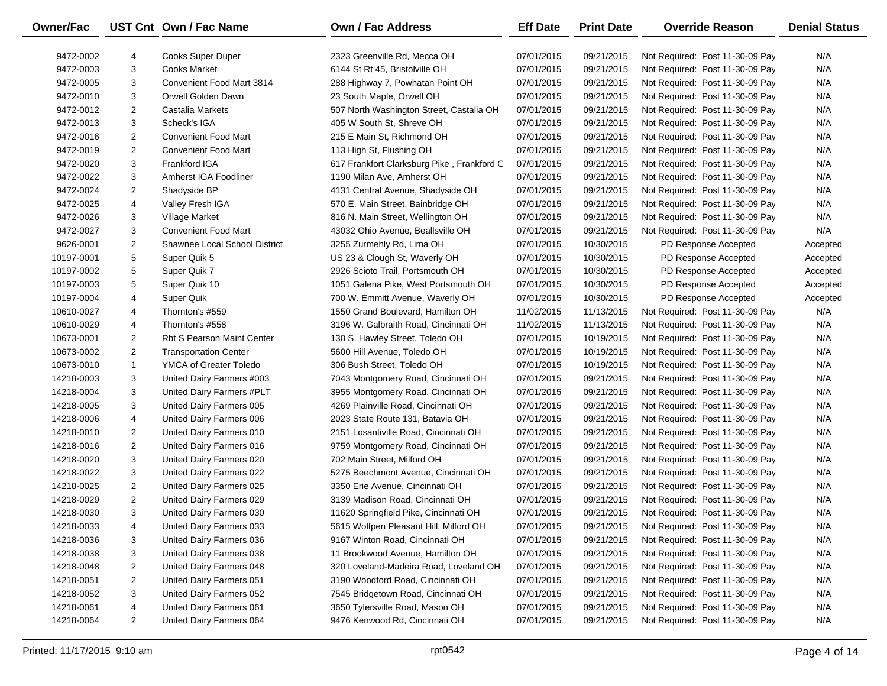| <b>Owner/Fac</b> |                | UST Cnt Own / Fac Name            | Own / Fac Address                          | <b>Eff Date</b> | <b>Print Date</b> | <b>Override Reason</b>          | <b>Denial Status</b> |
|------------------|----------------|-----------------------------------|--------------------------------------------|-----------------|-------------------|---------------------------------|----------------------|
| 9472-0002        | 4              | Cooks Super Duper                 | 2323 Greenville Rd, Mecca OH               | 07/01/2015      | 09/21/2015        | Not Required: Post 11-30-09 Pay | N/A                  |
| 9472-0003        | 3              | <b>Cooks Market</b>               | 6144 St Rt 45, Bristolville OH             | 07/01/2015      | 09/21/2015        | Not Required: Post 11-30-09 Pay | N/A                  |
| 9472-0005        | 3              | Convenient Food Mart 3814         | 288 Highway 7, Powhatan Point OH           | 07/01/2015      | 09/21/2015        | Not Required: Post 11-30-09 Pay | N/A                  |
| 9472-0010        | 3              | Orwell Golden Dawn                | 23 South Maple, Orwell OH                  | 07/01/2015      | 09/21/2015        | Not Required: Post 11-30-09 Pay | N/A                  |
| 9472-0012        | $\overline{2}$ | Castalia Markets                  | 507 North Washington Street, Castalia OH   | 07/01/2015      | 09/21/2015        | Not Required: Post 11-30-09 Pay | N/A                  |
| 9472-0013        | 3              | Scheck's IGA                      | 405 W South St, Shreve OH                  | 07/01/2015      | 09/21/2015        | Not Required: Post 11-30-09 Pay | N/A                  |
| 9472-0016        | $\overline{2}$ | <b>Convenient Food Mart</b>       | 215 E Main St, Richmond OH                 | 07/01/2015      | 09/21/2015        | Not Required: Post 11-30-09 Pay | N/A                  |
| 9472-0019        | $\overline{2}$ | <b>Convenient Food Mart</b>       | 113 High St, Flushing OH                   | 07/01/2015      | 09/21/2015        | Not Required: Post 11-30-09 Pay | N/A                  |
| 9472-0020        | 3              | Frankford IGA                     | 617 Frankfort Clarksburg Pike, Frankford C | 07/01/2015      | 09/21/2015        | Not Required: Post 11-30-09 Pay | N/A                  |
| 9472-0022        | 3              | Amherst IGA Foodliner             | 1190 Milan Ave, Amherst OH                 | 07/01/2015      | 09/21/2015        | Not Required: Post 11-30-09 Pay | N/A                  |
| 9472-0024        | $\overline{2}$ | Shadyside BP                      | 4131 Central Avenue, Shadyside OH          | 07/01/2015      | 09/21/2015        | Not Required: Post 11-30-09 Pay | N/A                  |
| 9472-0025        | 4              | Valley Fresh IGA                  | 570 E. Main Street, Bainbridge OH          | 07/01/2015      | 09/21/2015        | Not Required: Post 11-30-09 Pay | N/A                  |
| 9472-0026        | 3              | Village Market                    | 816 N. Main Street, Wellington OH          | 07/01/2015      | 09/21/2015        | Not Required: Post 11-30-09 Pay | N/A                  |
| 9472-0027        | 3              | <b>Convenient Food Mart</b>       | 43032 Ohio Avenue, Beallsville OH          | 07/01/2015      | 09/21/2015        | Not Required: Post 11-30-09 Pay | N/A                  |
| 9626-0001        | $\overline{2}$ | Shawnee Local School District     | 3255 Zurmehly Rd, Lima OH                  | 07/01/2015      | 10/30/2015        | PD Response Accepted            | Accepted             |
| 10197-0001       | 5              | Super Quik 5                      | US 23 & Clough St, Waverly OH              | 07/01/2015      | 10/30/2015        | PD Response Accepted            | Accepted             |
| 10197-0002       | 5              | Super Quik 7                      | 2926 Scioto Trail, Portsmouth OH           | 07/01/2015      | 10/30/2015        | PD Response Accepted            | Accepted             |
| 10197-0003       | 5              | Super Quik 10                     | 1051 Galena Pike, West Portsmouth OH       | 07/01/2015      | 10/30/2015        | PD Response Accepted            | Accepted             |
| 10197-0004       | 4              | Super Quik                        | 700 W. Emmitt Avenue, Waverly OH           | 07/01/2015      | 10/30/2015        | PD Response Accepted            | Accepted             |
| 10610-0027       | 4              | Thornton's #559                   | 1550 Grand Boulevard, Hamilton OH          | 11/02/2015      | 11/13/2015        | Not Required: Post 11-30-09 Pay | N/A                  |
| 10610-0029       | 4              | Thornton's #558                   | 3196 W. Galbraith Road, Cincinnati OH      | 11/02/2015      | 11/13/2015        | Not Required: Post 11-30-09 Pay | N/A                  |
| 10673-0001       | $\overline{2}$ | <b>Rbt S Pearson Maint Center</b> | 130 S. Hawley Street, Toledo OH            | 07/01/2015      | 10/19/2015        | Not Required: Post 11-30-09 Pay | N/A                  |
| 10673-0002       | $\overline{2}$ | <b>Transportation Center</b>      | 5600 Hill Avenue, Toledo OH                | 07/01/2015      | 10/19/2015        | Not Required: Post 11-30-09 Pay | N/A                  |
| 10673-0010       | $\mathbf{1}$   | YMCA of Greater Toledo            | 306 Bush Street, Toledo OH                 | 07/01/2015      | 10/19/2015        | Not Required: Post 11-30-09 Pay | N/A                  |
| 14218-0003       | 3              | United Dairy Farmers #003         | 7043 Montgomery Road, Cincinnati OH        | 07/01/2015      | 09/21/2015        | Not Required: Post 11-30-09 Pay | N/A                  |
| 14218-0004       | 3              | United Dairy Farmers #PLT         | 3955 Montgomery Road, Cincinnati OH        | 07/01/2015      | 09/21/2015        | Not Required: Post 11-30-09 Pay | N/A                  |
| 14218-0005       | 3              | United Dairy Farmers 005          | 4269 Plainville Road, Cincinnati OH        | 07/01/2015      | 09/21/2015        | Not Required: Post 11-30-09 Pay | N/A                  |
| 14218-0006       | 4              | United Dairy Farmers 006          | 2023 State Route 131, Batavia OH           | 07/01/2015      | 09/21/2015        | Not Required: Post 11-30-09 Pay | N/A                  |
| 14218-0010       | $\overline{c}$ | United Dairy Farmers 010          | 2151 Losantiville Road, Cincinnati OH      | 07/01/2015      | 09/21/2015        | Not Required: Post 11-30-09 Pay | N/A                  |
| 14218-0016       | $\overline{2}$ | United Dairy Farmers 016          | 9759 Montgomery Road, Cincinnati OH        | 07/01/2015      | 09/21/2015        | Not Required: Post 11-30-09 Pay | N/A                  |
| 14218-0020       | 3              | United Dairy Farmers 020          | 702 Main Street, Milford OH                | 07/01/2015      | 09/21/2015        | Not Required: Post 11-30-09 Pay | N/A                  |
| 14218-0022       | 3              | United Dairy Farmers 022          | 5275 Beechmont Avenue, Cincinnati OH       | 07/01/2015      | 09/21/2015        | Not Required: Post 11-30-09 Pay | N/A                  |
| 14218-0025       | $\overline{2}$ | United Dairy Farmers 025          | 3350 Erie Avenue, Cincinnati OH            | 07/01/2015      | 09/21/2015        | Not Required: Post 11-30-09 Pay | N/A                  |
| 14218-0029       | $\overline{2}$ | United Dairy Farmers 029          | 3139 Madison Road, Cincinnati OH           | 07/01/2015      | 09/21/2015        | Not Required: Post 11-30-09 Pay | N/A                  |
| 14218-0030       | 3              | United Dairy Farmers 030          | 11620 Springfield Pike, Cincinnati OH      | 07/01/2015      | 09/21/2015        | Not Required: Post 11-30-09 Pay | N/A                  |
| 14218-0033       | 4              | United Dairy Farmers 033          | 5615 Wolfpen Pleasant Hill, Milford OH     | 07/01/2015      | 09/21/2015        | Not Required: Post 11-30-09 Pay | N/A                  |
| 14218-0036       | 3              | United Dairy Farmers 036          | 9167 Winton Road, Cincinnati OH            | 07/01/2015      | 09/21/2015        | Not Required: Post 11-30-09 Pay | N/A                  |
| 14218-0038       | 3              | United Dairy Farmers 038          | 11 Brookwood Avenue, Hamilton OH           | 07/01/2015      | 09/21/2015        | Not Required: Post 11-30-09 Pay | N/A                  |
| 14218-0048       | 2              | United Dairy Farmers 048          | 320 Loveland-Madeira Road, Loveland OH     | 07/01/2015      | 09/21/2015        | Not Required: Post 11-30-09 Pay | N/A                  |
| 14218-0051       | $\overline{2}$ | United Dairy Farmers 051          | 3190 Woodford Road, Cincinnati OH          | 07/01/2015      | 09/21/2015        | Not Required: Post 11-30-09 Pay | N/A                  |
| 14218-0052       | 3              | United Dairy Farmers 052          | 7545 Bridgetown Road, Cincinnati OH        | 07/01/2015      | 09/21/2015        | Not Required: Post 11-30-09 Pay | N/A                  |
| 14218-0061       | 4              | United Dairy Farmers 061          | 3650 Tylersville Road, Mason OH            | 07/01/2015      | 09/21/2015        | Not Required: Post 11-30-09 Pay | N/A                  |
| 14218-0064       | $\overline{2}$ | United Dairy Farmers 064          | 9476 Kenwood Rd, Cincinnati OH             | 07/01/2015      | 09/21/2015        | Not Required: Post 11-30-09 Pay | N/A                  |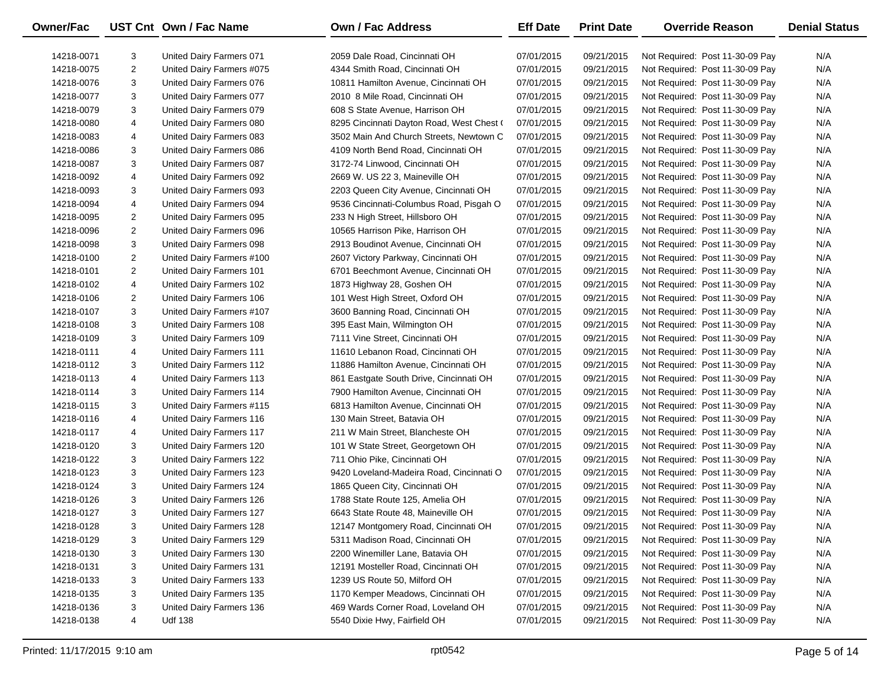| <b>Owner/Fac</b> |                | UST Cnt Own / Fac Name    | <b>Own / Fac Address</b>                  | <b>Eff Date</b> | <b>Print Date</b> | <b>Override Reason</b>          | <b>Denial Status</b> |
|------------------|----------------|---------------------------|-------------------------------------------|-----------------|-------------------|---------------------------------|----------------------|
| 14218-0071       | 3              | United Dairy Farmers 071  | 2059 Dale Road, Cincinnati OH             | 07/01/2015      | 09/21/2015        | Not Required: Post 11-30-09 Pay | N/A                  |
| 14218-0075       | $\overline{2}$ | United Dairy Farmers #075 | 4344 Smith Road, Cincinnati OH            | 07/01/2015      | 09/21/2015        | Not Required: Post 11-30-09 Pay | N/A                  |
| 14218-0076       | 3              | United Dairy Farmers 076  | 10811 Hamilton Avenue, Cincinnati OH      | 07/01/2015      | 09/21/2015        | Not Required: Post 11-30-09 Pay | N/A                  |
| 14218-0077       | 3              | United Dairy Farmers 077  | 2010 8 Mile Road, Cincinnati OH           | 07/01/2015      | 09/21/2015        | Not Required: Post 11-30-09 Pay | N/A                  |
| 14218-0079       | 3              | United Dairy Farmers 079  | 608 S State Avenue, Harrison OH           | 07/01/2015      | 09/21/2015        | Not Required: Post 11-30-09 Pay | N/A                  |
| 14218-0080       | 4              | United Dairy Farmers 080  | 8295 Cincinnati Dayton Road, West Chest ( | 07/01/2015      | 09/21/2015        | Not Required: Post 11-30-09 Pay | N/A                  |
| 14218-0083       | 4              | United Dairy Farmers 083  | 3502 Main And Church Streets, Newtown C   | 07/01/2015      | 09/21/2015        | Not Required: Post 11-30-09 Pay | N/A                  |
| 14218-0086       | 3              | United Dairy Farmers 086  | 4109 North Bend Road, Cincinnati OH       | 07/01/2015      | 09/21/2015        | Not Required: Post 11-30-09 Pay | N/A                  |
| 14218-0087       | 3              | United Dairy Farmers 087  | 3172-74 Linwood, Cincinnati OH            | 07/01/2015      | 09/21/2015        | Not Required: Post 11-30-09 Pay | N/A                  |
| 14218-0092       | 4              | United Dairy Farmers 092  | 2669 W. US 22 3, Maineville OH            | 07/01/2015      | 09/21/2015        | Not Required: Post 11-30-09 Pay | N/A                  |
| 14218-0093       | 3              | United Dairy Farmers 093  | 2203 Queen City Avenue, Cincinnati OH     | 07/01/2015      | 09/21/2015        | Not Required: Post 11-30-09 Pay | N/A                  |
| 14218-0094       | 4              | United Dairy Farmers 094  | 9536 Cincinnati-Columbus Road, Pisgah O   | 07/01/2015      | 09/21/2015        | Not Required: Post 11-30-09 Pay | N/A                  |
| 14218-0095       | 2              | United Dairy Farmers 095  | 233 N High Street, Hillsboro OH           | 07/01/2015      | 09/21/2015        | Not Required: Post 11-30-09 Pay | N/A                  |
| 14218-0096       | 2              | United Dairy Farmers 096  | 10565 Harrison Pike, Harrison OH          | 07/01/2015      | 09/21/2015        | Not Required: Post 11-30-09 Pay | N/A                  |
| 14218-0098       | 3              | United Dairy Farmers 098  | 2913 Boudinot Avenue, Cincinnati OH       | 07/01/2015      | 09/21/2015        | Not Required: Post 11-30-09 Pay | N/A                  |
| 14218-0100       | 2              | United Dairy Farmers #100 | 2607 Victory Parkway, Cincinnati OH       | 07/01/2015      | 09/21/2015        | Not Required: Post 11-30-09 Pay | N/A                  |
| 14218-0101       | $\overline{2}$ | United Dairy Farmers 101  | 6701 Beechmont Avenue, Cincinnati OH      | 07/01/2015      | 09/21/2015        | Not Required: Post 11-30-09 Pay | N/A                  |
| 14218-0102       | 4              | United Dairy Farmers 102  | 1873 Highway 28, Goshen OH                | 07/01/2015      | 09/21/2015        | Not Required: Post 11-30-09 Pay | N/A                  |
| 14218-0106       | 2              | United Dairy Farmers 106  | 101 West High Street, Oxford OH           | 07/01/2015      | 09/21/2015        | Not Required: Post 11-30-09 Pay | N/A                  |
| 14218-0107       | 3              | United Dairy Farmers #107 | 3600 Banning Road, Cincinnati OH          | 07/01/2015      | 09/21/2015        | Not Required: Post 11-30-09 Pay | N/A                  |
| 14218-0108       | 3              | United Dairy Farmers 108  | 395 East Main, Wilmington OH              | 07/01/2015      | 09/21/2015        | Not Required: Post 11-30-09 Pay | N/A                  |
| 14218-0109       | 3              | United Dairy Farmers 109  | 7111 Vine Street, Cincinnati OH           | 07/01/2015      | 09/21/2015        | Not Required: Post 11-30-09 Pay | N/A                  |
| 14218-0111       | 4              | United Dairy Farmers 111  | 11610 Lebanon Road, Cincinnati OH         | 07/01/2015      | 09/21/2015        | Not Required: Post 11-30-09 Pay | N/A                  |
| 14218-0112       | 3              | United Dairy Farmers 112  | 11886 Hamilton Avenue, Cincinnati OH      | 07/01/2015      | 09/21/2015        | Not Required: Post 11-30-09 Pay | N/A                  |
| 14218-0113       | 4              | United Dairy Farmers 113  | 861 Eastgate South Drive, Cincinnati OH   | 07/01/2015      | 09/21/2015        | Not Required: Post 11-30-09 Pay | N/A                  |
| 14218-0114       | 3              | United Dairy Farmers 114  | 7900 Hamilton Avenue, Cincinnati OH       | 07/01/2015      | 09/21/2015        | Not Required: Post 11-30-09 Pay | N/A                  |
| 14218-0115       | 3              | United Dairy Farmers #115 | 6813 Hamilton Avenue, Cincinnati OH       | 07/01/2015      | 09/21/2015        | Not Required: Post 11-30-09 Pay | N/A                  |
| 14218-0116       | 4              | United Dairy Farmers 116  | 130 Main Street, Batavia OH               | 07/01/2015      | 09/21/2015        | Not Required: Post 11-30-09 Pay | N/A                  |
| 14218-0117       | 4              | United Dairy Farmers 117  | 211 W Main Street, Blancheste OH          | 07/01/2015      | 09/21/2015        | Not Required: Post 11-30-09 Pay | N/A                  |
| 14218-0120       | 3              | United Dairy Farmers 120  | 101 W State Street, Georgetown OH         | 07/01/2015      | 09/21/2015        | Not Required: Post 11-30-09 Pay | N/A                  |
| 14218-0122       | 3              | United Dairy Farmers 122  | 711 Ohio Pike, Cincinnati OH              | 07/01/2015      | 09/21/2015        | Not Required: Post 11-30-09 Pay | N/A                  |
| 14218-0123       | 3              | United Dairy Farmers 123  | 9420 Loveland-Madeira Road, Cincinnati O  | 07/01/2015      | 09/21/2015        | Not Required: Post 11-30-09 Pay | N/A                  |
| 14218-0124       | 3              | United Dairy Farmers 124  | 1865 Queen City, Cincinnati OH            | 07/01/2015      | 09/21/2015        | Not Required: Post 11-30-09 Pay | N/A                  |
| 14218-0126       | 3              | United Dairy Farmers 126  | 1788 State Route 125, Amelia OH           | 07/01/2015      | 09/21/2015        | Not Required: Post 11-30-09 Pay | N/A                  |
| 14218-0127       | 3              | United Dairy Farmers 127  | 6643 State Route 48, Maineville OH        | 07/01/2015      | 09/21/2015        | Not Required: Post 11-30-09 Pay | N/A                  |
| 14218-0128       | 3              | United Dairy Farmers 128  | 12147 Montgomery Road, Cincinnati OH      | 07/01/2015      | 09/21/2015        | Not Required: Post 11-30-09 Pay | N/A                  |
| 14218-0129       | 3              | United Dairy Farmers 129  | 5311 Madison Road, Cincinnati OH          | 07/01/2015      | 09/21/2015        | Not Required: Post 11-30-09 Pay | N/A                  |
| 14218-0130       | 3              | United Dairy Farmers 130  | 2200 Winemiller Lane, Batavia OH          | 07/01/2015      | 09/21/2015        | Not Required: Post 11-30-09 Pay | N/A                  |
| 14218-0131       | 3              | United Dairy Farmers 131  | 12191 Mosteller Road, Cincinnati OH       | 07/01/2015      | 09/21/2015        | Not Required: Post 11-30-09 Pay | N/A                  |
| 14218-0133       | 3              | United Dairy Farmers 133  | 1239 US Route 50, Milford OH              | 07/01/2015      | 09/21/2015        | Not Required: Post 11-30-09 Pay | N/A                  |
| 14218-0135       | 3              | United Dairy Farmers 135  | 1170 Kemper Meadows, Cincinnati OH        | 07/01/2015      | 09/21/2015        | Not Required: Post 11-30-09 Pay | N/A                  |
| 14218-0136       | 3              | United Dairy Farmers 136  | 469 Wards Corner Road, Loveland OH        | 07/01/2015      | 09/21/2015        | Not Required: Post 11-30-09 Pay | N/A                  |
| 14218-0138       | 4              | <b>Udf 138</b>            | 5540 Dixie Hwy, Fairfield OH              | 07/01/2015      | 09/21/2015        | Not Required: Post 11-30-09 Pay | N/A                  |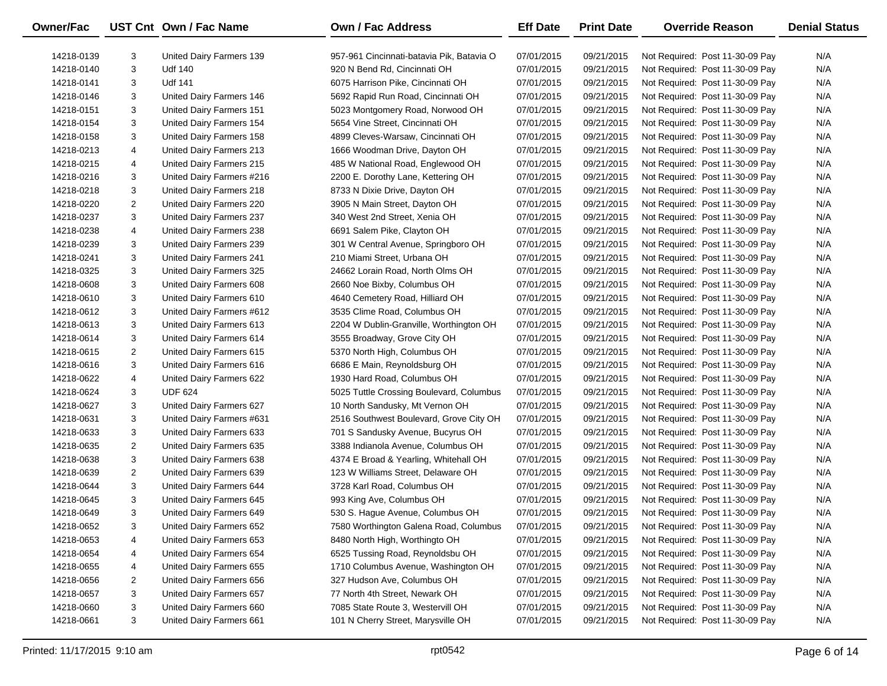| <b>Owner/Fac</b> |                         | UST Cnt Own / Fac Name    | <b>Own / Fac Address</b>                  | <b>Eff Date</b> | <b>Print Date</b> | <b>Override Reason</b>          | <b>Denial Status</b> |
|------------------|-------------------------|---------------------------|-------------------------------------------|-----------------|-------------------|---------------------------------|----------------------|
| 14218-0139       | 3                       | United Dairy Farmers 139  | 957-961 Cincinnati-batavia Pik, Batavia O | 07/01/2015      | 09/21/2015        | Not Required: Post 11-30-09 Pay | N/A                  |
| 14218-0140       | 3                       | <b>Udf 140</b>            | 920 N Bend Rd, Cincinnati OH              | 07/01/2015      | 09/21/2015        | Not Required: Post 11-30-09 Pay | N/A                  |
| 14218-0141       | 3                       | <b>Udf 141</b>            | 6075 Harrison Pike, Cincinnati OH         | 07/01/2015      | 09/21/2015        | Not Required: Post 11-30-09 Pay | N/A                  |
| 14218-0146       | 3                       | United Dairy Farmers 146  | 5692 Rapid Run Road, Cincinnati OH        | 07/01/2015      | 09/21/2015        | Not Required: Post 11-30-09 Pay | N/A                  |
| 14218-0151       | 3                       | United Dairy Farmers 151  | 5023 Montgomery Road, Norwood OH          | 07/01/2015      | 09/21/2015        | Not Required: Post 11-30-09 Pay | N/A                  |
| 14218-0154       | 3                       | United Dairy Farmers 154  | 5654 Vine Street, Cincinnati OH           | 07/01/2015      | 09/21/2015        | Not Required: Post 11-30-09 Pay | N/A                  |
| 14218-0158       | 3                       | United Dairy Farmers 158  | 4899 Cleves-Warsaw, Cincinnati OH         | 07/01/2015      | 09/21/2015        | Not Required: Post 11-30-09 Pay | N/A                  |
| 14218-0213       | 4                       | United Dairy Farmers 213  | 1666 Woodman Drive, Dayton OH             | 07/01/2015      | 09/21/2015        | Not Required: Post 11-30-09 Pay | N/A                  |
| 14218-0215       | 4                       | United Dairy Farmers 215  | 485 W National Road, Englewood OH         | 07/01/2015      | 09/21/2015        | Not Required: Post 11-30-09 Pay | N/A                  |
| 14218-0216       | 3                       | United Dairy Farmers #216 | 2200 E. Dorothy Lane, Kettering OH        | 07/01/2015      | 09/21/2015        | Not Required: Post 11-30-09 Pay | N/A                  |
| 14218-0218       | 3                       | United Dairy Farmers 218  | 8733 N Dixie Drive, Dayton OH             | 07/01/2015      | 09/21/2015        | Not Required: Post 11-30-09 Pay | N/A                  |
| 14218-0220       | 2                       | United Dairy Farmers 220  | 3905 N Main Street, Dayton OH             | 07/01/2015      | 09/21/2015        | Not Required: Post 11-30-09 Pay | N/A                  |
| 14218-0237       | 3                       | United Dairy Farmers 237  | 340 West 2nd Street, Xenia OH             | 07/01/2015      | 09/21/2015        | Not Required: Post 11-30-09 Pay | N/A                  |
| 14218-0238       | 4                       | United Dairy Farmers 238  | 6691 Salem Pike, Clayton OH               | 07/01/2015      | 09/21/2015        | Not Required: Post 11-30-09 Pay | N/A                  |
| 14218-0239       | 3                       | United Dairy Farmers 239  | 301 W Central Avenue, Springboro OH       | 07/01/2015      | 09/21/2015        | Not Required: Post 11-30-09 Pay | N/A                  |
| 14218-0241       | 3                       | United Dairy Farmers 241  | 210 Miami Street, Urbana OH               | 07/01/2015      | 09/21/2015        | Not Required: Post 11-30-09 Pay | N/A                  |
| 14218-0325       | 3                       | United Dairy Farmers 325  | 24662 Lorain Road, North Olms OH          | 07/01/2015      | 09/21/2015        | Not Required: Post 11-30-09 Pay | N/A                  |
| 14218-0608       | 3                       | United Dairy Farmers 608  | 2660 Noe Bixby, Columbus OH               | 07/01/2015      | 09/21/2015        | Not Required: Post 11-30-09 Pay | N/A                  |
| 14218-0610       | 3                       | United Dairy Farmers 610  | 4640 Cemetery Road, Hilliard OH           | 07/01/2015      | 09/21/2015        | Not Required: Post 11-30-09 Pay | N/A                  |
| 14218-0612       | 3                       | United Dairy Farmers #612 | 3535 Clime Road, Columbus OH              | 07/01/2015      | 09/21/2015        | Not Required: Post 11-30-09 Pay | N/A                  |
| 14218-0613       | 3                       | United Dairy Farmers 613  | 2204 W Dublin-Granville, Worthington OH   | 07/01/2015      | 09/21/2015        | Not Required: Post 11-30-09 Pay | N/A                  |
| 14218-0614       | 3                       | United Dairy Farmers 614  | 3555 Broadway, Grove City OH              | 07/01/2015      | 09/21/2015        | Not Required: Post 11-30-09 Pay | N/A                  |
| 14218-0615       | 2                       | United Dairy Farmers 615  | 5370 North High, Columbus OH              | 07/01/2015      | 09/21/2015        | Not Required: Post 11-30-09 Pay | N/A                  |
| 14218-0616       | 3                       | United Dairy Farmers 616  | 6686 E Main, Reynoldsburg OH              | 07/01/2015      | 09/21/2015        | Not Required: Post 11-30-09 Pay | N/A                  |
| 14218-0622       | 4                       | United Dairy Farmers 622  | 1930 Hard Road, Columbus OH               | 07/01/2015      | 09/21/2015        | Not Required: Post 11-30-09 Pay | N/A                  |
| 14218-0624       | 3                       | <b>UDF 624</b>            | 5025 Tuttle Crossing Boulevard, Columbus  | 07/01/2015      | 09/21/2015        | Not Required: Post 11-30-09 Pay | N/A                  |
| 14218-0627       | 3                       | United Dairy Farmers 627  | 10 North Sandusky, Mt Vernon OH           | 07/01/2015      | 09/21/2015        | Not Required: Post 11-30-09 Pay | N/A                  |
| 14218-0631       | 3                       | United Dairy Farmers #631 | 2516 Southwest Boulevard, Grove City OH   | 07/01/2015      | 09/21/2015        | Not Required: Post 11-30-09 Pay | N/A                  |
| 14218-0633       | 3                       | United Dairy Farmers 633  | 701 S Sandusky Avenue, Bucyrus OH         | 07/01/2015      | 09/21/2015        | Not Required: Post 11-30-09 Pay | N/A                  |
| 14218-0635       | 2                       | United Dairy Farmers 635  | 3388 Indianola Avenue, Columbus OH        | 07/01/2015      | 09/21/2015        | Not Required: Post 11-30-09 Pay | N/A                  |
| 14218-0638       | 3                       | United Dairy Farmers 638  | 4374 E Broad & Yearling, Whitehall OH     | 07/01/2015      | 09/21/2015        | Not Required: Post 11-30-09 Pay | N/A                  |
| 14218-0639       | 2                       | United Dairy Farmers 639  | 123 W Williams Street, Delaware OH        | 07/01/2015      | 09/21/2015        | Not Required: Post 11-30-09 Pay | N/A                  |
| 14218-0644       | 3                       | United Dairy Farmers 644  | 3728 Karl Road, Columbus OH               | 07/01/2015      | 09/21/2015        | Not Required: Post 11-30-09 Pay | N/A                  |
| 14218-0645       | 3                       | United Dairy Farmers 645  | 993 King Ave, Columbus OH                 | 07/01/2015      | 09/21/2015        | Not Required: Post 11-30-09 Pay | N/A                  |
| 14218-0649       | 3                       | United Dairy Farmers 649  | 530 S. Hague Avenue, Columbus OH          | 07/01/2015      | 09/21/2015        | Not Required: Post 11-30-09 Pay | N/A                  |
| 14218-0652       | 3                       | United Dairy Farmers 652  | 7580 Worthington Galena Road, Columbus    | 07/01/2015      | 09/21/2015        | Not Required: Post 11-30-09 Pay | N/A                  |
| 14218-0653       | 4                       | United Dairy Farmers 653  | 8480 North High, Worthingto OH            | 07/01/2015      | 09/21/2015        | Not Required: Post 11-30-09 Pay | N/A                  |
| 14218-0654       | 4                       | United Dairy Farmers 654  | 6525 Tussing Road, Reynoldsbu OH          | 07/01/2015      | 09/21/2015        | Not Required: Post 11-30-09 Pay | N/A                  |
| 14218-0655       | 4                       | United Dairy Farmers 655  | 1710 Columbus Avenue, Washington OH       | 07/01/2015      | 09/21/2015        | Not Required: Post 11-30-09 Pay | N/A                  |
| 14218-0656       | $\overline{\mathbf{c}}$ | United Dairy Farmers 656  | 327 Hudson Ave, Columbus OH               | 07/01/2015      | 09/21/2015        | Not Required: Post 11-30-09 Pay | N/A                  |
| 14218-0657       | 3                       | United Dairy Farmers 657  | 77 North 4th Street, Newark OH            | 07/01/2015      | 09/21/2015        | Not Required: Post 11-30-09 Pay | N/A                  |
| 14218-0660       | 3                       | United Dairy Farmers 660  | 7085 State Route 3, Westervill OH         | 07/01/2015      | 09/21/2015        | Not Required: Post 11-30-09 Pay | N/A                  |
| 14218-0661       | 3                       | United Dairy Farmers 661  | 101 N Cherry Street, Marysville OH        | 07/01/2015      | 09/21/2015        | Not Required: Post 11-30-09 Pay | N/A                  |

 $\overline{\phantom{0}}$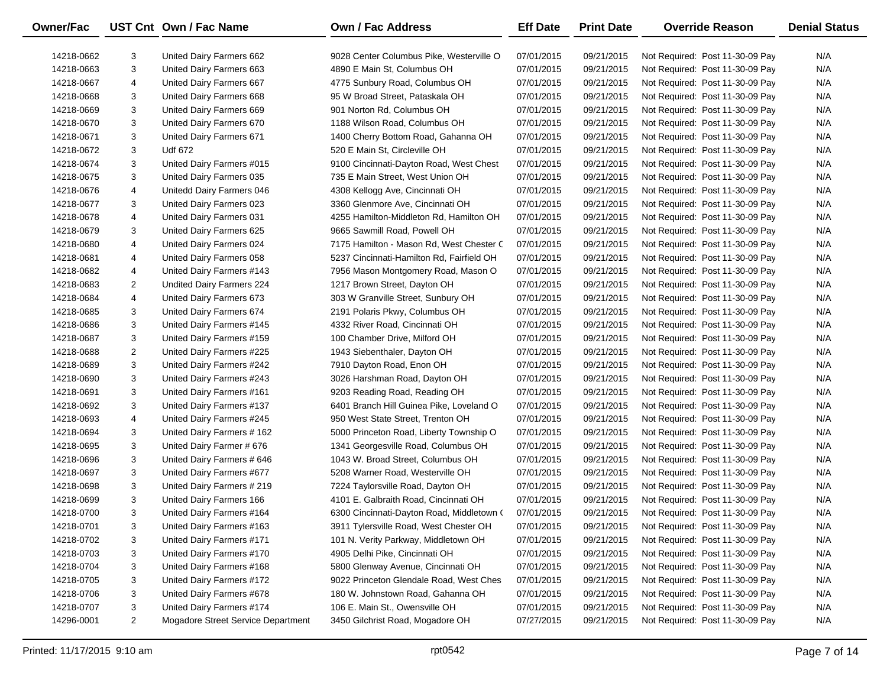| Owner/Fac  |                | UST Cnt Own / Fac Name             | <b>Own / Fac Address</b>                  | <b>Eff Date</b> | <b>Print Date</b> | <b>Override Reason</b>          | <b>Denial Status</b> |
|------------|----------------|------------------------------------|-------------------------------------------|-----------------|-------------------|---------------------------------|----------------------|
| 14218-0662 | 3              | United Dairy Farmers 662           | 9028 Center Columbus Pike, Westerville O  | 07/01/2015      | 09/21/2015        | Not Required: Post 11-30-09 Pay | N/A                  |
| 14218-0663 | 3              | United Dairy Farmers 663           | 4890 E Main St, Columbus OH               | 07/01/2015      | 09/21/2015        | Not Required: Post 11-30-09 Pay | N/A                  |
| 14218-0667 | 4              | United Dairy Farmers 667           | 4775 Sunbury Road, Columbus OH            | 07/01/2015      | 09/21/2015        | Not Required: Post 11-30-09 Pay | N/A                  |
| 14218-0668 | 3              | United Dairy Farmers 668           | 95 W Broad Street, Pataskala OH           | 07/01/2015      | 09/21/2015        | Not Required: Post 11-30-09 Pay | N/A                  |
| 14218-0669 | 3              | United Dairy Farmers 669           | 901 Norton Rd, Columbus OH                | 07/01/2015      | 09/21/2015        | Not Required: Post 11-30-09 Pay | N/A                  |
| 14218-0670 | 3              | United Dairy Farmers 670           | 1188 Wilson Road, Columbus OH             | 07/01/2015      | 09/21/2015        | Not Required: Post 11-30-09 Pay | N/A                  |
| 14218-0671 | 3              | United Dairy Farmers 671           | 1400 Cherry Bottom Road, Gahanna OH       | 07/01/2015      | 09/21/2015        | Not Required: Post 11-30-09 Pay | N/A                  |
| 14218-0672 | 3              | Udf 672                            | 520 E Main St, Circleville OH             | 07/01/2015      | 09/21/2015        | Not Required: Post 11-30-09 Pay | N/A                  |
| 14218-0674 | 3              | United Dairy Farmers #015          | 9100 Cincinnati-Dayton Road, West Chest   | 07/01/2015      | 09/21/2015        | Not Required: Post 11-30-09 Pay | N/A                  |
| 14218-0675 | 3              | United Dairy Farmers 035           | 735 E Main Street, West Union OH          | 07/01/2015      | 09/21/2015        | Not Required: Post 11-30-09 Pay | N/A                  |
| 14218-0676 | 4              | Unitedd Dairy Farmers 046          | 4308 Kellogg Ave, Cincinnati OH           | 07/01/2015      | 09/21/2015        | Not Required: Post 11-30-09 Pay | N/A                  |
| 14218-0677 | 3              | United Dairy Farmers 023           | 3360 Glenmore Ave, Cincinnati OH          | 07/01/2015      | 09/21/2015        | Not Required: Post 11-30-09 Pay | N/A                  |
| 14218-0678 | 4              | United Dairy Farmers 031           | 4255 Hamilton-Middleton Rd, Hamilton OH   | 07/01/2015      | 09/21/2015        | Not Required: Post 11-30-09 Pay | N/A                  |
| 14218-0679 | 3              | United Dairy Farmers 625           | 9665 Sawmill Road, Powell OH              | 07/01/2015      | 09/21/2015        | Not Required: Post 11-30-09 Pay | N/A                  |
| 14218-0680 | 4              | United Dairy Farmers 024           | 7175 Hamilton - Mason Rd, West Chester C  | 07/01/2015      | 09/21/2015        | Not Required: Post 11-30-09 Pay | N/A                  |
| 14218-0681 | 4              | United Dairy Farmers 058           | 5237 Cincinnati-Hamilton Rd, Fairfield OH | 07/01/2015      | 09/21/2015        | Not Required: Post 11-30-09 Pay | N/A                  |
| 14218-0682 | 4              | United Dairy Farmers #143          | 7956 Mason Montgomery Road, Mason O       | 07/01/2015      | 09/21/2015        | Not Required: Post 11-30-09 Pay | N/A                  |
| 14218-0683 | $\overline{2}$ | Undited Dairy Farmers 224          | 1217 Brown Street, Dayton OH              | 07/01/2015      | 09/21/2015        | Not Required: Post 11-30-09 Pay | N/A                  |
| 14218-0684 | 4              | United Dairy Farmers 673           | 303 W Granville Street, Sunbury OH        | 07/01/2015      | 09/21/2015        | Not Required: Post 11-30-09 Pay | N/A                  |
| 14218-0685 | 3              | United Dairy Farmers 674           | 2191 Polaris Pkwy, Columbus OH            | 07/01/2015      | 09/21/2015        | Not Required: Post 11-30-09 Pay | N/A                  |
| 14218-0686 | 3              | United Dairy Farmers #145          | 4332 River Road, Cincinnati OH            | 07/01/2015      | 09/21/2015        | Not Required: Post 11-30-09 Pay | N/A                  |
| 14218-0687 | 3              | United Dairy Farmers #159          | 100 Chamber Drive, Milford OH             | 07/01/2015      | 09/21/2015        | Not Required: Post 11-30-09 Pay | N/A                  |
| 14218-0688 | $\overline{2}$ | United Dairy Farmers #225          | 1943 Siebenthaler, Dayton OH              | 07/01/2015      | 09/21/2015        | Not Required: Post 11-30-09 Pay | N/A                  |
| 14218-0689 | 3              | United Dairy Farmers #242          | 7910 Dayton Road, Enon OH                 | 07/01/2015      | 09/21/2015        | Not Required: Post 11-30-09 Pay | N/A                  |
| 14218-0690 | 3              | United Dairy Farmers #243          | 3026 Harshman Road, Dayton OH             | 07/01/2015      | 09/21/2015        | Not Required: Post 11-30-09 Pay | N/A                  |
| 14218-0691 | 3              | United Dairy Farmers #161          | 9203 Reading Road, Reading OH             | 07/01/2015      | 09/21/2015        | Not Required: Post 11-30-09 Pay | N/A                  |
| 14218-0692 | 3              | United Dairy Farmers #137          | 6401 Branch Hill Guinea Pike, Loveland O  | 07/01/2015      | 09/21/2015        | Not Required: Post 11-30-09 Pay | N/A                  |
| 14218-0693 | 4              | United Dairy Farmers #245          | 950 West State Street, Trenton OH         | 07/01/2015      | 09/21/2015        | Not Required: Post 11-30-09 Pay | N/A                  |
| 14218-0694 | 3              | United Dairy Farmers # 162         | 5000 Princeton Road, Liberty Township O   | 07/01/2015      | 09/21/2015        | Not Required: Post 11-30-09 Pay | N/A                  |
| 14218-0695 | 3              | United Dairy Farmer # 676          | 1341 Georgesville Road, Columbus OH       | 07/01/2015      | 09/21/2015        | Not Required: Post 11-30-09 Pay | N/A                  |
| 14218-0696 | 3              | United Dairy Farmers # 646         | 1043 W. Broad Street, Columbus OH         | 07/01/2015      | 09/21/2015        | Not Required: Post 11-30-09 Pay | N/A                  |
| 14218-0697 | 3              | United Dairy Farmers #677          | 5208 Warner Road, Westerville OH          | 07/01/2015      | 09/21/2015        | Not Required: Post 11-30-09 Pay | N/A                  |
| 14218-0698 | 3              | United Dairy Farmers # 219         | 7224 Taylorsville Road, Dayton OH         | 07/01/2015      | 09/21/2015        | Not Required: Post 11-30-09 Pay | N/A                  |
| 14218-0699 | 3              | United Dairy Farmers 166           | 4101 E. Galbraith Road, Cincinnati OH     | 07/01/2015      | 09/21/2015        | Not Required: Post 11-30-09 Pay | N/A                  |
| 14218-0700 | 3              | United Dairy Farmers #164          | 6300 Cincinnati-Dayton Road, Middletown ( | 07/01/2015      | 09/21/2015        | Not Required: Post 11-30-09 Pay | N/A                  |
| 14218-0701 | 3              | United Dairy Farmers #163          | 3911 Tylersville Road, West Chester OH    | 07/01/2015      | 09/21/2015        | Not Required: Post 11-30-09 Pay | N/A                  |
| 14218-0702 | 3              | United Dairy Farmers #171          | 101 N. Verity Parkway, Middletown OH      | 07/01/2015      | 09/21/2015        | Not Required: Post 11-30-09 Pay | N/A                  |
| 14218-0703 | 3              | United Dairy Farmers #170          | 4905 Delhi Pike, Cincinnati OH            | 07/01/2015      | 09/21/2015        | Not Required: Post 11-30-09 Pay | N/A                  |
| 14218-0704 | 3              | United Dairy Farmers #168          | 5800 Glenway Avenue, Cincinnati OH        | 07/01/2015      | 09/21/2015        | Not Required: Post 11-30-09 Pay | N/A                  |
| 14218-0705 | 3              | United Dairy Farmers #172          | 9022 Princeton Glendale Road, West Ches   | 07/01/2015      | 09/21/2015        | Not Required: Post 11-30-09 Pay | N/A                  |
| 14218-0706 | 3              | United Dairy Farmers #678          | 180 W. Johnstown Road, Gahanna OH         | 07/01/2015      | 09/21/2015        | Not Required: Post 11-30-09 Pay | N/A                  |
| 14218-0707 | 3              | United Dairy Farmers #174          | 106 E. Main St., Owensville OH            | 07/01/2015      | 09/21/2015        | Not Required: Post 11-30-09 Pay | N/A                  |
| 14296-0001 | $\overline{2}$ | Mogadore Street Service Department | 3450 Gilchrist Road, Mogadore OH          | 07/27/2015      | 09/21/2015        | Not Required: Post 11-30-09 Pay | N/A                  |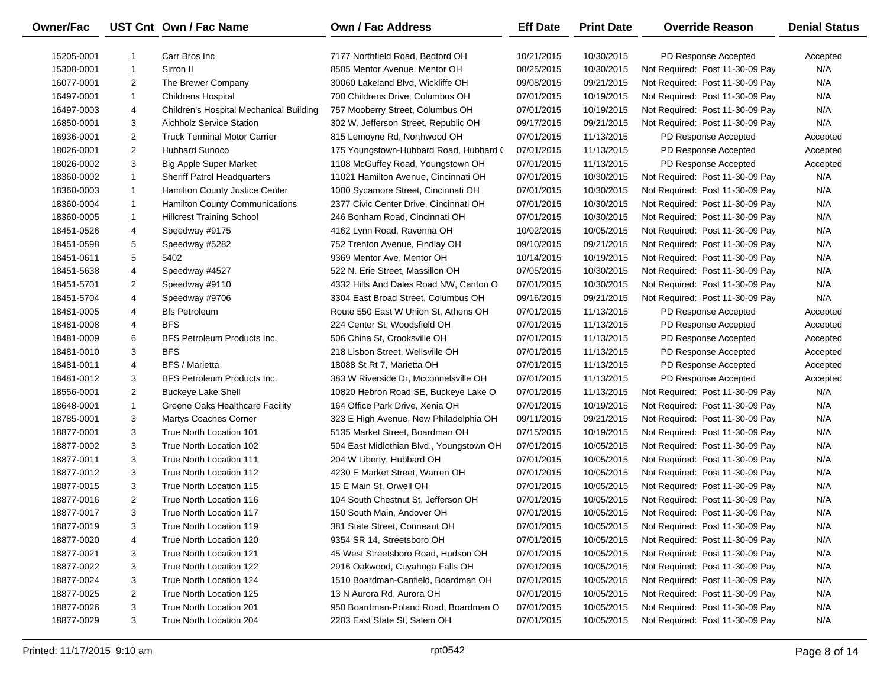| Owner/Fac  |                | UST Cnt Own / Fac Name                  | <b>Own / Fac Address</b>                 | <b>Eff Date</b> | <b>Print Date</b> | <b>Override Reason</b>          | <b>Denial Status</b> |
|------------|----------------|-----------------------------------------|------------------------------------------|-----------------|-------------------|---------------------------------|----------------------|
| 15205-0001 | -1             | Carr Bros Inc                           | 7177 Northfield Road, Bedford OH         | 10/21/2015      | 10/30/2015        | PD Response Accepted            | Accepted             |
| 15308-0001 | $\mathbf{1}$   | Sirron II                               | 8505 Mentor Avenue, Mentor OH            | 08/25/2015      | 10/30/2015        | Not Required: Post 11-30-09 Pay | N/A                  |
| 16077-0001 | $\overline{2}$ | The Brewer Company                      | 30060 Lakeland Blvd, Wickliffe OH        | 09/08/2015      | 09/21/2015        | Not Required: Post 11-30-09 Pay | N/A                  |
| 16497-0001 | 1              | <b>Childrens Hospital</b>               | 700 Childrens Drive, Columbus OH         | 07/01/2015      | 10/19/2015        | Not Required: Post 11-30-09 Pay | N/A                  |
| 16497-0003 | 4              | Children's Hospital Mechanical Building | 757 Mooberry Street, Columbus OH         | 07/01/2015      | 10/19/2015        | Not Required: Post 11-30-09 Pay | N/A                  |
| 16850-0001 | 3              | <b>Aichholz Service Station</b>         | 302 W. Jefferson Street, Republic OH     | 09/17/2015      | 09/21/2015        | Not Required: Post 11-30-09 Pay | N/A                  |
| 16936-0001 | $\overline{2}$ | <b>Truck Terminal Motor Carrier</b>     | 815 Lemoyne Rd, Northwood OH             | 07/01/2015      | 11/13/2015        | PD Response Accepted            | Accepted             |
| 18026-0001 | $\overline{2}$ | <b>Hubbard Sunoco</b>                   | 175 Youngstown-Hubbard Road, Hubbard (   | 07/01/2015      | 11/13/2015        | PD Response Accepted            | Accepted             |
| 18026-0002 | 3              | <b>Big Apple Super Market</b>           | 1108 McGuffey Road, Youngstown OH        | 07/01/2015      | 11/13/2015        | PD Response Accepted            | Accepted             |
| 18360-0002 | $\mathbf{1}$   | <b>Sheriff Patrol Headquarters</b>      | 11021 Hamilton Avenue, Cincinnati OH     | 07/01/2015      | 10/30/2015        | Not Required: Post 11-30-09 Pay | N/A                  |
| 18360-0003 | 1              | Hamilton County Justice Center          | 1000 Sycamore Street, Cincinnati OH      | 07/01/2015      | 10/30/2015        | Not Required: Post 11-30-09 Pay | N/A                  |
| 18360-0004 | 1              | Hamilton County Communications          | 2377 Civic Center Drive, Cincinnati OH   | 07/01/2015      | 10/30/2015        | Not Required: Post 11-30-09 Pay | N/A                  |
| 18360-0005 | 1              | <b>Hillcrest Training School</b>        | 246 Bonham Road, Cincinnati OH           | 07/01/2015      | 10/30/2015        | Not Required: Post 11-30-09 Pay | N/A                  |
| 18451-0526 | 4              | Speedway #9175                          | 4162 Lynn Road, Ravenna OH               | 10/02/2015      | 10/05/2015        | Not Required: Post 11-30-09 Pay | N/A                  |
| 18451-0598 | 5              | Speedway #5282                          | 752 Trenton Avenue, Findlay OH           | 09/10/2015      | 09/21/2015        | Not Required: Post 11-30-09 Pay | N/A                  |
| 18451-0611 | 5              | 5402                                    | 9369 Mentor Ave, Mentor OH               | 10/14/2015      | 10/19/2015        | Not Required: Post 11-30-09 Pay | N/A                  |
| 18451-5638 | 4              | Speedway #4527                          | 522 N. Erie Street, Massillon OH         | 07/05/2015      | 10/30/2015        | Not Required: Post 11-30-09 Pay | N/A                  |
| 18451-5701 | $\overline{2}$ | Speedway #9110                          | 4332 Hills And Dales Road NW, Canton O   | 07/01/2015      | 10/30/2015        | Not Required: Post 11-30-09 Pay | N/A                  |
| 18451-5704 | 4              | Speedway #9706                          | 3304 East Broad Street, Columbus OH      | 09/16/2015      | 09/21/2015        | Not Required: Post 11-30-09 Pay | N/A                  |
| 18481-0005 | 4              | <b>Bfs Petroleum</b>                    | Route 550 East W Union St, Athens OH     | 07/01/2015      | 11/13/2015        | PD Response Accepted            | Accepted             |
| 18481-0008 | 4              | <b>BFS</b>                              | 224 Center St, Woodsfield OH             | 07/01/2015      | 11/13/2015        | PD Response Accepted            | Accepted             |
| 18481-0009 | 6              | BFS Petroleum Products Inc.             | 506 China St, Crooksville OH             | 07/01/2015      | 11/13/2015        | PD Response Accepted            | Accepted             |
| 18481-0010 | 3              | <b>BFS</b>                              | 218 Lisbon Street, Wellsville OH         | 07/01/2015      | 11/13/2015        | PD Response Accepted            | Accepted             |
| 18481-0011 | 4              | <b>BFS / Marietta</b>                   | 18088 St Rt 7, Marietta OH               | 07/01/2015      | 11/13/2015        | PD Response Accepted            | Accepted             |
| 18481-0012 | 3              | BFS Petroleum Products Inc.             | 383 W Riverside Dr, Mcconnelsville OH    | 07/01/2015      | 11/13/2015        | PD Response Accepted            | Accepted             |
| 18556-0001 | $\overline{2}$ | <b>Buckeye Lake Shell</b>               | 10820 Hebron Road SE, Buckeye Lake O     | 07/01/2015      | 11/13/2015        | Not Required: Post 11-30-09 Pay | N/A                  |
| 18648-0001 | 1              | Greene Oaks Healthcare Facility         | 164 Office Park Drive, Xenia OH          | 07/01/2015      | 10/19/2015        | Not Required: Post 11-30-09 Pay | N/A                  |
| 18785-0001 | 3              | Martys Coaches Corner                   | 323 E High Avenue, New Philadelphia OH   | 09/11/2015      | 09/21/2015        | Not Required: Post 11-30-09 Pay | N/A                  |
| 18877-0001 | 3              | True North Location 101                 | 5135 Market Street, Boardman OH          | 07/15/2015      | 10/19/2015        | Not Required: Post 11-30-09 Pay | N/A                  |
| 18877-0002 | 3              | True North Location 102                 | 504 East Midlothian Blvd., Youngstown OH | 07/01/2015      | 10/05/2015        | Not Required: Post 11-30-09 Pay | N/A                  |
| 18877-0011 | 3              | True North Location 111                 | 204 W Liberty, Hubbard OH                | 07/01/2015      | 10/05/2015        | Not Required: Post 11-30-09 Pay | N/A                  |
| 18877-0012 | 3              | True North Location 112                 | 4230 E Market Street, Warren OH          | 07/01/2015      | 10/05/2015        | Not Required: Post 11-30-09 Pay | N/A                  |
| 18877-0015 | 3              | True North Location 115                 | 15 E Main St, Orwell OH                  | 07/01/2015      | 10/05/2015        | Not Required: Post 11-30-09 Pay | N/A                  |
| 18877-0016 | $\overline{2}$ | True North Location 116                 | 104 South Chestnut St, Jefferson OH      | 07/01/2015      | 10/05/2015        | Not Required: Post 11-30-09 Pay | N/A                  |
| 18877-0017 | 3              | True North Location 117                 | 150 South Main, Andover OH               | 07/01/2015      | 10/05/2015        | Not Required: Post 11-30-09 Pay | N/A                  |
| 18877-0019 | 3              | True North Location 119                 | 381 State Street, Conneaut OH            | 07/01/2015      | 10/05/2015        | Not Required: Post 11-30-09 Pay | N/A                  |
| 18877-0020 | 4              | True North Location 120                 | 9354 SR 14, Streetsboro OH               | 07/01/2015      | 10/05/2015        | Not Required: Post 11-30-09 Pay | N/A                  |
| 18877-0021 | 3              | True North Location 121                 | 45 West Streetsboro Road, Hudson OH      | 07/01/2015      | 10/05/2015        | Not Required: Post 11-30-09 Pay | N/A                  |
| 18877-0022 | 3              | True North Location 122                 | 2916 Oakwood, Cuyahoga Falls OH          | 07/01/2015      | 10/05/2015        | Not Required: Post 11-30-09 Pay | N/A                  |
| 18877-0024 | 3              | True North Location 124                 | 1510 Boardman-Canfield, Boardman OH      | 07/01/2015      | 10/05/2015        | Not Required: Post 11-30-09 Pay | N/A                  |
| 18877-0025 | $\overline{2}$ | True North Location 125                 | 13 N Aurora Rd, Aurora OH                | 07/01/2015      | 10/05/2015        | Not Required: Post 11-30-09 Pay | N/A                  |
| 18877-0026 | 3              | True North Location 201                 | 950 Boardman-Poland Road, Boardman O     | 07/01/2015      | 10/05/2015        | Not Required: Post 11-30-09 Pay | N/A                  |
| 18877-0029 | 3              | True North Location 204                 | 2203 East State St, Salem OH             | 07/01/2015      | 10/05/2015        | Not Required: Post 11-30-09 Pay | N/A                  |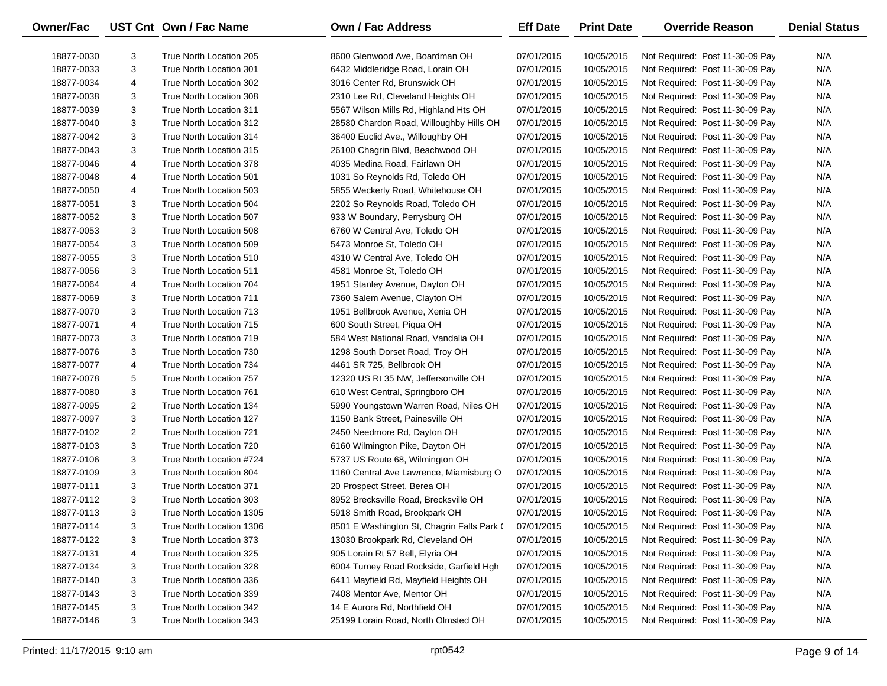| Owner/Fac  |                | UST Cnt Own / Fac Name   | <b>Own / Fac Address</b>                   | <b>Eff Date</b> | <b>Print Date</b> | <b>Override Reason</b>          | <b>Denial Status</b> |
|------------|----------------|--------------------------|--------------------------------------------|-----------------|-------------------|---------------------------------|----------------------|
| 18877-0030 | 3              | True North Location 205  | 8600 Glenwood Ave, Boardman OH             | 07/01/2015      | 10/05/2015        | Not Required: Post 11-30-09 Pay | N/A                  |
| 18877-0033 | 3              | True North Location 301  | 6432 Middleridge Road, Lorain OH           | 07/01/2015      | 10/05/2015        | Not Required: Post 11-30-09 Pay | N/A                  |
| 18877-0034 | 4              | True North Location 302  | 3016 Center Rd, Brunswick OH               | 07/01/2015      | 10/05/2015        | Not Required: Post 11-30-09 Pay | N/A                  |
| 18877-0038 | 3              | True North Location 308  | 2310 Lee Rd, Cleveland Heights OH          | 07/01/2015      | 10/05/2015        | Not Required: Post 11-30-09 Pay | N/A                  |
| 18877-0039 | 3              | True North Location 311  | 5567 Wilson Mills Rd, Highland Hts OH      | 07/01/2015      | 10/05/2015        | Not Required: Post 11-30-09 Pay | N/A                  |
| 18877-0040 | 3              | True North Location 312  | 28580 Chardon Road, Willoughby Hills OH    | 07/01/2015      | 10/05/2015        | Not Required: Post 11-30-09 Pay | N/A                  |
| 18877-0042 | 3              | True North Location 314  | 36400 Euclid Ave., Willoughby OH           | 07/01/2015      | 10/05/2015        | Not Required: Post 11-30-09 Pay | N/A                  |
| 18877-0043 | 3              | True North Location 315  | 26100 Chagrin Blvd, Beachwood OH           | 07/01/2015      | 10/05/2015        | Not Required: Post 11-30-09 Pay | N/A                  |
| 18877-0046 | 4              | True North Location 378  | 4035 Medina Road, Fairlawn OH              | 07/01/2015      | 10/05/2015        | Not Required: Post 11-30-09 Pay | N/A                  |
| 18877-0048 | 4              | True North Location 501  | 1031 So Reynolds Rd, Toledo OH             | 07/01/2015      | 10/05/2015        | Not Required: Post 11-30-09 Pay | N/A                  |
| 18877-0050 | 4              | True North Location 503  | 5855 Weckerly Road, Whitehouse OH          | 07/01/2015      | 10/05/2015        | Not Required: Post 11-30-09 Pay | N/A                  |
| 18877-0051 | 3              | True North Location 504  | 2202 So Reynolds Road, Toledo OH           | 07/01/2015      | 10/05/2015        | Not Required: Post 11-30-09 Pay | N/A                  |
| 18877-0052 | 3              | True North Location 507  | 933 W Boundary, Perrysburg OH              | 07/01/2015      | 10/05/2015        | Not Required: Post 11-30-09 Pay | N/A                  |
| 18877-0053 | 3              | True North Location 508  | 6760 W Central Ave, Toledo OH              | 07/01/2015      | 10/05/2015        | Not Required: Post 11-30-09 Pay | N/A                  |
| 18877-0054 | 3              | True North Location 509  | 5473 Monroe St, Toledo OH                  | 07/01/2015      | 10/05/2015        | Not Required: Post 11-30-09 Pay | N/A                  |
| 18877-0055 | 3              | True North Location 510  | 4310 W Central Ave, Toledo OH              | 07/01/2015      | 10/05/2015        | Not Required: Post 11-30-09 Pay | N/A                  |
| 18877-0056 | 3              | True North Location 511  | 4581 Monroe St, Toledo OH                  | 07/01/2015      | 10/05/2015        | Not Required: Post 11-30-09 Pay | N/A                  |
| 18877-0064 | 4              | True North Location 704  | 1951 Stanley Avenue, Dayton OH             | 07/01/2015      | 10/05/2015        | Not Required: Post 11-30-09 Pay | N/A                  |
| 18877-0069 | 3              | True North Location 711  | 7360 Salem Avenue, Clayton OH              | 07/01/2015      | 10/05/2015        | Not Required: Post 11-30-09 Pay | N/A                  |
| 18877-0070 | 3              | True North Location 713  | 1951 Bellbrook Avenue, Xenia OH            | 07/01/2015      | 10/05/2015        | Not Required: Post 11-30-09 Pay | N/A                  |
| 18877-0071 | 4              | True North Location 715  | 600 South Street, Piqua OH                 | 07/01/2015      | 10/05/2015        | Not Required: Post 11-30-09 Pay | N/A                  |
| 18877-0073 | 3              | True North Location 719  | 584 West National Road, Vandalia OH        | 07/01/2015      | 10/05/2015        | Not Required: Post 11-30-09 Pay | N/A                  |
| 18877-0076 | 3              | True North Location 730  | 1298 South Dorset Road, Troy OH            | 07/01/2015      | 10/05/2015        | Not Required: Post 11-30-09 Pay | N/A                  |
| 18877-0077 | 4              | True North Location 734  | 4461 SR 725, Bellbrook OH                  | 07/01/2015      | 10/05/2015        | Not Required: Post 11-30-09 Pay | N/A                  |
| 18877-0078 | 5              | True North Location 757  | 12320 US Rt 35 NW, Jeffersonville OH       | 07/01/2015      | 10/05/2015        | Not Required: Post 11-30-09 Pay | N/A                  |
| 18877-0080 | 3              | True North Location 761  | 610 West Central, Springboro OH            | 07/01/2015      | 10/05/2015        | Not Required: Post 11-30-09 Pay | N/A                  |
| 18877-0095 | $\overline{2}$ | True North Location 134  | 5990 Youngstown Warren Road, Niles OH      | 07/01/2015      | 10/05/2015        | Not Required: Post 11-30-09 Pay | N/A                  |
| 18877-0097 | 3              | True North Location 127  | 1150 Bank Street, Painesville OH           | 07/01/2015      | 10/05/2015        | Not Required: Post 11-30-09 Pay | N/A                  |
| 18877-0102 | $\overline{2}$ | True North Location 721  | 2450 Needmore Rd, Dayton OH                | 07/01/2015      | 10/05/2015        | Not Required: Post 11-30-09 Pay | N/A                  |
| 18877-0103 | 3              | True North Location 720  | 6160 Wilmington Pike, Dayton OH            | 07/01/2015      | 10/05/2015        | Not Required: Post 11-30-09 Pay | N/A                  |
| 18877-0106 | 3              | True North Location #724 | 5737 US Route 68, Wilmington OH            | 07/01/2015      | 10/05/2015        | Not Required: Post 11-30-09 Pay | N/A                  |
| 18877-0109 | 3              | True North Location 804  | 1160 Central Ave Lawrence, Miamisburg O    | 07/01/2015      | 10/05/2015        | Not Required: Post 11-30-09 Pay | N/A                  |
| 18877-0111 | 3              | True North Location 371  | 20 Prospect Street, Berea OH               | 07/01/2015      | 10/05/2015        | Not Required: Post 11-30-09 Pay | N/A                  |
| 18877-0112 | 3              | True North Location 303  | 8952 Brecksville Road, Brecksville OH      | 07/01/2015      | 10/05/2015        | Not Required: Post 11-30-09 Pay | N/A                  |
| 18877-0113 | 3              | True North Location 1305 | 5918 Smith Road, Brookpark OH              | 07/01/2015      | 10/05/2015        | Not Required: Post 11-30-09 Pay | N/A                  |
| 18877-0114 | 3              | True North Location 1306 | 8501 E Washington St, Chagrin Falls Park ( | 07/01/2015      | 10/05/2015        | Not Required: Post 11-30-09 Pay | N/A                  |
| 18877-0122 | 3              | True North Location 373  | 13030 Brookpark Rd, Cleveland OH           | 07/01/2015      | 10/05/2015        | Not Required: Post 11-30-09 Pay | N/A                  |
| 18877-0131 | 4              | True North Location 325  | 905 Lorain Rt 57 Bell, Elyria OH           | 07/01/2015      | 10/05/2015        | Not Required: Post 11-30-09 Pay | N/A                  |
| 18877-0134 | 3              | True North Location 328  | 6004 Turney Road Rockside, Garfield Hgh    | 07/01/2015      | 10/05/2015        | Not Required: Post 11-30-09 Pay | N/A                  |
| 18877-0140 | 3              | True North Location 336  | 6411 Mayfield Rd, Mayfield Heights OH      | 07/01/2015      | 10/05/2015        | Not Required: Post 11-30-09 Pay | N/A                  |
| 18877-0143 | 3              | True North Location 339  | 7408 Mentor Ave, Mentor OH                 | 07/01/2015      | 10/05/2015        | Not Required: Post 11-30-09 Pay | N/A                  |
| 18877-0145 | 3              | True North Location 342  | 14 E Aurora Rd, Northfield OH              | 07/01/2015      | 10/05/2015        | Not Required: Post 11-30-09 Pay | N/A                  |
| 18877-0146 | 3              | True North Location 343  | 25199 Lorain Road, North Olmsted OH        | 07/01/2015      | 10/05/2015        | Not Required: Post 11-30-09 Pay | N/A                  |

 $\overline{\phantom{0}}$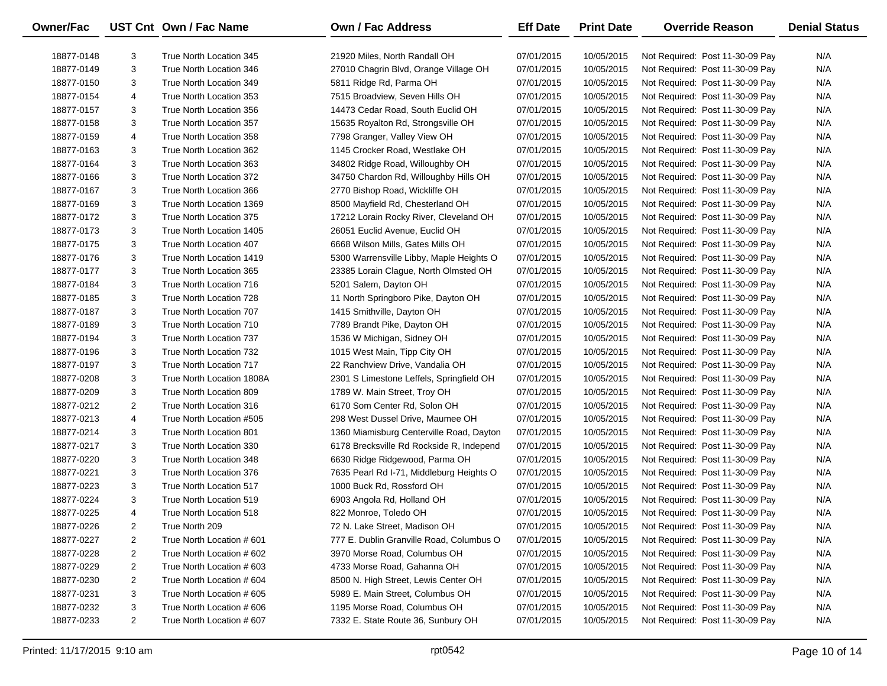| Owner/Fac  |                | UST Cnt Own / Fac Name    | <b>Own / Fac Address</b>                 | <b>Eff Date</b> | <b>Print Date</b> | <b>Override Reason</b>          | <b>Denial Status</b> |
|------------|----------------|---------------------------|------------------------------------------|-----------------|-------------------|---------------------------------|----------------------|
| 18877-0148 | 3              | True North Location 345   | 21920 Miles, North Randall OH            | 07/01/2015      | 10/05/2015        | Not Required: Post 11-30-09 Pay | N/A                  |
| 18877-0149 | 3              | True North Location 346   | 27010 Chagrin Blvd, Orange Village OH    | 07/01/2015      | 10/05/2015        | Not Required: Post 11-30-09 Pay | N/A                  |
| 18877-0150 | 3              | True North Location 349   | 5811 Ridge Rd, Parma OH                  | 07/01/2015      | 10/05/2015        | Not Required: Post 11-30-09 Pay | N/A                  |
| 18877-0154 | 4              | True North Location 353   | 7515 Broadview, Seven Hills OH           | 07/01/2015      | 10/05/2015        | Not Required: Post 11-30-09 Pay | N/A                  |
| 18877-0157 | 3              | True North Location 356   | 14473 Cedar Road, South Euclid OH        | 07/01/2015      | 10/05/2015        | Not Required: Post 11-30-09 Pay | N/A                  |
| 18877-0158 | 3              | True North Location 357   | 15635 Royalton Rd, Strongsville OH       | 07/01/2015      | 10/05/2015        | Not Required: Post 11-30-09 Pay | N/A                  |
| 18877-0159 | 4              | True North Location 358   | 7798 Granger, Valley View OH             | 07/01/2015      | 10/05/2015        | Not Required: Post 11-30-09 Pay | N/A                  |
| 18877-0163 | 3              | True North Location 362   | 1145 Crocker Road, Westlake OH           | 07/01/2015      | 10/05/2015        | Not Required: Post 11-30-09 Pay | N/A                  |
| 18877-0164 | 3              | True North Location 363   | 34802 Ridge Road, Willoughby OH          | 07/01/2015      | 10/05/2015        | Not Required: Post 11-30-09 Pay | N/A                  |
| 18877-0166 | 3              | True North Location 372   | 34750 Chardon Rd, Willoughby Hills OH    | 07/01/2015      | 10/05/2015        | Not Required: Post 11-30-09 Pay | N/A                  |
| 18877-0167 | 3              | True North Location 366   | 2770 Bishop Road, Wickliffe OH           | 07/01/2015      | 10/05/2015        | Not Required: Post 11-30-09 Pay | N/A                  |
| 18877-0169 | 3              | True North Location 1369  | 8500 Mayfield Rd, Chesterland OH         | 07/01/2015      | 10/05/2015        | Not Required: Post 11-30-09 Pay | N/A                  |
| 18877-0172 | 3              | True North Location 375   | 17212 Lorain Rocky River, Cleveland OH   | 07/01/2015      | 10/05/2015        | Not Required: Post 11-30-09 Pay | N/A                  |
| 18877-0173 | 3              | True North Location 1405  | 26051 Euclid Avenue, Euclid OH           | 07/01/2015      | 10/05/2015        | Not Required: Post 11-30-09 Pay | N/A                  |
| 18877-0175 | 3              | True North Location 407   | 6668 Wilson Mills, Gates Mills OH        | 07/01/2015      | 10/05/2015        | Not Required: Post 11-30-09 Pay | N/A                  |
| 18877-0176 | 3              | True North Location 1419  | 5300 Warrensville Libby, Maple Heights O | 07/01/2015      | 10/05/2015        | Not Required: Post 11-30-09 Pay | N/A                  |
| 18877-0177 | 3              | True North Location 365   | 23385 Lorain Clague, North Olmsted OH    | 07/01/2015      | 10/05/2015        | Not Required: Post 11-30-09 Pay | N/A                  |
| 18877-0184 | 3              | True North Location 716   | 5201 Salem, Dayton OH                    | 07/01/2015      | 10/05/2015        | Not Required: Post 11-30-09 Pay | N/A                  |
| 18877-0185 | 3              | True North Location 728   | 11 North Springboro Pike, Dayton OH      | 07/01/2015      | 10/05/2015        | Not Required: Post 11-30-09 Pay | N/A                  |
| 18877-0187 | 3              | True North Location 707   | 1415 Smithville, Dayton OH               | 07/01/2015      | 10/05/2015        | Not Required: Post 11-30-09 Pay | N/A                  |
| 18877-0189 | 3              | True North Location 710   | 7789 Brandt Pike, Dayton OH              | 07/01/2015      | 10/05/2015        | Not Required: Post 11-30-09 Pay | N/A                  |
| 18877-0194 | 3              | True North Location 737   | 1536 W Michigan, Sidney OH               | 07/01/2015      | 10/05/2015        | Not Required: Post 11-30-09 Pay | N/A                  |
| 18877-0196 | 3              | True North Location 732   | 1015 West Main, Tipp City OH             | 07/01/2015      | 10/05/2015        | Not Required: Post 11-30-09 Pay | N/A                  |
| 18877-0197 | 3              | True North Location 717   | 22 Ranchview Drive, Vandalia OH          | 07/01/2015      | 10/05/2015        | Not Required: Post 11-30-09 Pay | N/A                  |
| 18877-0208 | 3              | True North Location 1808A | 2301 S Limestone Leffels, Springfield OH | 07/01/2015      | 10/05/2015        | Not Required: Post 11-30-09 Pay | N/A                  |
| 18877-0209 | 3              | True North Location 809   | 1789 W. Main Street, Troy OH             | 07/01/2015      | 10/05/2015        | Not Required: Post 11-30-09 Pay | N/A                  |
| 18877-0212 | 2              | True North Location 316   | 6170 Som Center Rd, Solon OH             | 07/01/2015      | 10/05/2015        | Not Required: Post 11-30-09 Pay | N/A                  |
| 18877-0213 | 4              | True North Location #505  | 298 West Dussel Drive, Maumee OH         | 07/01/2015      | 10/05/2015        | Not Required: Post 11-30-09 Pay | N/A                  |
| 18877-0214 | 3              | True North Location 801   | 1360 Miamisburg Centerville Road, Dayton | 07/01/2015      | 10/05/2015        | Not Required: Post 11-30-09 Pay | N/A                  |
| 18877-0217 | 3              | True North Location 330   | 6178 Brecksville Rd Rockside R, Independ | 07/01/2015      | 10/05/2015        | Not Required: Post 11-30-09 Pay | N/A                  |
| 18877-0220 | 3              | True North Location 348   | 6630 Ridge Ridgewood, Parma OH           | 07/01/2015      | 10/05/2015        | Not Required: Post 11-30-09 Pay | N/A                  |
| 18877-0221 | 3              | True North Location 376   | 7635 Pearl Rd I-71, Middleburg Heights O | 07/01/2015      | 10/05/2015        | Not Required: Post 11-30-09 Pay | N/A                  |
| 18877-0223 | 3              | True North Location 517   | 1000 Buck Rd, Rossford OH                | 07/01/2015      | 10/05/2015        | Not Required: Post 11-30-09 Pay | N/A                  |
| 18877-0224 | 3              | True North Location 519   | 6903 Angola Rd, Holland OH               | 07/01/2015      | 10/05/2015        | Not Required: Post 11-30-09 Pay | N/A                  |
| 18877-0225 | 4              | True North Location 518   | 822 Monroe, Toledo OH                    | 07/01/2015      | 10/05/2015        | Not Required: Post 11-30-09 Pay | N/A                  |
| 18877-0226 | 2              | True North 209            | 72 N. Lake Street, Madison OH            | 07/01/2015      | 10/05/2015        | Not Required: Post 11-30-09 Pay | N/A                  |
| 18877-0227 | $\overline{2}$ | True North Location #601  | 777 E. Dublin Granville Road, Columbus O | 07/01/2015      | 10/05/2015        | Not Required: Post 11-30-09 Pay | N/A                  |
| 18877-0228 | 2              | True North Location # 602 | 3970 Morse Road, Columbus OH             | 07/01/2015      | 10/05/2015        | Not Required: Post 11-30-09 Pay | N/A                  |
| 18877-0229 | 2              | True North Location # 603 | 4733 Morse Road, Gahanna OH              | 07/01/2015      | 10/05/2015        | Not Required: Post 11-30-09 Pay | N/A                  |
| 18877-0230 | $\overline{2}$ | True North Location #604  | 8500 N. High Street, Lewis Center OH     | 07/01/2015      | 10/05/2015        | Not Required: Post 11-30-09 Pay | N/A                  |
| 18877-0231 | 3              | True North Location # 605 | 5989 E. Main Street, Columbus OH         | 07/01/2015      | 10/05/2015        | Not Required: Post 11-30-09 Pay | N/A                  |
| 18877-0232 | 3              | True North Location #606  | 1195 Morse Road, Columbus OH             | 07/01/2015      | 10/05/2015        | Not Required: Post 11-30-09 Pay | N/A                  |
| 18877-0233 | $\overline{2}$ | True North Location #607  | 7332 E. State Route 36, Sunbury OH       | 07/01/2015      | 10/05/2015        | Not Required: Post 11-30-09 Pay | N/A                  |
|            |                |                           |                                          |                 |                   |                                 |                      |

 $\overline{\phantom{0}}$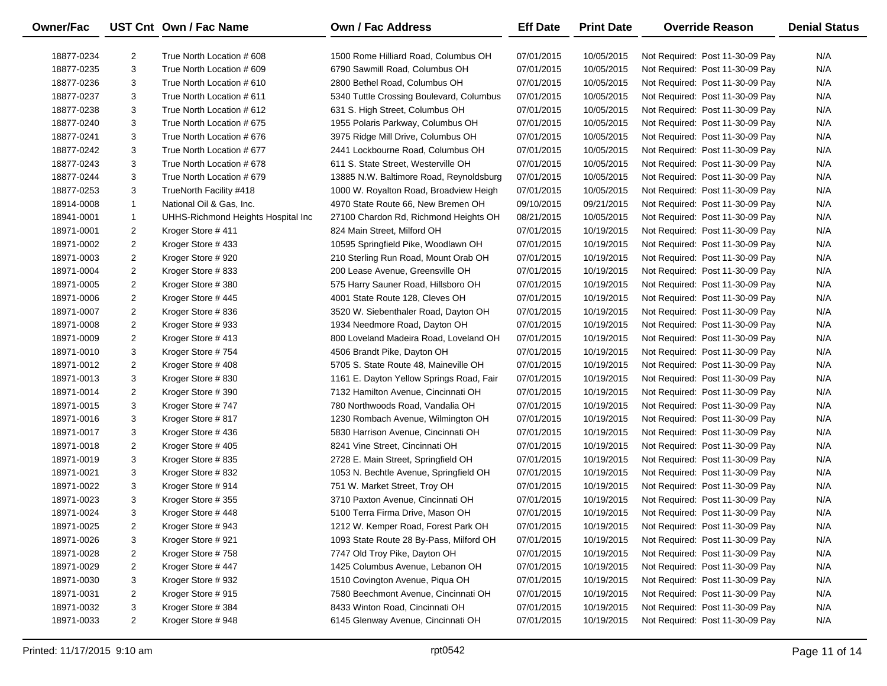| Owner/Fac  |                | UST Cnt Own / Fac Name             | <b>Own / Fac Address</b>                 | <b>Eff Date</b> | <b>Print Date</b> | <b>Override Reason</b>          | <b>Denial Status</b> |
|------------|----------------|------------------------------------|------------------------------------------|-----------------|-------------------|---------------------------------|----------------------|
| 18877-0234 | $\overline{2}$ | True North Location # 608          | 1500 Rome Hilliard Road, Columbus OH     | 07/01/2015      | 10/05/2015        | Not Required: Post 11-30-09 Pay | N/A                  |
| 18877-0235 | 3              | True North Location # 609          | 6790 Sawmill Road, Columbus OH           | 07/01/2015      | 10/05/2015        | Not Required: Post 11-30-09 Pay | N/A                  |
| 18877-0236 | 3              | True North Location # 610          | 2800 Bethel Road, Columbus OH            | 07/01/2015      | 10/05/2015        | Not Required: Post 11-30-09 Pay | N/A                  |
| 18877-0237 | 3              | True North Location # 611          | 5340 Tuttle Crossing Boulevard, Columbus | 07/01/2015      | 10/05/2015        | Not Required: Post 11-30-09 Pay | N/A                  |
| 18877-0238 | 3              | True North Location # 612          | 631 S. High Street, Columbus OH          | 07/01/2015      | 10/05/2015        | Not Required: Post 11-30-09 Pay | N/A                  |
| 18877-0240 | 3              | True North Location # 675          | 1955 Polaris Parkway, Columbus OH        | 07/01/2015      | 10/05/2015        | Not Required: Post 11-30-09 Pay | N/A                  |
| 18877-0241 | 3              | True North Location #676           | 3975 Ridge Mill Drive, Columbus OH       | 07/01/2015      | 10/05/2015        | Not Required: Post 11-30-09 Pay | N/A                  |
| 18877-0242 | 3              | True North Location # 677          | 2441 Lockbourne Road, Columbus OH        | 07/01/2015      | 10/05/2015        | Not Required: Post 11-30-09 Pay | N/A                  |
| 18877-0243 | 3              | True North Location #678           | 611 S. State Street, Westerville OH      | 07/01/2015      | 10/05/2015        | Not Required: Post 11-30-09 Pay | N/A                  |
| 18877-0244 | 3              | True North Location #679           | 13885 N.W. Baltimore Road, Reynoldsburg  | 07/01/2015      | 10/05/2015        | Not Required: Post 11-30-09 Pay | N/A                  |
| 18877-0253 | 3              | TrueNorth Facility #418            | 1000 W. Royalton Road, Broadview Heigh   | 07/01/2015      | 10/05/2015        | Not Required: Post 11-30-09 Pay | N/A                  |
| 18914-0008 | $\mathbf{1}$   | National Oil & Gas, Inc.           | 4970 State Route 66, New Bremen OH       | 09/10/2015      | 09/21/2015        | Not Required: Post 11-30-09 Pay | N/A                  |
| 18941-0001 | $\mathbf{1}$   | UHHS-Richmond Heights Hospital Inc | 27100 Chardon Rd, Richmond Heights OH    | 08/21/2015      | 10/05/2015        | Not Required: Post 11-30-09 Pay | N/A                  |
| 18971-0001 | 2              | Kroger Store #411                  | 824 Main Street, Milford OH              | 07/01/2015      | 10/19/2015        | Not Required: Post 11-30-09 Pay | N/A                  |
| 18971-0002 | $\overline{a}$ | Kroger Store #433                  | 10595 Springfield Pike, Woodlawn OH      | 07/01/2015      | 10/19/2015        | Not Required: Post 11-30-09 Pay | N/A                  |
| 18971-0003 | $\overline{2}$ | Kroger Store #920                  | 210 Sterling Run Road, Mount Orab OH     | 07/01/2015      | 10/19/2015        | Not Required: Post 11-30-09 Pay | N/A                  |
| 18971-0004 | $\overline{2}$ | Kroger Store #833                  | 200 Lease Avenue, Greensville OH         | 07/01/2015      | 10/19/2015        | Not Required: Post 11-30-09 Pay | N/A                  |
| 18971-0005 | $\overline{a}$ | Kroger Store #380                  | 575 Harry Sauner Road, Hillsboro OH      | 07/01/2015      | 10/19/2015        | Not Required: Post 11-30-09 Pay | N/A                  |
| 18971-0006 | 2              | Kroger Store #445                  | 4001 State Route 128, Cleves OH          | 07/01/2015      | 10/19/2015        | Not Required: Post 11-30-09 Pay | N/A                  |
| 18971-0007 | $\overline{2}$ | Kroger Store #836                  | 3520 W. Siebenthaler Road, Dayton OH     | 07/01/2015      | 10/19/2015        | Not Required: Post 11-30-09 Pay | N/A                  |
| 18971-0008 | $\overline{a}$ | Kroger Store #933                  | 1934 Needmore Road, Dayton OH            | 07/01/2015      | 10/19/2015        | Not Required: Post 11-30-09 Pay | N/A                  |
| 18971-0009 | $\overline{2}$ | Kroger Store #413                  | 800 Loveland Madeira Road, Loveland OH   | 07/01/2015      | 10/19/2015        | Not Required: Post 11-30-09 Pay | N/A                  |
| 18971-0010 | 3              | Kroger Store #754                  | 4506 Brandt Pike, Dayton OH              | 07/01/2015      | 10/19/2015        | Not Required: Post 11-30-09 Pay | N/A                  |
| 18971-0012 | $\overline{a}$ | Kroger Store #408                  | 5705 S. State Route 48, Maineville OH    | 07/01/2015      | 10/19/2015        | Not Required: Post 11-30-09 Pay | N/A                  |
| 18971-0013 | 3              | Kroger Store #830                  | 1161 E. Dayton Yellow Springs Road, Fair | 07/01/2015      | 10/19/2015        | Not Required: Post 11-30-09 Pay | N/A                  |
| 18971-0014 | $\overline{2}$ | Kroger Store #390                  | 7132 Hamilton Avenue, Cincinnati OH      | 07/01/2015      | 10/19/2015        | Not Required: Post 11-30-09 Pay | N/A                  |
| 18971-0015 | 3              | Kroger Store #747                  | 780 Northwoods Road, Vandalia OH         | 07/01/2015      | 10/19/2015        | Not Required: Post 11-30-09 Pay | N/A                  |
| 18971-0016 | 3              | Kroger Store #817                  | 1230 Rombach Avenue, Wilmington OH       | 07/01/2015      | 10/19/2015        | Not Required: Post 11-30-09 Pay | N/A                  |
| 18971-0017 | 3              | Kroger Store #436                  | 5830 Harrison Avenue, Cincinnati OH      | 07/01/2015      | 10/19/2015        | Not Required: Post 11-30-09 Pay | N/A                  |
| 18971-0018 | $\overline{2}$ | Kroger Store #405                  | 8241 Vine Street, Cincinnati OH          | 07/01/2015      | 10/19/2015        | Not Required: Post 11-30-09 Pay | N/A                  |
| 18971-0019 | 3              | Kroger Store #835                  | 2728 E. Main Street, Springfield OH      | 07/01/2015      | 10/19/2015        | Not Required: Post 11-30-09 Pay | N/A                  |
| 18971-0021 | 3              | Kroger Store #832                  | 1053 N. Bechtle Avenue, Springfield OH   | 07/01/2015      | 10/19/2015        | Not Required: Post 11-30-09 Pay | N/A                  |
| 18971-0022 | 3              | Kroger Store #914                  | 751 W. Market Street, Troy OH            | 07/01/2015      | 10/19/2015        | Not Required: Post 11-30-09 Pay | N/A                  |
| 18971-0023 | 3              | Kroger Store #355                  | 3710 Paxton Avenue, Cincinnati OH        | 07/01/2015      | 10/19/2015        | Not Required: Post 11-30-09 Pay | N/A                  |
| 18971-0024 | 3              | Kroger Store #448                  | 5100 Terra Firma Drive, Mason OH         | 07/01/2015      | 10/19/2015        | Not Required: Post 11-30-09 Pay | N/A                  |
| 18971-0025 | 2              | Kroger Store #943                  | 1212 W. Kemper Road, Forest Park OH      | 07/01/2015      | 10/19/2015        | Not Required: Post 11-30-09 Pay | N/A                  |
| 18971-0026 | 3              | Kroger Store #921                  | 1093 State Route 28 By-Pass, Milford OH  | 07/01/2015      | 10/19/2015        | Not Required: Post 11-30-09 Pay | N/A                  |
| 18971-0028 | 2              | Kroger Store #758                  | 7747 Old Troy Pike, Dayton OH            | 07/01/2015      | 10/19/2015        | Not Required: Post 11-30-09 Pay | N/A                  |
| 18971-0029 | 2              | Kroger Store #447                  | 1425 Columbus Avenue, Lebanon OH         | 07/01/2015      | 10/19/2015        | Not Required: Post 11-30-09 Pay | N/A                  |
| 18971-0030 | 3              | Kroger Store #932                  | 1510 Covington Avenue, Piqua OH          | 07/01/2015      | 10/19/2015        | Not Required: Post 11-30-09 Pay | N/A                  |
| 18971-0031 | 2              | Kroger Store #915                  | 7580 Beechmont Avenue, Cincinnati OH     | 07/01/2015      | 10/19/2015        | Not Required: Post 11-30-09 Pay | N/A                  |
| 18971-0032 | 3              | Kroger Store #384                  | 8433 Winton Road, Cincinnati OH          | 07/01/2015      | 10/19/2015        | Not Required: Post 11-30-09 Pay | N/A                  |
| 18971-0033 | $\overline{2}$ | Kroger Store #948                  | 6145 Glenway Avenue, Cincinnati OH       | 07/01/2015      | 10/19/2015        | Not Required: Post 11-30-09 Pay | N/A                  |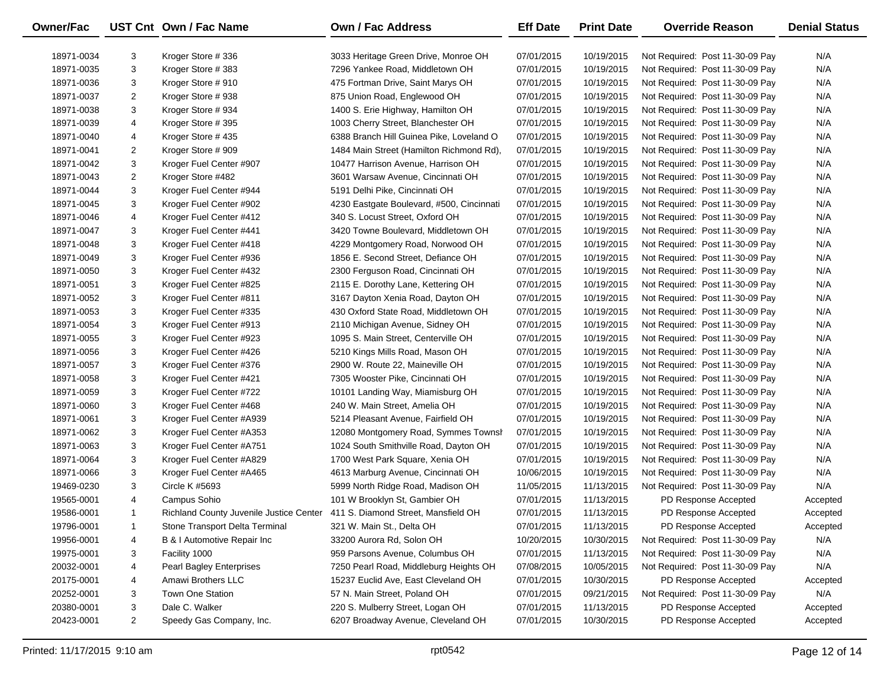| <b>Owner/Fac</b> |                | UST Cnt Own / Fac Name                  | Own / Fac Address                         | <b>Eff Date</b> | <b>Print Date</b> | <b>Override Reason</b>          | <b>Denial Status</b> |
|------------------|----------------|-----------------------------------------|-------------------------------------------|-----------------|-------------------|---------------------------------|----------------------|
| 18971-0034       | 3              | Kroger Store #336                       | 3033 Heritage Green Drive, Monroe OH      | 07/01/2015      | 10/19/2015        | Not Required: Post 11-30-09 Pay | N/A                  |
| 18971-0035       | 3              | Kroger Store #383                       | 7296 Yankee Road, Middletown OH           | 07/01/2015      | 10/19/2015        | Not Required: Post 11-30-09 Pay | N/A                  |
| 18971-0036       | 3              | Kroger Store #910                       | 475 Fortman Drive, Saint Marys OH         | 07/01/2015      | 10/19/2015        | Not Required: Post 11-30-09 Pay | N/A                  |
| 18971-0037       | 2              | Kroger Store #938                       | 875 Union Road, Englewood OH              | 07/01/2015      | 10/19/2015        | Not Required: Post 11-30-09 Pay | N/A                  |
| 18971-0038       | 3              | Kroger Store #934                       | 1400 S. Erie Highway, Hamilton OH         | 07/01/2015      | 10/19/2015        | Not Required: Post 11-30-09 Pay | N/A                  |
| 18971-0039       | 4              | Kroger Store #395                       | 1003 Cherry Street, Blanchester OH        | 07/01/2015      | 10/19/2015        | Not Required: Post 11-30-09 Pay | N/A                  |
| 18971-0040       | 4              | Kroger Store #435                       | 6388 Branch Hill Guinea Pike, Loveland O  | 07/01/2015      | 10/19/2015        | Not Required: Post 11-30-09 Pay | N/A                  |
| 18971-0041       | 2              | Kroger Store #909                       | 1484 Main Street (Hamilton Richmond Rd),  | 07/01/2015      | 10/19/2015        | Not Required: Post 11-30-09 Pay | N/A                  |
| 18971-0042       | 3              | Kroger Fuel Center #907                 | 10477 Harrison Avenue, Harrison OH        | 07/01/2015      | 10/19/2015        | Not Required: Post 11-30-09 Pay | N/A                  |
| 18971-0043       | $\overline{2}$ | Kroger Store #482                       | 3601 Warsaw Avenue, Cincinnati OH         | 07/01/2015      | 10/19/2015        | Not Required: Post 11-30-09 Pay | N/A                  |
| 18971-0044       | 3              | Kroger Fuel Center #944                 | 5191 Delhi Pike, Cincinnati OH            | 07/01/2015      | 10/19/2015        | Not Required: Post 11-30-09 Pay | N/A                  |
| 18971-0045       | 3              | Kroger Fuel Center #902                 | 4230 Eastgate Boulevard, #500, Cincinnati | 07/01/2015      | 10/19/2015        | Not Required: Post 11-30-09 Pay | N/A                  |
| 18971-0046       | 4              | Kroger Fuel Center #412                 | 340 S. Locust Street, Oxford OH           | 07/01/2015      | 10/19/2015        | Not Required: Post 11-30-09 Pay | N/A                  |
| 18971-0047       | 3              | Kroger Fuel Center #441                 | 3420 Towne Boulevard, Middletown OH       | 07/01/2015      | 10/19/2015        | Not Required: Post 11-30-09 Pay | N/A                  |
| 18971-0048       | 3              | Kroger Fuel Center #418                 | 4229 Montgomery Road, Norwood OH          | 07/01/2015      | 10/19/2015        | Not Required: Post 11-30-09 Pay | N/A                  |
| 18971-0049       | 3              | Kroger Fuel Center #936                 | 1856 E. Second Street, Defiance OH        | 07/01/2015      | 10/19/2015        | Not Required: Post 11-30-09 Pay | N/A                  |
| 18971-0050       | 3              | Kroger Fuel Center #432                 | 2300 Ferguson Road, Cincinnati OH         | 07/01/2015      | 10/19/2015        | Not Required: Post 11-30-09 Pay | N/A                  |
| 18971-0051       | 3              | Kroger Fuel Center #825                 | 2115 E. Dorothy Lane, Kettering OH        | 07/01/2015      | 10/19/2015        | Not Required: Post 11-30-09 Pay | N/A                  |
| 18971-0052       | 3              | Kroger Fuel Center #811                 | 3167 Dayton Xenia Road, Dayton OH         | 07/01/2015      | 10/19/2015        | Not Required: Post 11-30-09 Pay | N/A                  |
| 18971-0053       | 3              | Kroger Fuel Center #335                 | 430 Oxford State Road, Middletown OH      | 07/01/2015      | 10/19/2015        | Not Required: Post 11-30-09 Pay | N/A                  |
| 18971-0054       | 3              | Kroger Fuel Center #913                 | 2110 Michigan Avenue, Sidney OH           | 07/01/2015      | 10/19/2015        | Not Required: Post 11-30-09 Pay | N/A                  |
| 18971-0055       | 3              | Kroger Fuel Center #923                 | 1095 S. Main Street, Centerville OH       | 07/01/2015      | 10/19/2015        | Not Required: Post 11-30-09 Pay | N/A                  |
| 18971-0056       | 3              | Kroger Fuel Center #426                 | 5210 Kings Mills Road, Mason OH           | 07/01/2015      | 10/19/2015        | Not Required: Post 11-30-09 Pay | N/A                  |
| 18971-0057       | 3              | Kroger Fuel Center #376                 | 2900 W. Route 22, Maineville OH           | 07/01/2015      | 10/19/2015        | Not Required: Post 11-30-09 Pay | N/A                  |
| 18971-0058       | 3              | Kroger Fuel Center #421                 | 7305 Wooster Pike, Cincinnati OH          | 07/01/2015      | 10/19/2015        | Not Required: Post 11-30-09 Pay | N/A                  |
| 18971-0059       | 3              | Kroger Fuel Center #722                 | 10101 Landing Way, Miamisburg OH          | 07/01/2015      | 10/19/2015        | Not Required: Post 11-30-09 Pay | N/A                  |
| 18971-0060       | 3              | Kroger Fuel Center #468                 | 240 W. Main Street, Amelia OH             | 07/01/2015      | 10/19/2015        | Not Required: Post 11-30-09 Pay | N/A                  |
| 18971-0061       | 3              | Kroger Fuel Center #A939                | 5214 Pleasant Avenue, Fairfield OH        | 07/01/2015      | 10/19/2015        | Not Required: Post 11-30-09 Pay | N/A                  |
| 18971-0062       | 3              | Kroger Fuel Center #A353                | 12080 Montgomery Road, Symmes Townsh      | 07/01/2015      | 10/19/2015        | Not Required: Post 11-30-09 Pay | N/A                  |
| 18971-0063       | 3              | Kroger Fuel Center #A751                | 1024 South Smithville Road, Dayton OH     | 07/01/2015      | 10/19/2015        | Not Required: Post 11-30-09 Pay | N/A                  |
| 18971-0064       | 3              | Kroger Fuel Center #A829                | 1700 West Park Square, Xenia OH           | 07/01/2015      | 10/19/2015        | Not Required: Post 11-30-09 Pay | N/A                  |
| 18971-0066       | 3              | Kroger Fuel Center #A465                | 4613 Marburg Avenue, Cincinnati OH        | 10/06/2015      | 10/19/2015        | Not Required: Post 11-30-09 Pay | N/A                  |
| 19469-0230       | 3              | Circle K #5693                          | 5999 North Ridge Road, Madison OH         | 11/05/2015      | 11/13/2015        | Not Required: Post 11-30-09 Pay | N/A                  |
| 19565-0001       | 4              | Campus Sohio                            | 101 W Brooklyn St, Gambier OH             | 07/01/2015      | 11/13/2015        | PD Response Accepted            | Accepted             |
| 19586-0001       | $\mathbf{1}$   | Richland County Juvenile Justice Center | 411 S. Diamond Street, Mansfield OH       | 07/01/2015      | 11/13/2015        | PD Response Accepted            | Accepted             |
| 19796-0001       | -1             | Stone Transport Delta Terminal          | 321 W. Main St., Delta OH                 | 07/01/2015      | 11/13/2015        | PD Response Accepted            | Accepted             |
| 19956-0001       | 4              | B & I Automotive Repair Inc             | 33200 Aurora Rd, Solon OH                 | 10/20/2015      | 10/30/2015        | Not Required: Post 11-30-09 Pay | N/A                  |
| 19975-0001       | 3              | Facility 1000                           | 959 Parsons Avenue, Columbus OH           | 07/01/2015      | 11/13/2015        | Not Required: Post 11-30-09 Pay | N/A                  |
| 20032-0001       | 4              | Pearl Bagley Enterprises                | 7250 Pearl Road, Middleburg Heights OH    | 07/08/2015      | 10/05/2015        | Not Required: Post 11-30-09 Pay | N/A                  |
| 20175-0001       | 4              | Amawi Brothers LLC                      | 15237 Euclid Ave, East Cleveland OH       | 07/01/2015      | 10/30/2015        | PD Response Accepted            | Accepted             |
| 20252-0001       | 3              | <b>Town One Station</b>                 | 57 N. Main Street, Poland OH              | 07/01/2015      | 09/21/2015        | Not Required: Post 11-30-09 Pay | N/A                  |
| 20380-0001       | 3              | Dale C. Walker                          | 220 S. Mulberry Street, Logan OH          | 07/01/2015      | 11/13/2015        | PD Response Accepted            | Accepted             |
| 20423-0001       | $\overline{2}$ | Speedy Gas Company, Inc.                | 6207 Broadway Avenue, Cleveland OH        | 07/01/2015      | 10/30/2015        | PD Response Accepted            | Accepted             |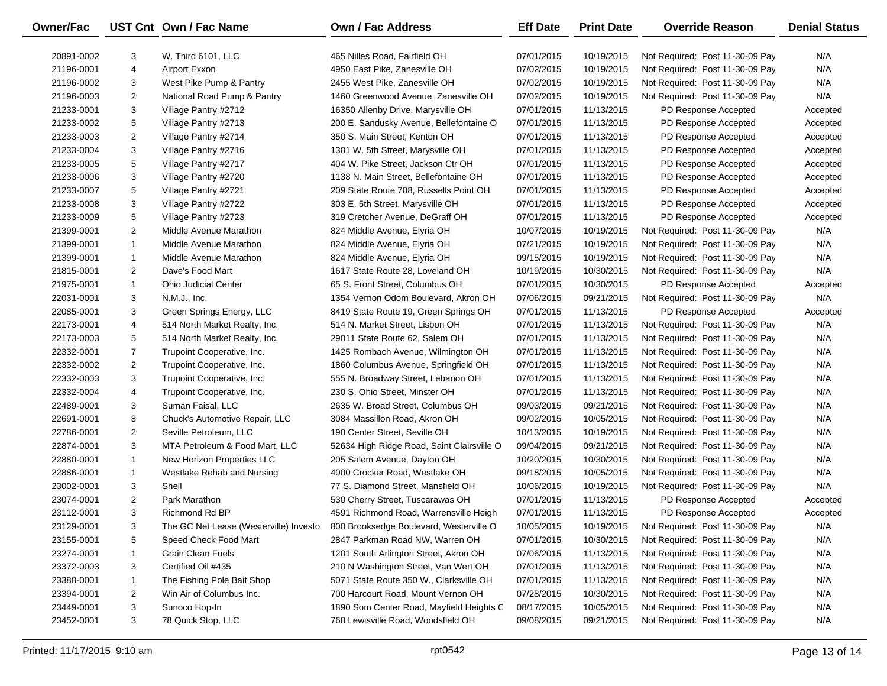| Owner/Fac  |                | UST Cnt Own / Fac Name                 | Own / Fac Address                          | <b>Eff Date</b> | <b>Print Date</b> | <b>Override Reason</b>          | <b>Denial Status</b> |
|------------|----------------|----------------------------------------|--------------------------------------------|-----------------|-------------------|---------------------------------|----------------------|
| 20891-0002 | 3              | W. Third 6101, LLC                     | 465 Nilles Road, Fairfield OH              | 07/01/2015      | 10/19/2015        | Not Required: Post 11-30-09 Pay | N/A                  |
| 21196-0001 | 4              | Airport Exxon                          | 4950 East Pike, Zanesville OH              | 07/02/2015      | 10/19/2015        | Not Required: Post 11-30-09 Pay | N/A                  |
| 21196-0002 | 3              | West Pike Pump & Pantry                | 2455 West Pike, Zanesville OH              | 07/02/2015      | 10/19/2015        | Not Required: Post 11-30-09 Pay | N/A                  |
| 21196-0003 | $\overline{2}$ | National Road Pump & Pantry            | 1460 Greenwood Avenue, Zanesville OH       | 07/02/2015      | 10/19/2015        | Not Required: Post 11-30-09 Pay | N/A                  |
| 21233-0001 | 3              | Village Pantry #2712                   | 16350 Allenby Drive, Marysville OH         | 07/01/2015      | 11/13/2015        | PD Response Accepted            | Accepted             |
| 21233-0002 | 5              | Village Pantry #2713                   | 200 E. Sandusky Avenue, Bellefontaine O    | 07/01/2015      | 11/13/2015        | PD Response Accepted            | Accepted             |
| 21233-0003 | $\overline{2}$ | Village Pantry #2714                   | 350 S. Main Street, Kenton OH              | 07/01/2015      | 11/13/2015        | PD Response Accepted            | Accepted             |
| 21233-0004 | 3              | Village Pantry #2716                   | 1301 W. 5th Street, Marysville OH          | 07/01/2015      | 11/13/2015        | PD Response Accepted            | Accepted             |
| 21233-0005 | 5              | Village Pantry #2717                   | 404 W. Pike Street, Jackson Ctr OH         | 07/01/2015      | 11/13/2015        | PD Response Accepted            | Accepted             |
| 21233-0006 | 3              | Village Pantry #2720                   | 1138 N. Main Street, Bellefontaine OH      | 07/01/2015      | 11/13/2015        | PD Response Accepted            | Accepted             |
| 21233-0007 | 5              | Village Pantry #2721                   | 209 State Route 708, Russells Point OH     | 07/01/2015      | 11/13/2015        | PD Response Accepted            | Accepted             |
| 21233-0008 | 3              | Village Pantry #2722                   | 303 E. 5th Street, Marysville OH           | 07/01/2015      | 11/13/2015        | PD Response Accepted            | Accepted             |
| 21233-0009 | 5              | Village Pantry #2723                   | 319 Cretcher Avenue, DeGraff OH            | 07/01/2015      | 11/13/2015        | PD Response Accepted            | Accepted             |
| 21399-0001 | 2              | Middle Avenue Marathon                 | 824 Middle Avenue, Elyria OH               | 10/07/2015      | 10/19/2015        | Not Required: Post 11-30-09 Pay | N/A                  |
| 21399-0001 | $\mathbf{1}$   | Middle Avenue Marathon                 | 824 Middle Avenue, Elyria OH               | 07/21/2015      | 10/19/2015        | Not Required: Post 11-30-09 Pay | N/A                  |
| 21399-0001 | 1              | Middle Avenue Marathon                 | 824 Middle Avenue, Elyria OH               | 09/15/2015      | 10/19/2015        | Not Required: Post 11-30-09 Pay | N/A                  |
| 21815-0001 | 2              | Dave's Food Mart                       | 1617 State Route 28, Loveland OH           | 10/19/2015      | 10/30/2015        | Not Required: Post 11-30-09 Pay | N/A                  |
| 21975-0001 | $\mathbf{1}$   | <b>Ohio Judicial Center</b>            | 65 S. Front Street, Columbus OH            | 07/01/2015      | 10/30/2015        | PD Response Accepted            | Accepted             |
| 22031-0001 | 3              | N.M.J., Inc.                           | 1354 Vernon Odom Boulevard, Akron OH       | 07/06/2015      | 09/21/2015        | Not Required: Post 11-30-09 Pay | N/A                  |
| 22085-0001 | 3              | Green Springs Energy, LLC              | 8419 State Route 19, Green Springs OH      | 07/01/2015      | 11/13/2015        | PD Response Accepted            | Accepted             |
| 22173-0001 | 4              | 514 North Market Realty, Inc.          | 514 N. Market Street, Lisbon OH            | 07/01/2015      | 11/13/2015        | Not Required: Post 11-30-09 Pay | N/A                  |
| 22173-0003 | 5              | 514 North Market Realty, Inc.          | 29011 State Route 62, Salem OH             | 07/01/2015      | 11/13/2015        | Not Required: Post 11-30-09 Pay | N/A                  |
| 22332-0001 | 7              | Trupoint Cooperative, Inc.             | 1425 Rombach Avenue, Wilmington OH         | 07/01/2015      | 11/13/2015        | Not Required: Post 11-30-09 Pay | N/A                  |
| 22332-0002 | $\overline{2}$ | Trupoint Cooperative, Inc.             | 1860 Columbus Avenue, Springfield OH       | 07/01/2015      | 11/13/2015        | Not Required: Post 11-30-09 Pay | N/A                  |
| 22332-0003 | 3              | Trupoint Cooperative, Inc.             | 555 N. Broadway Street, Lebanon OH         | 07/01/2015      | 11/13/2015        | Not Required: Post 11-30-09 Pay | N/A                  |
| 22332-0004 | 4              | Trupoint Cooperative, Inc.             | 230 S. Ohio Street, Minster OH             | 07/01/2015      | 11/13/2015        | Not Required: Post 11-30-09 Pay | N/A                  |
| 22489-0001 | 3              | Suman Faisal, LLC                      | 2635 W. Broad Street, Columbus OH          | 09/03/2015      | 09/21/2015        | Not Required: Post 11-30-09 Pay | N/A                  |
| 22691-0001 | 8              | Chuck's Automotive Repair, LLC         | 3084 Massillon Road, Akron OH              | 09/02/2015      | 10/05/2015        | Not Required: Post 11-30-09 Pay | N/A                  |
| 22786-0001 | $\overline{2}$ | Seville Petroleum, LLC                 | 190 Center Street, Seville OH              | 10/13/2015      | 10/19/2015        | Not Required: Post 11-30-09 Pay | N/A                  |
| 22874-0001 | 3              | MTA Petroleum & Food Mart, LLC         | 52634 High Ridge Road, Saint Clairsville O | 09/04/2015      | 09/21/2015        | Not Required: Post 11-30-09 Pay | N/A                  |
| 22880-0001 | $\mathbf{1}$   | New Horizon Properties LLC             | 205 Salem Avenue, Dayton OH                | 10/20/2015      | 10/30/2015        | Not Required: Post 11-30-09 Pay | N/A                  |
| 22886-0001 | 1              | Westlake Rehab and Nursing             | 4000 Crocker Road, Westlake OH             | 09/18/2015      | 10/05/2015        | Not Required: Post 11-30-09 Pay | N/A                  |
| 23002-0001 | 3              | Shell                                  | 77 S. Diamond Street, Mansfield OH         | 10/06/2015      | 10/19/2015        | Not Required: Post 11-30-09 Pay | N/A                  |
| 23074-0001 | $\overline{2}$ | Park Marathon                          | 530 Cherry Street, Tuscarawas OH           | 07/01/2015      | 11/13/2015        | PD Response Accepted            | Accepted             |
| 23112-0001 | 3              | Richmond Rd BP                         | 4591 Richmond Road, Warrensville Heigh     | 07/01/2015      | 11/13/2015        | PD Response Accepted            | Accepted             |
| 23129-0001 | 3              | The GC Net Lease (Westerville) Investo | 800 Brooksedge Boulevard, Westerville O    | 10/05/2015      | 10/19/2015        | Not Required: Post 11-30-09 Pay | N/A                  |
| 23155-0001 | 5              | Speed Check Food Mart                  | 2847 Parkman Road NW, Warren OH            | 07/01/2015      | 10/30/2015        | Not Required: Post 11-30-09 Pay | N/A                  |
| 23274-0001 | 1              | <b>Grain Clean Fuels</b>               | 1201 South Arlington Street, Akron OH      | 07/06/2015      | 11/13/2015        | Not Required: Post 11-30-09 Pay | N/A                  |
| 23372-0003 | 3              | Certified Oil #435                     | 210 N Washington Street, Van Wert OH       | 07/01/2015      | 11/13/2015        | Not Required: Post 11-30-09 Pay | N/A                  |
| 23388-0001 | 1              | The Fishing Pole Bait Shop             | 5071 State Route 350 W., Clarksville OH    | 07/01/2015      | 11/13/2015        | Not Required: Post 11-30-09 Pay | N/A                  |
| 23394-0001 | 2              | Win Air of Columbus Inc.               | 700 Harcourt Road, Mount Vernon OH         | 07/28/2015      | 10/30/2015        | Not Required: Post 11-30-09 Pay | N/A                  |
| 23449-0001 | 3              | Sunoco Hop-In                          | 1890 Som Center Road, Mayfield Heights C   | 08/17/2015      | 10/05/2015        | Not Required: Post 11-30-09 Pay | N/A                  |
| 23452-0001 | 3              | 78 Quick Stop, LLC                     | 768 Lewisville Road, Woodsfield OH         | 09/08/2015      | 09/21/2015        | Not Required: Post 11-30-09 Pay | N/A                  |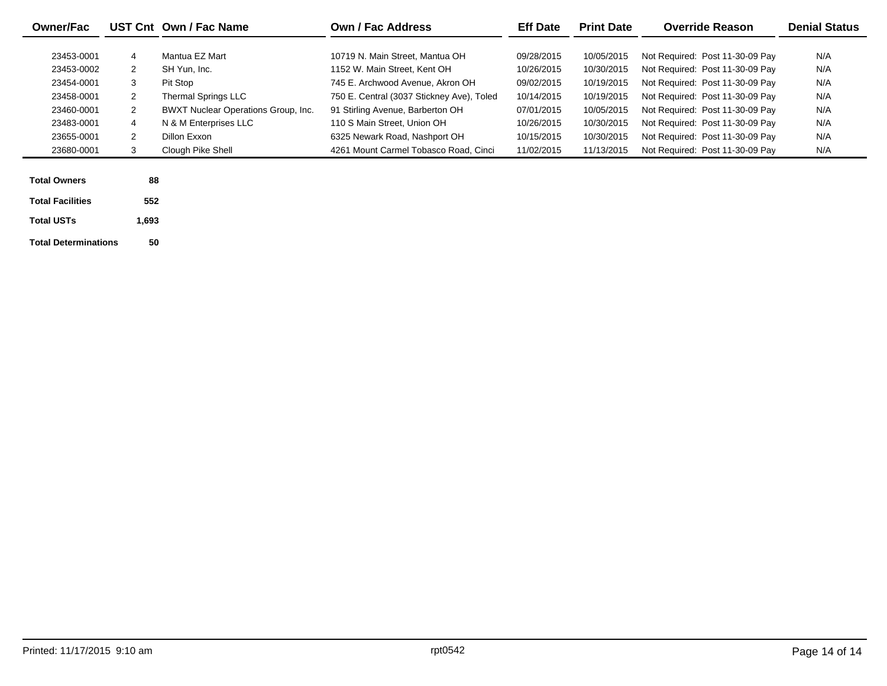| <b>Owner/Fac</b>        |                | UST Cnt Own / Fac Name                     | Own / Fac Address                         | <b>Eff Date</b> | <b>Print Date</b> | <b>Override Reason</b>          | <b>Denial Status</b> |
|-------------------------|----------------|--------------------------------------------|-------------------------------------------|-----------------|-------------------|---------------------------------|----------------------|
|                         |                |                                            |                                           |                 |                   |                                 |                      |
| 23453-0001              | 4              | Mantua EZ Mart                             | 10719 N. Main Street, Mantua OH           | 09/28/2015      | 10/05/2015        | Not Required: Post 11-30-09 Pay | N/A                  |
| 23453-0002              | $\overline{2}$ | SH Yun, Inc.                               | 1152 W. Main Street, Kent OH              | 10/26/2015      | 10/30/2015        | Not Required: Post 11-30-09 Pay | N/A                  |
| 23454-0001              | 3              | Pit Stop                                   | 745 E. Archwood Avenue. Akron OH          | 09/02/2015      | 10/19/2015        | Not Required: Post 11-30-09 Pay | N/A                  |
| 23458-0001              | $\overline{2}$ | Thermal Springs LLC                        | 750 E. Central (3037 Stickney Ave), Toled | 10/14/2015      | 10/19/2015        | Not Required: Post 11-30-09 Pay | N/A                  |
| 23460-0001              | $\overline{2}$ | <b>BWXT Nuclear Operations Group, Inc.</b> | 91 Stirling Avenue, Barberton OH          | 07/01/2015      | 10/05/2015        | Not Required: Post 11-30-09 Pay | N/A                  |
| 23483-0001              | 4              | N & M Enterprises LLC                      | 110 S Main Street. Union OH               | 10/26/2015      | 10/30/2015        | Not Required: Post 11-30-09 Pay | N/A                  |
| 23655-0001              | 2              | Dillon Exxon                               | 6325 Newark Road, Nashport OH             | 10/15/2015      | 10/30/2015        | Not Required: Post 11-30-09 Pay | N/A                  |
| 23680-0001              | 3              | Clough Pike Shell                          | 4261 Mount Carmel Tobasco Road, Cinci     | 11/02/2015      | 11/13/2015        | Not Required: Post 11-30-09 Pay | N/A                  |
|                         |                |                                            |                                           |                 |                   |                                 |                      |
| <b>Total Owners</b>     | 88             |                                            |                                           |                 |                   |                                 |                      |
| <b>Total Facilities</b> | 552            |                                            |                                           |                 |                   |                                 |                      |

**Total Determinations50**

**1,693**

**Total USTs**